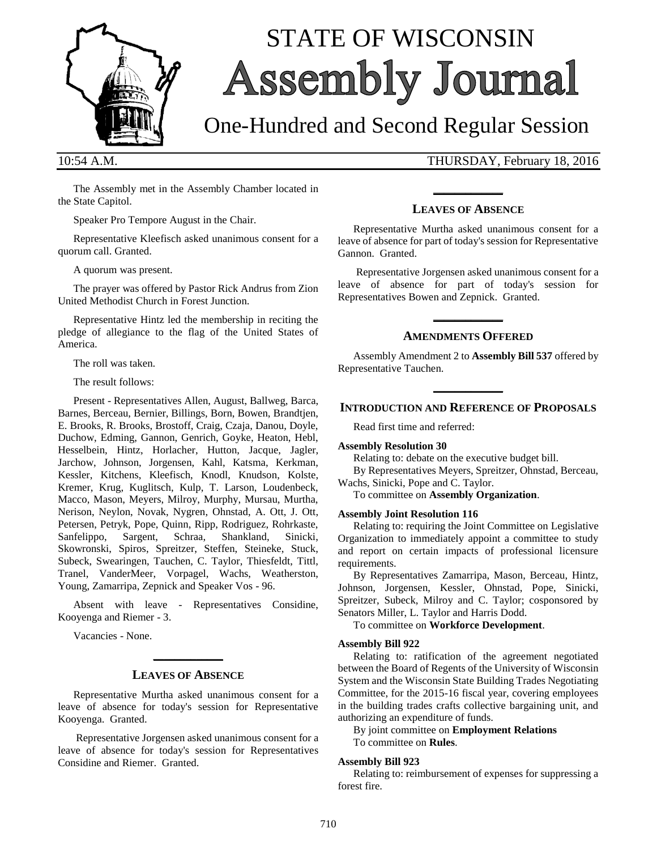

# STATE OF WISCONSIN Assembly Journal

# One-Hundred and Second Regular Session

10:54 A.M. THURSDAY, February 18, 2016

The Assembly met in the Assembly Chamber located in the State Capitol.

Speaker Pro Tempore August in the Chair.

Representative Kleefisch asked unanimous consent for a quorum call. Granted.

A quorum was present.

The prayer was offered by Pastor Rick Andrus from Zion United Methodist Church in Forest Junction.

Representative Hintz led the membership in reciting the pledge of allegiance to the flag of the United States of America.

The roll was taken.

The result follows:

Present - Representatives Allen, August, Ballweg, Barca, Barnes, Berceau, Bernier, Billings, Born, Bowen, Brandtjen, E. Brooks, R. Brooks, Brostoff, Craig, Czaja, Danou, Doyle, Duchow, Edming, Gannon, Genrich, Goyke, Heaton, Hebl, Hesselbein, Hintz, Horlacher, Hutton, Jacque, Jagler, Jarchow, Johnson, Jorgensen, Kahl, Katsma, Kerkman, Kessler, Kitchens, Kleefisch, Knodl, Knudson, Kolste, Kremer, Krug, Kuglitsch, Kulp, T. Larson, Loudenbeck, Macco, Mason, Meyers, Milroy, Murphy, Mursau, Murtha, Nerison, Neylon, Novak, Nygren, Ohnstad, A. Ott, J. Ott, Petersen, Petryk, Pope, Quinn, Ripp, Rodriguez, Rohrkaste, Sanfelippo, Sargent, Schraa, Shankland, Sinicki, Skowronski, Spiros, Spreitzer, Steffen, Steineke, Stuck, Subeck, Swearingen, Tauchen, C. Taylor, Thiesfeldt, Tittl, Tranel, VanderMeer, Vorpagel, Wachs, Weatherston, Young, Zamarripa, Zepnick and Speaker Vos - 96.

Absent with leave - Representatives Considine, Kooyenga and Riemer - 3.

Vacancies - None.

# **\_\_\_\_\_\_\_\_\_\_\_\_\_ LEAVES OF ABSENCE**

Representative Murtha asked unanimous consent for a leave of absence for today's session for Representative Kooyenga. Granted.

Representative Jorgensen asked unanimous consent for a leave of absence for today's session for Representatives Considine and Riemer. Granted.

# **\_\_\_\_\_\_\_\_\_\_\_\_\_ LEAVES OF ABSENCE**

Representative Murtha asked unanimous consent for a leave of absence for part of today's session for Representative Gannon. Granted.

Representative Jorgensen asked unanimous consent for a leave of absence for part of today's session for Representatives Bowen and Zepnick. Granted.

### **AMENDMENTS OFFERED**

**\_\_\_\_\_\_\_\_\_\_\_\_\_**

Assembly Amendment 2 to **Assembly Bill 537** offered by Representative Tauchen.

# **\_\_\_\_\_\_\_\_\_\_\_\_\_ INTRODUCTION AND REFERENCE OF PROPOSALS**

Read first time and referred:

#### **Assembly Resolution 30**

Relating to: debate on the executive budget bill. By Representatives Meyers, Spreitzer, Ohnstad, Berceau, Wachs, Sinicki, Pope and C. Taylor.

To committee on **Assembly Organization**.

#### **Assembly Joint Resolution 116**

Relating to: requiring the Joint Committee on Legislative Organization to immediately appoint a committee to study and report on certain impacts of professional licensure requirements.

By Representatives Zamarripa, Mason, Berceau, Hintz, Johnson, Jorgensen, Kessler, Ohnstad, Pope, Sinicki, Spreitzer, Subeck, Milroy and C. Taylor; cosponsored by Senators Miller, L. Taylor and Harris Dodd.

To committee on **Workforce Development**.

### **Assembly Bill 922**

Relating to: ratification of the agreement negotiated between the Board of Regents of the University of Wisconsin System and the Wisconsin State Building Trades Negotiating Committee, for the 2015-16 fiscal year, covering employees in the building trades crafts collective bargaining unit, and authorizing an expenditure of funds.

By joint committee on **Employment Relations** To committee on **Rules**.

#### **Assembly Bill 923**

Relating to: reimbursement of expenses for suppressing a forest fire.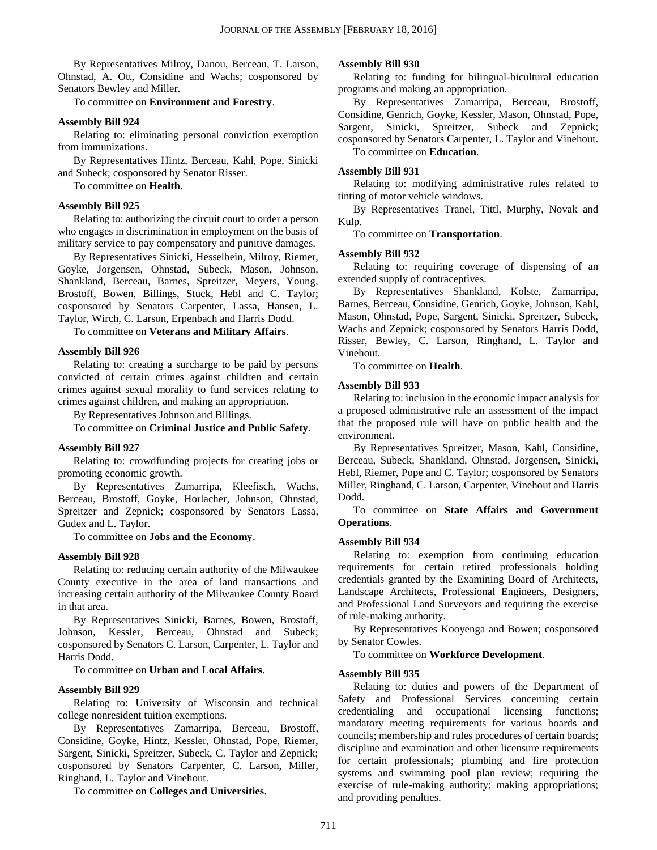By Representatives Milroy, Danou, Berceau, T. Larson, Ohnstad, A. Ott, Considine and Wachs; cosponsored by Senators Bewley and Miller.

To committee on **Environment and Forestry**.

### **Assembly Bill 924**

Relating to: eliminating personal conviction exemption from immunizations.

By Representatives Hintz, Berceau, Kahl, Pope, Sinicki and Subeck; cosponsored by Senator Risser.

To committee on **Health**.

### **Assembly Bill 925**

Relating to: authorizing the circuit court to order a person who engages in discrimination in employment on the basis of military service to pay compensatory and punitive damages.

By Representatives Sinicki, Hesselbein, Milroy, Riemer, Goyke, Jorgensen, Ohnstad, Subeck, Mason, Johnson, Shankland, Berceau, Barnes, Spreitzer, Meyers, Young, Brostoff, Bowen, Billings, Stuck, Hebl and C. Taylor; cosponsored by Senators Carpenter, Lassa, Hansen, L. Taylor, Wirch, C. Larson, Erpenbach and Harris Dodd.

To committee on **Veterans and Military Affairs**.

### **Assembly Bill 926**

Relating to: creating a surcharge to be paid by persons convicted of certain crimes against children and certain crimes against sexual morality to fund services relating to crimes against children, and making an appropriation.

By Representatives Johnson and Billings.

To committee on **Criminal Justice and Public Safety**.

### **Assembly Bill 927**

Relating to: crowdfunding projects for creating jobs or promoting economic growth.

By Representatives Zamarripa, Kleefisch, Wachs, Berceau, Brostoff, Goyke, Horlacher, Johnson, Ohnstad, Spreitzer and Zepnick; cosponsored by Senators Lassa, Gudex and L. Taylor.

To committee on **Jobs and the Economy**.

### **Assembly Bill 928**

Relating to: reducing certain authority of the Milwaukee County executive in the area of land transactions and increasing certain authority of the Milwaukee County Board in that area.

By Representatives Sinicki, Barnes, Bowen, Brostoff, Johnson, Kessler, Berceau, Ohnstad and Subeck; cosponsored by Senators C. Larson, Carpenter, L. Taylor and Harris Dodd.

To committee on **Urban and Local Affairs**.

### **Assembly Bill 929**

Relating to: University of Wisconsin and technical college nonresident tuition exemptions.

By Representatives Zamarripa, Berceau, Brostoff, Considine, Goyke, Hintz, Kessler, Ohnstad, Pope, Riemer, Sargent, Sinicki, Spreitzer, Subeck, C. Taylor and Zepnick; cosponsored by Senators Carpenter, C. Larson, Miller, Ringhand, L. Taylor and Vinehout.

To committee on **Colleges and Universities**.

### **Assembly Bill 930**

Relating to: funding for bilingual-bicultural education programs and making an appropriation.

By Representatives Zamarripa, Berceau, Brostoff, Considine, Genrich, Goyke, Kessler, Mason, Ohnstad, Pope, Sargent, Sinicki, Spreitzer, Subeck and Zepnick; cosponsored by Senators Carpenter, L. Taylor and Vinehout. To committee on **Education**.

### **Assembly Bill 931**

Relating to: modifying administrative rules related to tinting of motor vehicle windows.

By Representatives Tranel, Tittl, Murphy, Novak and Kulp.

To committee on **Transportation**.

### **Assembly Bill 932**

Relating to: requiring coverage of dispensing of an extended supply of contraceptives.

By Representatives Shankland, Kolste, Zamarripa, Barnes, Berceau, Considine, Genrich, Goyke, Johnson, Kahl, Mason, Ohnstad, Pope, Sargent, Sinicki, Spreitzer, Subeck, Wachs and Zepnick; cosponsored by Senators Harris Dodd, Risser, Bewley, C. Larson, Ringhand, L. Taylor and Vinehout.

To committee on **Health**.

### **Assembly Bill 933**

Relating to: inclusion in the economic impact analysis for a proposed administrative rule an assessment of the impact that the proposed rule will have on public health and the environment.

By Representatives Spreitzer, Mason, Kahl, Considine, Berceau, Subeck, Shankland, Ohnstad, Jorgensen, Sinicki, Hebl, Riemer, Pope and C. Taylor; cosponsored by Senators Miller, Ringhand, C. Larson, Carpenter, Vinehout and Harris Dodd.

To committee on **State Affairs and Government Operations**.

#### **Assembly Bill 934**

Relating to: exemption from continuing education requirements for certain retired professionals holding credentials granted by the Examining Board of Architects, Landscape Architects, Professional Engineers, Designers, and Professional Land Surveyors and requiring the exercise of rule-making authority.

By Representatives Kooyenga and Bowen; cosponsored by Senator Cowles.

To committee on **Workforce Development**.

#### **Assembly Bill 935**

Relating to: duties and powers of the Department of Safety and Professional Services concerning certain credentialing and occupational licensing functions; mandatory meeting requirements for various boards and councils; membership and rules procedures of certain boards; discipline and examination and other licensure requirements for certain professionals; plumbing and fire protection systems and swimming pool plan review; requiring the exercise of rule-making authority; making appropriations; and providing penalties.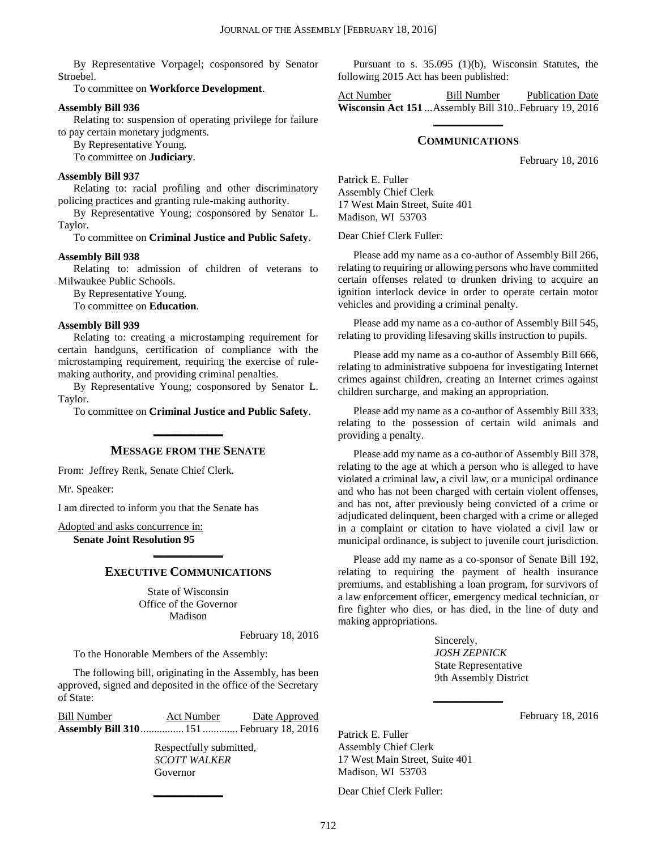By Representative Vorpagel; cosponsored by Senator Stroebel.

To committee on **Workforce Development**.

### **Assembly Bill 936**

Relating to: suspension of operating privilege for failure to pay certain monetary judgments.

By Representative Young.

To committee on **Judiciary**.

### **Assembly Bill 937**

Relating to: racial profiling and other discriminatory policing practices and granting rule-making authority.

By Representative Young; cosponsored by Senator L. Taylor.

To committee on **Criminal Justice and Public Safety**.

#### **Assembly Bill 938**

Relating to: admission of children of veterans to Milwaukee Public Schools.

By Representative Young.

To committee on **Education**.

### **Assembly Bill 939**

Relating to: creating a microstamping requirement for certain handguns, certification of compliance with the microstamping requirement, requiring the exercise of rulemaking authority, and providing criminal penalties.

By Representative Young; cosponsored by Senator L. Taylor.

To committee on **Criminal Justice and Public Safety**. **\_\_\_\_\_\_\_\_\_\_\_\_\_**

### **MESSAGE FROM THE SENATE**

From: Jeffrey Renk, Senate Chief Clerk.

Mr. Speaker:

I am directed to inform you that the Senate has

Adopted and asks concurrence in: **Senate Joint Resolution 95**

# **\_\_\_\_\_\_\_\_\_\_\_\_\_ EXECUTIVE COMMUNICATIONS**

State of Wisconsin Office of the Governor Madison

February 18, 2016

To the Honorable Members of the Assembly:

The following bill, originating in the Assembly, has been approved, signed and deposited in the office of the Secretary of State:

| Bill Number                                     | Act Number | Date Approved |
|-------------------------------------------------|------------|---------------|
| <b>Assembly Bill 310</b> 151  February 18, 2016 |            |               |

**\_\_\_\_\_\_\_\_\_\_\_\_\_**

Respectfully submitted, *SCOTT WALKER* Governor

Pursuant to s. 35.095 (1)(b), Wisconsin Statutes, the following 2015 Act has been published:

Act Number Bill Number Publication Date **Wisconsin Act 151** ...Assembly Bill 310..February 19, 2016 **\_\_\_\_\_\_\_\_\_\_\_\_\_**

### **COMMUNICATIONS**

February 18, 2016

Patrick E. Fuller Assembly Chief Clerk 17 West Main Street, Suite 401 Madison, WI 53703

Dear Chief Clerk Fuller:

Please add my name as a co-author of Assembly Bill 266, relating to requiring or allowing persons who have committed certain offenses related to drunken driving to acquire an ignition interlock device in order to operate certain motor vehicles and providing a criminal penalty.

Please add my name as a co-author of Assembly Bill 545, relating to providing lifesaving skills instruction to pupils.

Please add my name as a co-author of Assembly Bill 666, relating to administrative subpoena for investigating Internet crimes against children, creating an Internet crimes against children surcharge, and making an appropriation.

Please add my name as a co-author of Assembly Bill 333, relating to the possession of certain wild animals and providing a penalty.

Please add my name as a co-author of Assembly Bill 378, relating to the age at which a person who is alleged to have violated a criminal law, a civil law, or a municipal ordinance and who has not been charged with certain violent offenses, and has not, after previously being convicted of a crime or adjudicated delinquent, been charged with a crime or alleged in a complaint or citation to have violated a civil law or municipal ordinance, is subject to juvenile court jurisdiction.

Please add my name as a co-sponsor of Senate Bill 192, relating to requiring the payment of health insurance premiums, and establishing a loan program, for survivors of a law enforcement officer, emergency medical technician, or fire fighter who dies, or has died, in the line of duty and making appropriations.

> Sincerely, *JOSH ZEPNICK* State Representative 9th Assembly District

**\_\_\_\_\_\_\_\_\_\_\_\_\_**

February 18, 2016

Patrick E. Fuller Assembly Chief Clerk 17 West Main Street, Suite 401 Madison, WI 53703

Dear Chief Clerk Fuller: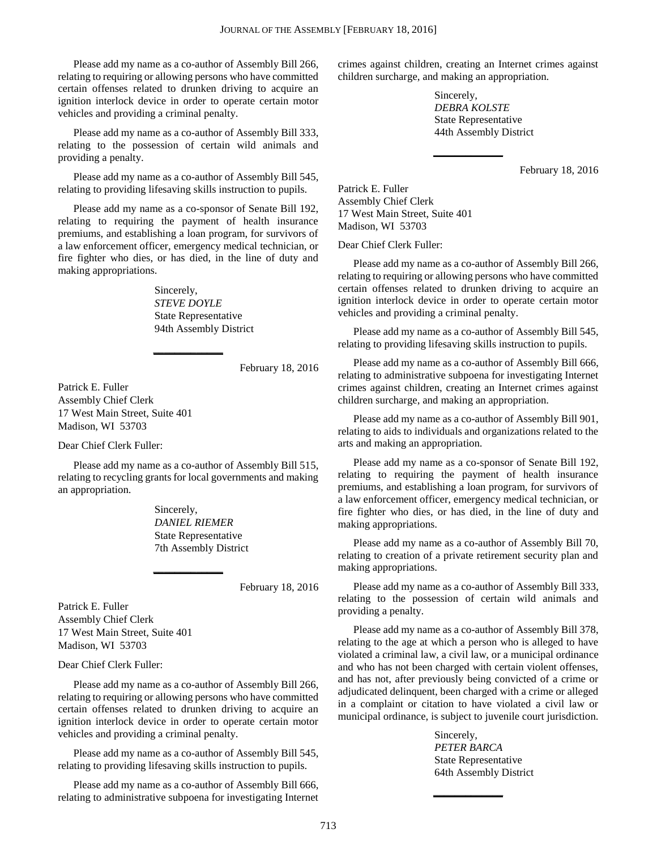Please add my name as a co-author of Assembly Bill 266, relating to requiring or allowing persons who have committed certain offenses related to drunken driving to acquire an ignition interlock device in order to operate certain motor vehicles and providing a criminal penalty.

Please add my name as a co-author of Assembly Bill 333, relating to the possession of certain wild animals and providing a penalty.

Please add my name as a co-author of Assembly Bill 545, relating to providing lifesaving skills instruction to pupils.

Please add my name as a co-sponsor of Senate Bill 192, relating to requiring the payment of health insurance premiums, and establishing a loan program, for survivors of a law enforcement officer, emergency medical technician, or fire fighter who dies, or has died, in the line of duty and making appropriations.

**\_\_\_\_\_\_\_\_\_\_\_\_\_**

Sincerely, *STEVE DOYLE* State Representative 94th Assembly District

February 18, 2016

Patrick E. Fuller Assembly Chief Clerk 17 West Main Street, Suite 401 Madison, WI 53703

Dear Chief Clerk Fuller:

Please add my name as a co-author of Assembly Bill 515, relating to recycling grants for local governments and making an appropriation.

**\_\_\_\_\_\_\_\_\_\_\_\_\_**

Sincerely, *DANIEL RIEMER* State Representative 7th Assembly District

February 18, 2016

Patrick E. Fuller Assembly Chief Clerk 17 West Main Street, Suite 401 Madison, WI 53703

Dear Chief Clerk Fuller:

Please add my name as a co-author of Assembly Bill 266, relating to requiring or allowing persons who have committed certain offenses related to drunken driving to acquire an ignition interlock device in order to operate certain motor vehicles and providing a criminal penalty.

Please add my name as a co-author of Assembly Bill 545, relating to providing lifesaving skills instruction to pupils.

Please add my name as a co-author of Assembly Bill 666, relating to administrative subpoena for investigating Internet crimes against children, creating an Internet crimes against children surcharge, and making an appropriation.

**\_\_\_\_\_\_\_\_\_\_\_\_\_**

Sincerely, *DEBRA KOLSTE* State Representative 44th Assembly District

February 18, 2016

Patrick E. Fuller Assembly Chief Clerk 17 West Main Street, Suite 401 Madison, WI 53703

Dear Chief Clerk Fuller:

Please add my name as a co-author of Assembly Bill 266, relating to requiring or allowing persons who have committed certain offenses related to drunken driving to acquire an ignition interlock device in order to operate certain motor vehicles and providing a criminal penalty.

Please add my name as a co-author of Assembly Bill 545, relating to providing lifesaving skills instruction to pupils.

Please add my name as a co-author of Assembly Bill 666, relating to administrative subpoena for investigating Internet crimes against children, creating an Internet crimes against children surcharge, and making an appropriation.

Please add my name as a co-author of Assembly Bill 901, relating to aids to individuals and organizations related to the arts and making an appropriation.

Please add my name as a co-sponsor of Senate Bill 192, relating to requiring the payment of health insurance premiums, and establishing a loan program, for survivors of a law enforcement officer, emergency medical technician, or fire fighter who dies, or has died, in the line of duty and making appropriations.

Please add my name as a co-author of Assembly Bill 70, relating to creation of a private retirement security plan and making appropriations.

Please add my name as a co-author of Assembly Bill 333, relating to the possession of certain wild animals and providing a penalty.

Please add my name as a co-author of Assembly Bill 378, relating to the age at which a person who is alleged to have violated a criminal law, a civil law, or a municipal ordinance and who has not been charged with certain violent offenses, and has not, after previously being convicted of a crime or adjudicated delinquent, been charged with a crime or alleged in a complaint or citation to have violated a civil law or municipal ordinance, is subject to juvenile court jurisdiction.

> Sincerely, *PETER BARCA* State Representative 64th Assembly District

**\_\_\_\_\_\_\_\_\_\_\_\_\_**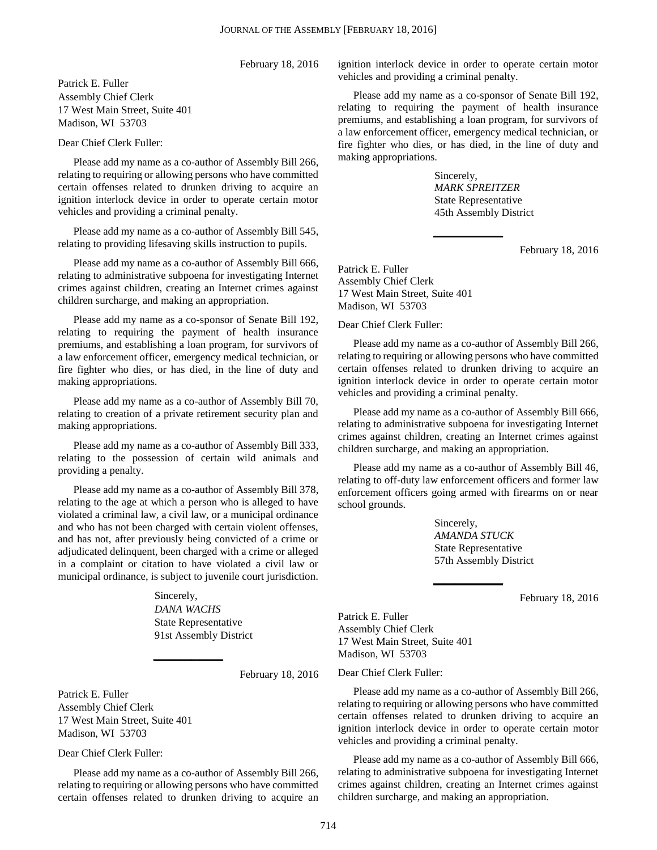February 18, 2016

Patrick E. Fuller Assembly Chief Clerk 17 West Main Street, Suite 401 Madison, WI 53703

Dear Chief Clerk Fuller:

Please add my name as a co-author of Assembly Bill 266, relating to requiring or allowing persons who have committed certain offenses related to drunken driving to acquire an ignition interlock device in order to operate certain motor vehicles and providing a criminal penalty.

Please add my name as a co-author of Assembly Bill 545, relating to providing lifesaving skills instruction to pupils.

Please add my name as a co-author of Assembly Bill 666, relating to administrative subpoena for investigating Internet crimes against children, creating an Internet crimes against children surcharge, and making an appropriation.

Please add my name as a co-sponsor of Senate Bill 192, relating to requiring the payment of health insurance premiums, and establishing a loan program, for survivors of a law enforcement officer, emergency medical technician, or fire fighter who dies, or has died, in the line of duty and making appropriations.

Please add my name as a co-author of Assembly Bill 70, relating to creation of a private retirement security plan and making appropriations.

Please add my name as a co-author of Assembly Bill 333, relating to the possession of certain wild animals and providing a penalty.

Please add my name as a co-author of Assembly Bill 378, relating to the age at which a person who is alleged to have violated a criminal law, a civil law, or a municipal ordinance and who has not been charged with certain violent offenses, and has not, after previously being convicted of a crime or adjudicated delinquent, been charged with a crime or alleged in a complaint or citation to have violated a civil law or municipal ordinance, is subject to juvenile court jurisdiction.

> Sincerely, *DANA WACHS* State Representative 91st Assembly District

**\_\_\_\_\_\_\_\_\_\_\_\_\_**

February 18, 2016

Patrick E. Fuller Assembly Chief Clerk 17 West Main Street, Suite 401 Madison, WI 53703

Dear Chief Clerk Fuller:

Please add my name as a co-author of Assembly Bill 266, relating to requiring or allowing persons who have committed certain offenses related to drunken driving to acquire an ignition interlock device in order to operate certain motor vehicles and providing a criminal penalty.

Please add my name as a co-sponsor of Senate Bill 192, relating to requiring the payment of health insurance premiums, and establishing a loan program, for survivors of a law enforcement officer, emergency medical technician, or fire fighter who dies, or has died, in the line of duty and making appropriations.

**\_\_\_\_\_\_\_\_\_\_\_\_\_**

Sincerely, *MARK SPREITZER* State Representative 45th Assembly District

February 18, 2016

Patrick E. Fuller Assembly Chief Clerk 17 West Main Street, Suite 401 Madison, WI 53703

Dear Chief Clerk Fuller:

Please add my name as a co-author of Assembly Bill 266, relating to requiring or allowing persons who have committed certain offenses related to drunken driving to acquire an ignition interlock device in order to operate certain motor vehicles and providing a criminal penalty.

Please add my name as a co-author of Assembly Bill 666, relating to administrative subpoena for investigating Internet crimes against children, creating an Internet crimes against children surcharge, and making an appropriation.

Please add my name as a co-author of Assembly Bill 46, relating to off-duty law enforcement officers and former law enforcement officers going armed with firearms on or near school grounds.

**\_\_\_\_\_\_\_\_\_\_\_\_\_**

Sincerely, *AMANDA STUCK* State Representative 57th Assembly District

February 18, 2016

Patrick E. Fuller Assembly Chief Clerk 17 West Main Street, Suite 401 Madison, WI 53703

Dear Chief Clerk Fuller:

Please add my name as a co-author of Assembly Bill 266, relating to requiring or allowing persons who have committed certain offenses related to drunken driving to acquire an ignition interlock device in order to operate certain motor vehicles and providing a criminal penalty.

Please add my name as a co-author of Assembly Bill 666, relating to administrative subpoena for investigating Internet crimes against children, creating an Internet crimes against children surcharge, and making an appropriation.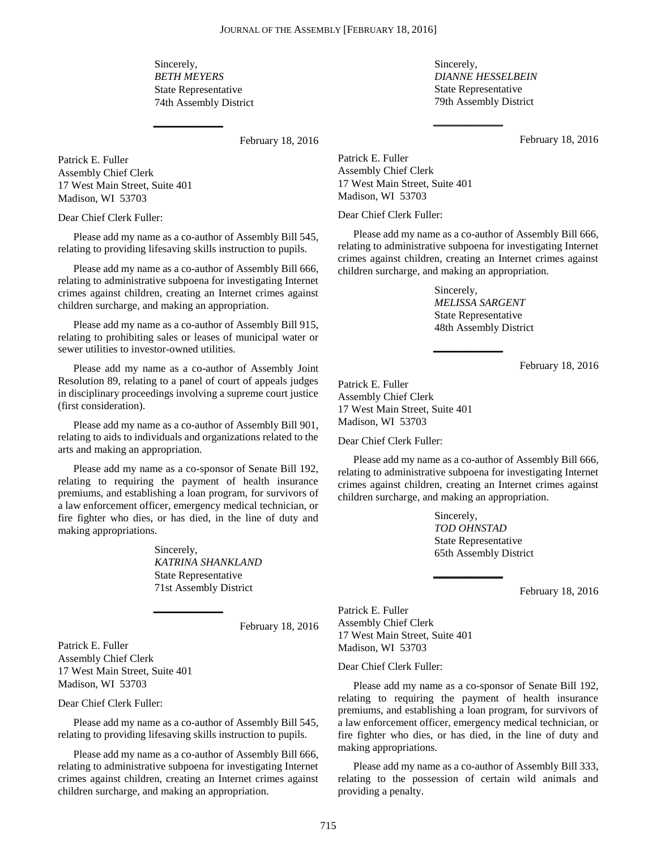Sincerely, *BETH MEYERS* State Representative 74th Assembly District

**\_\_\_\_\_\_\_\_\_\_\_\_\_**

February 18, 2016

Patrick E. Fuller Assembly Chief Clerk 17 West Main Street, Suite 401 Madison, WI 53703

Dear Chief Clerk Fuller:

Please add my name as a co-author of Assembly Bill 545, relating to providing lifesaving skills instruction to pupils.

Please add my name as a co-author of Assembly Bill 666, relating to administrative subpoena for investigating Internet crimes against children, creating an Internet crimes against children surcharge, and making an appropriation.

Please add my name as a co-author of Assembly Bill 915, relating to prohibiting sales or leases of municipal water or sewer utilities to investor-owned utilities.

Please add my name as a co-author of Assembly Joint Resolution 89, relating to a panel of court of appeals judges in disciplinary proceedings involving a supreme court justice (first consideration).

Please add my name as a co-author of Assembly Bill 901, relating to aids to individuals and organizations related to the arts and making an appropriation.

Please add my name as a co-sponsor of Senate Bill 192, relating to requiring the payment of health insurance premiums, and establishing a loan program, for survivors of a law enforcement officer, emergency medical technician, or fire fighter who dies, or has died, in the line of duty and making appropriations.

**\_\_\_\_\_\_\_\_\_\_\_\_\_**

Sincerely, *KATRINA SHANKLAND* State Representative 71st Assembly District

February 18, 2016

Patrick E. Fuller Assembly Chief Clerk 17 West Main Street, Suite 401 Madison, WI 53703

Dear Chief Clerk Fuller:

Please add my name as a co-author of Assembly Bill 545, relating to providing lifesaving skills instruction to pupils.

Please add my name as a co-author of Assembly Bill 666, relating to administrative subpoena for investigating Internet crimes against children, creating an Internet crimes against children surcharge, and making an appropriation.

Sincerely, *DIANNE HESSELBEIN* State Representative 79th Assembly District

**\_\_\_\_\_\_\_\_\_\_\_\_\_**

February 18, 2016

Patrick E. Fuller Assembly Chief Clerk 17 West Main Street, Suite 401 Madison, WI 53703

Dear Chief Clerk Fuller:

Please add my name as a co-author of Assembly Bill 666, relating to administrative subpoena for investigating Internet crimes against children, creating an Internet crimes against children surcharge, and making an appropriation.

**\_\_\_\_\_\_\_\_\_\_\_\_\_**

Sincerely, *MELISSA SARGENT* State Representative 48th Assembly District

February 18, 2016

Patrick E. Fuller Assembly Chief Clerk 17 West Main Street, Suite 401 Madison, WI 53703

Dear Chief Clerk Fuller:

Please add my name as a co-author of Assembly Bill 666, relating to administrative subpoena for investigating Internet crimes against children, creating an Internet crimes against children surcharge, and making an appropriation.

**\_\_\_\_\_\_\_\_\_\_\_\_\_**

Sincerely, *TOD OHNSTAD* State Representative 65th Assembly District

February 18, 2016

Patrick E. Fuller Assembly Chief Clerk 17 West Main Street, Suite 401 Madison, WI 53703

Dear Chief Clerk Fuller:

Please add my name as a co-sponsor of Senate Bill 192, relating to requiring the payment of health insurance premiums, and establishing a loan program, for survivors of a law enforcement officer, emergency medical technician, or fire fighter who dies, or has died, in the line of duty and making appropriations.

Please add my name as a co-author of Assembly Bill 333, relating to the possession of certain wild animals and providing a penalty.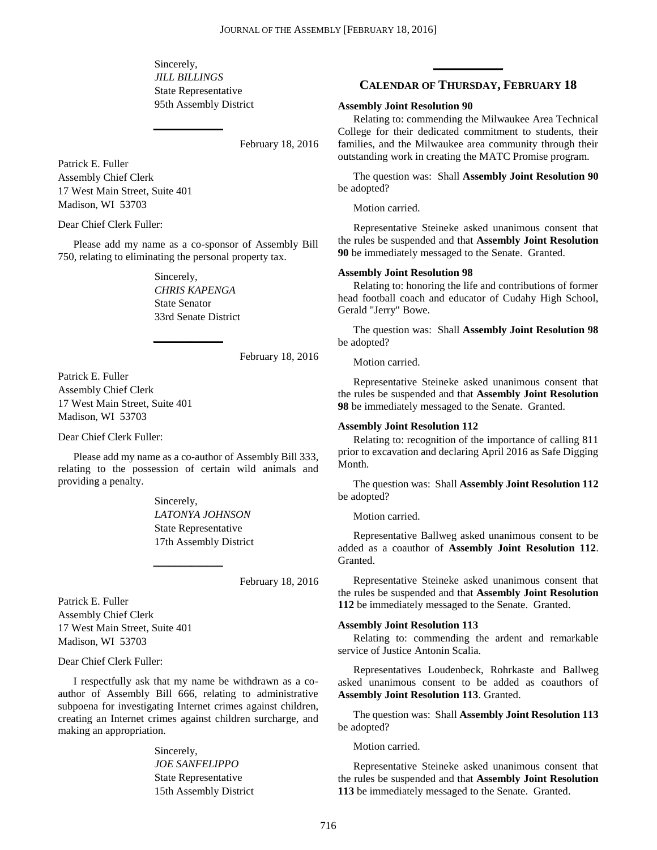Sincerely, *JILL BILLINGS* State Representative 95th Assembly District

**\_\_\_\_\_\_\_\_\_\_\_\_\_**

February 18, 2016

Patrick E. Fuller Assembly Chief Clerk 17 West Main Street, Suite 401 Madison, WI 53703

Dear Chief Clerk Fuller:

Please add my name as a co-sponsor of Assembly Bill 750, relating to eliminating the personal property tax.

> Sincerely, *CHRIS KAPENGA* State Senator 33rd Senate District

**\_\_\_\_\_\_\_\_\_\_\_\_\_**

February 18, 2016

Patrick E. Fuller Assembly Chief Clerk 17 West Main Street, Suite 401 Madison, WI 53703

Dear Chief Clerk Fuller:

Please add my name as a co-author of Assembly Bill 333, relating to the possession of certain wild animals and providing a penalty.

**\_\_\_\_\_\_\_\_\_\_\_\_\_**

Sincerely, *LATONYA JOHNSON* State Representative 17th Assembly District

February 18, 2016

Patrick E. Fuller Assembly Chief Clerk 17 West Main Street, Suite 401 Madison, WI 53703

Dear Chief Clerk Fuller:

I respectfully ask that my name be withdrawn as a coauthor of Assembly Bill 666, relating to administrative subpoena for investigating Internet crimes against children, creating an Internet crimes against children surcharge, and making an appropriation.

> Sincerely, *JOE SANFELIPPO* State Representative 15th Assembly District

# **\_\_\_\_\_\_\_\_\_\_\_\_\_ CALENDAR OF THURSDAY, FEBRUARY 18**

#### **Assembly Joint Resolution 90**

Relating to: commending the Milwaukee Area Technical College for their dedicated commitment to students, their families, and the Milwaukee area community through their outstanding work in creating the MATC Promise program.

The question was: Shall **Assembly Joint Resolution 90** be adopted?

Motion carried.

Representative Steineke asked unanimous consent that the rules be suspended and that **Assembly Joint Resolution 90** be immediately messaged to the Senate. Granted.

### **Assembly Joint Resolution 98**

Relating to: honoring the life and contributions of former head football coach and educator of Cudahy High School, Gerald "Jerry" Bowe.

The question was: Shall **Assembly Joint Resolution 98** be adopted?

Motion carried.

Representative Steineke asked unanimous consent that the rules be suspended and that **Assembly Joint Resolution 98** be immediately messaged to the Senate. Granted.

### **Assembly Joint Resolution 112**

Relating to: recognition of the importance of calling 811 prior to excavation and declaring April 2016 as Safe Digging Month.

The question was: Shall **Assembly Joint Resolution 112** be adopted?

Motion carried.

Representative Ballweg asked unanimous consent to be added as a coauthor of **Assembly Joint Resolution 112**. Granted.

Representative Steineke asked unanimous consent that the rules be suspended and that **Assembly Joint Resolution 112** be immediately messaged to the Senate. Granted.

### **Assembly Joint Resolution 113**

Relating to: commending the ardent and remarkable service of Justice Antonin Scalia.

Representatives Loudenbeck, Rohrkaste and Ballweg asked unanimous consent to be added as coauthors of **Assembly Joint Resolution 113**. Granted.

The question was: Shall **Assembly Joint Resolution 113** be adopted?

Motion carried.

Representative Steineke asked unanimous consent that the rules be suspended and that **Assembly Joint Resolution 113** be immediately messaged to the Senate. Granted.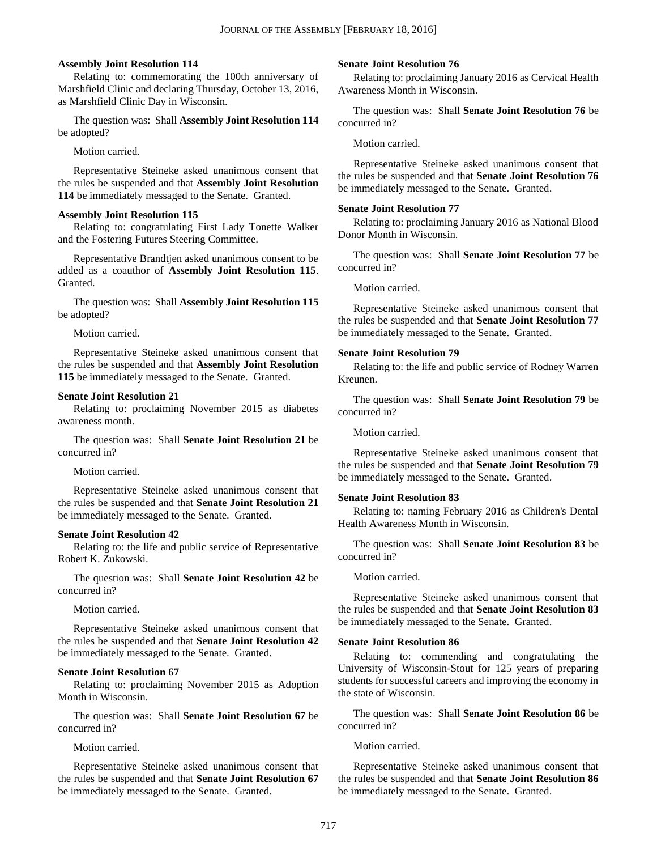#### **Assembly Joint Resolution 114**

Relating to: commemorating the 100th anniversary of Marshfield Clinic and declaring Thursday, October 13, 2016, as Marshfield Clinic Day in Wisconsin.

The question was: Shall **Assembly Joint Resolution 114** be adopted?

Motion carried.

Representative Steineke asked unanimous consent that the rules be suspended and that **Assembly Joint Resolution 114** be immediately messaged to the Senate. Granted.

#### **Assembly Joint Resolution 115**

Relating to: congratulating First Lady Tonette Walker and the Fostering Futures Steering Committee.

Representative Brandtjen asked unanimous consent to be added as a coauthor of **Assembly Joint Resolution 115**. Granted.

The question was: Shall **Assembly Joint Resolution 115** be adopted?

#### Motion carried.

Representative Steineke asked unanimous consent that the rules be suspended and that **Assembly Joint Resolution 115** be immediately messaged to the Senate. Granted.

### **Senate Joint Resolution 21**

Relating to: proclaiming November 2015 as diabetes awareness month.

The question was: Shall **Senate Joint Resolution 21** be concurred in?

### Motion carried.

Representative Steineke asked unanimous consent that the rules be suspended and that **Senate Joint Resolution 21** be immediately messaged to the Senate. Granted.

#### **Senate Joint Resolution 42**

Relating to: the life and public service of Representative Robert K. Zukowski.

The question was: Shall **Senate Joint Resolution 42** be concurred in?

Motion carried.

Representative Steineke asked unanimous consent that the rules be suspended and that **Senate Joint Resolution 42** be immediately messaged to the Senate. Granted.

#### **Senate Joint Resolution 67**

Relating to: proclaiming November 2015 as Adoption Month in Wisconsin.

The question was: Shall **Senate Joint Resolution 67** be concurred in?

### Motion carried.

Representative Steineke asked unanimous consent that the rules be suspended and that **Senate Joint Resolution 67** be immediately messaged to the Senate. Granted.

#### **Senate Joint Resolution 76**

Relating to: proclaiming January 2016 as Cervical Health Awareness Month in Wisconsin.

The question was: Shall **Senate Joint Resolution 76** be concurred in?

Motion carried.

Representative Steineke asked unanimous consent that the rules be suspended and that **Senate Joint Resolution 76** be immediately messaged to the Senate. Granted.

#### **Senate Joint Resolution 77**

Relating to: proclaiming January 2016 as National Blood Donor Month in Wisconsin.

The question was: Shall **Senate Joint Resolution 77** be concurred in?

Motion carried.

Representative Steineke asked unanimous consent that the rules be suspended and that **Senate Joint Resolution 77** be immediately messaged to the Senate. Granted.

#### **Senate Joint Resolution 79**

Relating to: the life and public service of Rodney Warren Kreunen.

The question was: Shall **Senate Joint Resolution 79** be concurred in?

Motion carried.

Representative Steineke asked unanimous consent that the rules be suspended and that **Senate Joint Resolution 79** be immediately messaged to the Senate. Granted.

#### **Senate Joint Resolution 83**

Relating to: naming February 2016 as Children's Dental Health Awareness Month in Wisconsin.

The question was: Shall **Senate Joint Resolution 83** be concurred in?

Motion carried.

Representative Steineke asked unanimous consent that the rules be suspended and that **Senate Joint Resolution 83** be immediately messaged to the Senate. Granted.

#### **Senate Joint Resolution 86**

Relating to: commending and congratulating the University of Wisconsin-Stout for 125 years of preparing students for successful careers and improving the economy in the state of Wisconsin.

The question was: Shall **Senate Joint Resolution 86** be concurred in?

Motion carried.

Representative Steineke asked unanimous consent that the rules be suspended and that **Senate Joint Resolution 86** be immediately messaged to the Senate. Granted.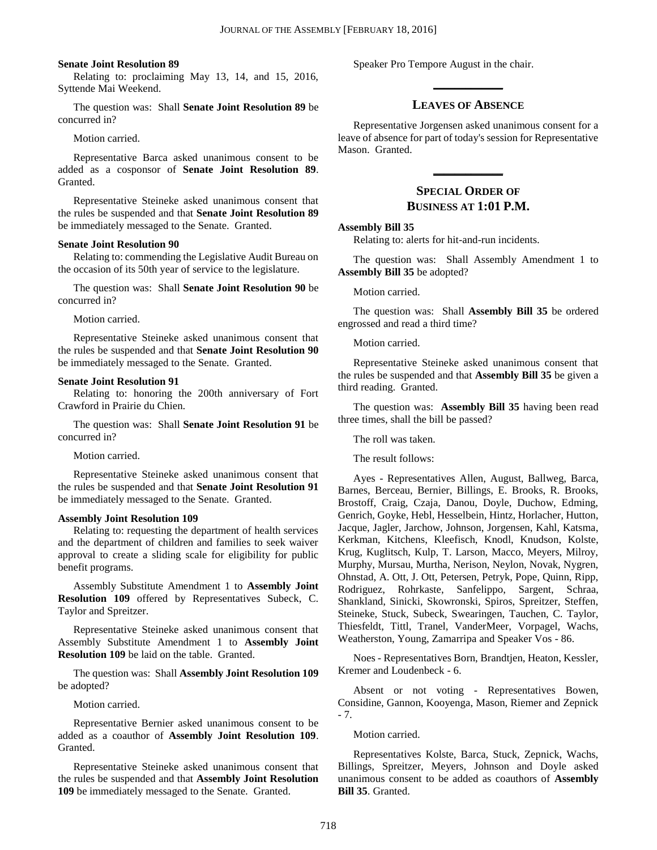#### **Senate Joint Resolution 89**

Relating to: proclaiming May 13, 14, and 15, 2016, Syttende Mai Weekend.

The question was: Shall **Senate Joint Resolution 89** be concurred in?

#### Motion carried.

Representative Barca asked unanimous consent to be added as a cosponsor of **Senate Joint Resolution 89**. Granted.

Representative Steineke asked unanimous consent that the rules be suspended and that **Senate Joint Resolution 89** be immediately messaged to the Senate. Granted.

### **Senate Joint Resolution 90**

Relating to: commending the Legislative Audit Bureau on the occasion of its 50th year of service to the legislature.

The question was: Shall **Senate Joint Resolution 90** be concurred in?

#### Motion carried.

Representative Steineke asked unanimous consent that the rules be suspended and that **Senate Joint Resolution 90** be immediately messaged to the Senate. Granted.

#### **Senate Joint Resolution 91**

Relating to: honoring the 200th anniversary of Fort Crawford in Prairie du Chien.

The question was: Shall **Senate Joint Resolution 91** be concurred in?

#### Motion carried.

Representative Steineke asked unanimous consent that the rules be suspended and that **Senate Joint Resolution 91** be immediately messaged to the Senate. Granted.

#### **Assembly Joint Resolution 109**

Relating to: requesting the department of health services and the department of children and families to seek waiver approval to create a sliding scale for eligibility for public benefit programs.

Assembly Substitute Amendment 1 to **Assembly Joint Resolution 109** offered by Representatives Subeck, C. Taylor and Spreitzer.

Representative Steineke asked unanimous consent that Assembly Substitute Amendment 1 to **Assembly Joint Resolution 109** be laid on the table. Granted.

The question was: Shall **Assembly Joint Resolution 109** be adopted?

Motion carried.

Representative Bernier asked unanimous consent to be added as a coauthor of **Assembly Joint Resolution 109**. Granted.

Representative Steineke asked unanimous consent that the rules be suspended and that **Assembly Joint Resolution 109** be immediately messaged to the Senate. Granted.

Speaker Pro Tempore August in the chair.

# **\_\_\_\_\_\_\_\_\_\_\_\_\_ LEAVES OF ABSENCE**

Representative Jorgensen asked unanimous consent for a leave of absence for part of today's session for Representative Mason. Granted.

### **SPECIAL ORDER OF BUSINESS AT 1:01 P.M.**

**\_\_\_\_\_\_\_\_\_\_\_\_\_**

#### **Assembly Bill 35**

Relating to: alerts for hit-and-run incidents.

The question was: Shall Assembly Amendment 1 to **Assembly Bill 35** be adopted?

Motion carried.

The question was: Shall **Assembly Bill 35** be ordered engrossed and read a third time?

Motion carried.

Representative Steineke asked unanimous consent that the rules be suspended and that **Assembly Bill 35** be given a third reading. Granted.

The question was: **Assembly Bill 35** having been read three times, shall the bill be passed?

The roll was taken.

The result follows:

Ayes - Representatives Allen, August, Ballweg, Barca, Barnes, Berceau, Bernier, Billings, E. Brooks, R. Brooks, Brostoff, Craig, Czaja, Danou, Doyle, Duchow, Edming, Genrich, Goyke, Hebl, Hesselbein, Hintz, Horlacher, Hutton, Jacque, Jagler, Jarchow, Johnson, Jorgensen, Kahl, Katsma, Kerkman, Kitchens, Kleefisch, Knodl, Knudson, Kolste, Krug, Kuglitsch, Kulp, T. Larson, Macco, Meyers, Milroy, Murphy, Mursau, Murtha, Nerison, Neylon, Novak, Nygren, Ohnstad, A. Ott, J. Ott, Petersen, Petryk, Pope, Quinn, Ripp, Rodriguez, Rohrkaste, Sanfelippo, Sargent, Schraa, Shankland, Sinicki, Skowronski, Spiros, Spreitzer, Steffen, Steineke, Stuck, Subeck, Swearingen, Tauchen, C. Taylor, Thiesfeldt, Tittl, Tranel, VanderMeer, Vorpagel, Wachs, Weatherston, Young, Zamarripa and Speaker Vos - 86.

Noes - Representatives Born, Brandtjen, Heaton, Kessler, Kremer and Loudenbeck - 6.

Absent or not voting - Representatives Bowen, Considine, Gannon, Kooyenga, Mason, Riemer and Zepnick - 7.

Motion carried.

Representatives Kolste, Barca, Stuck, Zepnick, Wachs, Billings, Spreitzer, Meyers, Johnson and Doyle asked unanimous consent to be added as coauthors of **Assembly Bill 35**. Granted.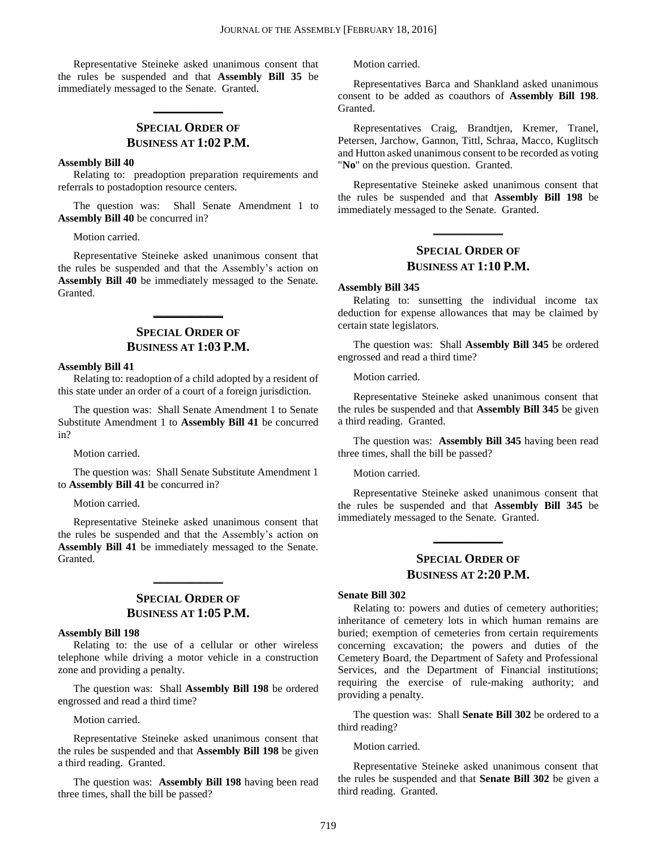Representative Steineke asked unanimous consent that the rules be suspended and that **Assembly Bill 35** be immediately messaged to the Senate. Granted.

### **SPECIAL ORDER OF BUSINESS AT 1:02 P.M.**

**\_\_\_\_\_\_\_\_\_\_\_\_\_**

#### **Assembly Bill 40**

Relating to: preadoption preparation requirements and referrals to postadoption resource centers.

The question was: Shall Senate Amendment 1 to **Assembly Bill 40** be concurred in?

Motion carried.

Representative Steineke asked unanimous consent that the rules be suspended and that the Assembly's action on **Assembly Bill 40** be immediately messaged to the Senate. Granted.

### **SPECIAL ORDER OF BUSINESS AT 1:03 P.M.**

**\_\_\_\_\_\_\_\_\_\_\_\_\_**

#### **Assembly Bill 41**

Relating to: readoption of a child adopted by a resident of this state under an order of a court of a foreign jurisdiction.

The question was: Shall Senate Amendment 1 to Senate Substitute Amendment 1 to **Assembly Bill 41** be concurred in?

Motion carried.

The question was: Shall Senate Substitute Amendment 1 to **Assembly Bill 41** be concurred in?

Motion carried.

Representative Steineke asked unanimous consent that the rules be suspended and that the Assembly's action on **Assembly Bill 41** be immediately messaged to the Senate. Granted.

### **SPECIAL ORDER OF BUSINESS AT 1:05 P.M.**

**\_\_\_\_\_\_\_\_\_\_\_\_\_**

### **Assembly Bill 198**

Relating to: the use of a cellular or other wireless telephone while driving a motor vehicle in a construction zone and providing a penalty.

The question was: Shall **Assembly Bill 198** be ordered engrossed and read a third time?

Motion carried.

Representative Steineke asked unanimous consent that the rules be suspended and that **Assembly Bill 198** be given a third reading. Granted.

The question was: **Assembly Bill 198** having been read three times, shall the bill be passed?

Motion carried.

Representatives Barca and Shankland asked unanimous consent to be added as coauthors of **Assembly Bill 198**. Granted.

Representatives Craig, Brandtjen, Kremer, Tranel, Petersen, Jarchow, Gannon, Tittl, Schraa, Macco, Kuglitsch and Hutton asked unanimous consent to be recorded as voting "**No**" on the previous question. Granted.

Representative Steineke asked unanimous consent that the rules be suspended and that **Assembly Bill 198** be immediately messaged to the Senate. Granted.

### **SPECIAL ORDER OF BUSINESS AT 1:10 P.M.**

**\_\_\_\_\_\_\_\_\_\_\_\_\_**

#### **Assembly Bill 345**

Relating to: sunsetting the individual income tax deduction for expense allowances that may be claimed by certain state legislators.

The question was: Shall **Assembly Bill 345** be ordered engrossed and read a third time?

Motion carried.

Representative Steineke asked unanimous consent that the rules be suspended and that **Assembly Bill 345** be given a third reading. Granted.

The question was: **Assembly Bill 345** having been read three times, shall the bill be passed?

Motion carried.

Representative Steineke asked unanimous consent that the rules be suspended and that **Assembly Bill 345** be immediately messaged to the Senate. Granted.

**\_\_\_\_\_\_\_\_\_\_\_\_\_**

### **SPECIAL ORDER OF BUSINESS AT 2:20 P.M.**

### **Senate Bill 302**

Relating to: powers and duties of cemetery authorities; inheritance of cemetery lots in which human remains are buried; exemption of cemeteries from certain requirements concerning excavation; the powers and duties of the Cemetery Board, the Department of Safety and Professional Services, and the Department of Financial institutions; requiring the exercise of rule-making authority; and providing a penalty.

The question was: Shall **Senate Bill 302** be ordered to a third reading?

Motion carried.

Representative Steineke asked unanimous consent that the rules be suspended and that **Senate Bill 302** be given a third reading. Granted.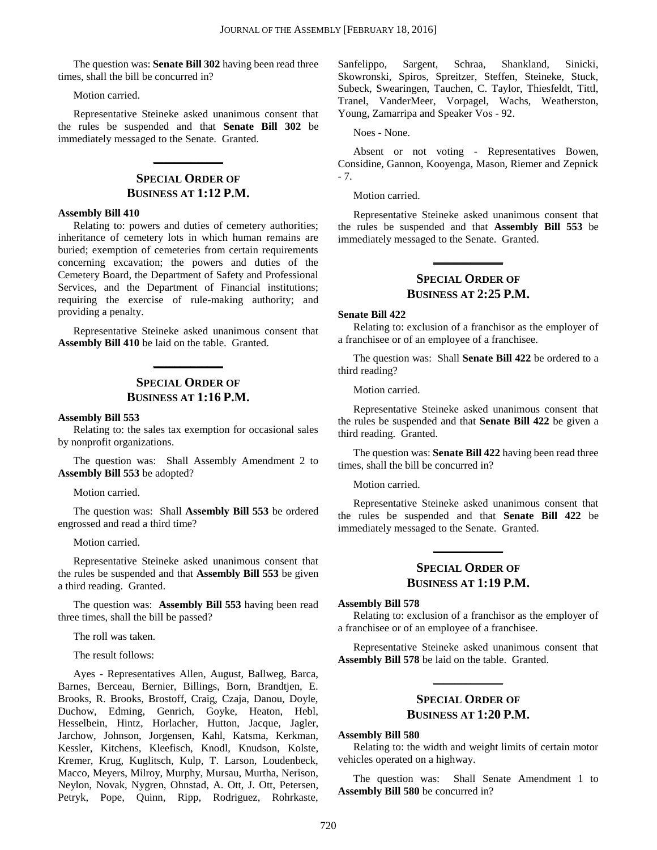The question was: **Senate Bill 302** having been read three times, shall the bill be concurred in?

Motion carried.

Representative Steineke asked unanimous consent that the rules be suspended and that **Senate Bill 302** be immediately messaged to the Senate. Granted.

**\_\_\_\_\_\_\_\_\_\_\_\_\_**

### **SPECIAL ORDER OF BUSINESS AT 1:12 P.M.**

### **Assembly Bill 410**

Relating to: powers and duties of cemetery authorities; inheritance of cemetery lots in which human remains are buried; exemption of cemeteries from certain requirements concerning excavation; the powers and duties of the Cemetery Board, the Department of Safety and Professional Services, and the Department of Financial institutions; requiring the exercise of rule-making authority; and providing a penalty.

Representative Steineke asked unanimous consent that **Assembly Bill 410** be laid on the table. Granted.

**\_\_\_\_\_\_\_\_\_\_\_\_\_**

### **SPECIAL ORDER OF BUSINESS AT 1:16 P.M.**

#### **Assembly Bill 553**

Relating to: the sales tax exemption for occasional sales by nonprofit organizations.

The question was: Shall Assembly Amendment 2 to **Assembly Bill 553** be adopted?

Motion carried.

The question was: Shall **Assembly Bill 553** be ordered engrossed and read a third time?

Motion carried.

Representative Steineke asked unanimous consent that the rules be suspended and that **Assembly Bill 553** be given a third reading. Granted.

The question was: **Assembly Bill 553** having been read three times, shall the bill be passed?

The roll was taken.

The result follows:

Ayes - Representatives Allen, August, Ballweg, Barca, Barnes, Berceau, Bernier, Billings, Born, Brandtjen, E. Brooks, R. Brooks, Brostoff, Craig, Czaja, Danou, Doyle, Duchow, Edming, Genrich, Goyke, Heaton, Hebl, Hesselbein, Hintz, Horlacher, Hutton, Jacque, Jagler, Jarchow, Johnson, Jorgensen, Kahl, Katsma, Kerkman, Kessler, Kitchens, Kleefisch, Knodl, Knudson, Kolste, Kremer, Krug, Kuglitsch, Kulp, T. Larson, Loudenbeck, Macco, Meyers, Milroy, Murphy, Mursau, Murtha, Nerison, Neylon, Novak, Nygren, Ohnstad, A. Ott, J. Ott, Petersen, Petryk, Pope, Quinn, Ripp, Rodriguez, Rohrkaste,

Sanfelippo, Sargent, Schraa, Shankland, Sinicki, Skowronski, Spiros, Spreitzer, Steffen, Steineke, Stuck, Subeck, Swearingen, Tauchen, C. Taylor, Thiesfeldt, Tittl, Tranel, VanderMeer, Vorpagel, Wachs, Weatherston, Young, Zamarripa and Speaker Vos - 92.

Noes - None.

Absent or not voting - Representatives Bowen, Considine, Gannon, Kooyenga, Mason, Riemer and Zepnick - 7.

Motion carried.

Representative Steineke asked unanimous consent that the rules be suspended and that **Assembly Bill 553** be immediately messaged to the Senate. Granted.

### **SPECIAL ORDER OF BUSINESS AT 2:25 P.M.**

**\_\_\_\_\_\_\_\_\_\_\_\_\_**

#### **Senate Bill 422**

Relating to: exclusion of a franchisor as the employer of a franchisee or of an employee of a franchisee.

The question was: Shall **Senate Bill 422** be ordered to a third reading?

Motion carried.

Representative Steineke asked unanimous consent that the rules be suspended and that **Senate Bill 422** be given a third reading. Granted.

The question was: **Senate Bill 422** having been read three times, shall the bill be concurred in?

Motion carried.

Representative Steineke asked unanimous consent that the rules be suspended and that **Senate Bill 422** be immediately messaged to the Senate. Granted.

### **SPECIAL ORDER OF BUSINESS AT 1:19 P.M.**

**\_\_\_\_\_\_\_\_\_\_\_\_\_**

#### **Assembly Bill 578**

Relating to: exclusion of a franchisor as the employer of a franchisee or of an employee of a franchisee.

Representative Steineke asked unanimous consent that **Assembly Bill 578** be laid on the table. Granted.

**\_\_\_\_\_\_\_\_\_\_\_\_\_**

### **SPECIAL ORDER OF BUSINESS AT 1:20 P.M.**

#### **Assembly Bill 580**

Relating to: the width and weight limits of certain motor vehicles operated on a highway.

The question was: Shall Senate Amendment 1 to **Assembly Bill 580** be concurred in?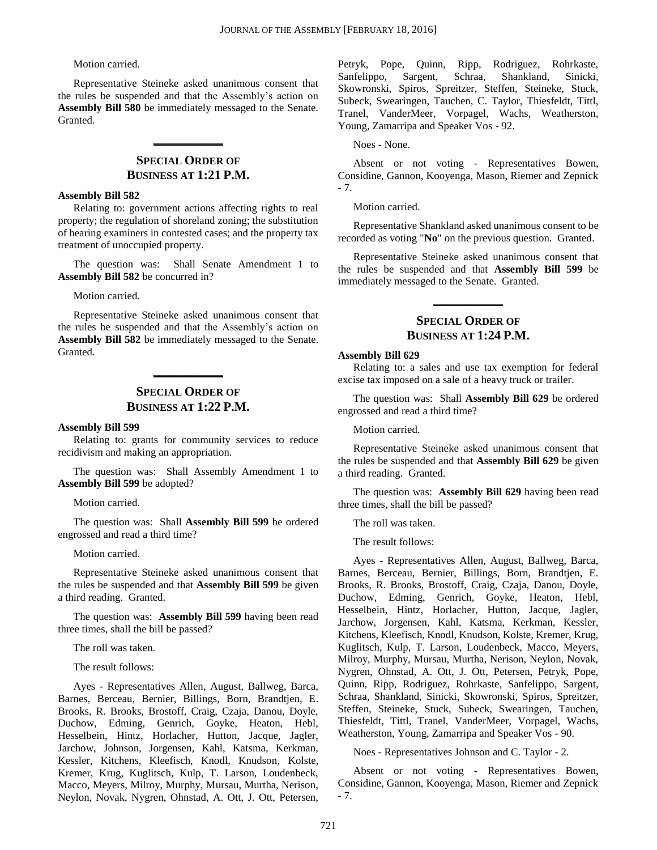Motion carried.

Representative Steineke asked unanimous consent that the rules be suspended and that the Assembly's action on **Assembly Bill 580** be immediately messaged to the Senate. Granted.

### **SPECIAL ORDER OF BUSINESS AT 1:21 P.M.**

**\_\_\_\_\_\_\_\_\_\_\_\_\_**

#### **Assembly Bill 582**

Relating to: government actions affecting rights to real property; the regulation of shoreland zoning; the substitution of hearing examiners in contested cases; and the property tax treatment of unoccupied property.

The question was: Shall Senate Amendment 1 to **Assembly Bill 582** be concurred in?

Motion carried.

Representative Steineke asked unanimous consent that the rules be suspended and that the Assembly's action on **Assembly Bill 582** be immediately messaged to the Senate. Granted.

### **SPECIAL ORDER OF BUSINESS AT 1:22 P.M.**

**\_\_\_\_\_\_\_\_\_\_\_\_\_**

#### **Assembly Bill 599**

Relating to: grants for community services to reduce recidivism and making an appropriation.

The question was: Shall Assembly Amendment 1 to **Assembly Bill 599** be adopted?

Motion carried.

The question was: Shall **Assembly Bill 599** be ordered engrossed and read a third time?

Motion carried.

Representative Steineke asked unanimous consent that the rules be suspended and that **Assembly Bill 599** be given a third reading. Granted.

The question was: **Assembly Bill 599** having been read three times, shall the bill be passed?

The roll was taken.

The result follows:

Ayes - Representatives Allen, August, Ballweg, Barca, Barnes, Berceau, Bernier, Billings, Born, Brandtjen, E. Brooks, R. Brooks, Brostoff, Craig, Czaja, Danou, Doyle, Duchow, Edming, Genrich, Goyke, Heaton, Hebl, Hesselbein, Hintz, Horlacher, Hutton, Jacque, Jagler, Jarchow, Johnson, Jorgensen, Kahl, Katsma, Kerkman, Kessler, Kitchens, Kleefisch, Knodl, Knudson, Kolste, Kremer, Krug, Kuglitsch, Kulp, T. Larson, Loudenbeck, Macco, Meyers, Milroy, Murphy, Mursau, Murtha, Nerison, Neylon, Novak, Nygren, Ohnstad, A. Ott, J. Ott, Petersen, Petryk, Pope, Quinn, Ripp, Rodriguez, Rohrkaste, Sanfelippo, Sargent, Schraa, Shankland, Sinicki, Skowronski, Spiros, Spreitzer, Steffen, Steineke, Stuck, Subeck, Swearingen, Tauchen, C. Taylor, Thiesfeldt, Tittl, Tranel, VanderMeer, Vorpagel, Wachs, Weatherston, Young, Zamarripa and Speaker Vos - 92.

Noes - None.

Absent or not voting - Representatives Bowen, Considine, Gannon, Kooyenga, Mason, Riemer and Zepnick - 7.

Motion carried.

Representative Shankland asked unanimous consent to be recorded as voting "**No**" on the previous question. Granted.

Representative Steineke asked unanimous consent that the rules be suspended and that **Assembly Bill 599** be immediately messaged to the Senate. Granted.

### **SPECIAL ORDER OF BUSINESS AT 1:24 P.M.**

**\_\_\_\_\_\_\_\_\_\_\_\_\_**

#### **Assembly Bill 629**

Relating to: a sales and use tax exemption for federal excise tax imposed on a sale of a heavy truck or trailer.

The question was: Shall **Assembly Bill 629** be ordered engrossed and read a third time?

Motion carried.

Representative Steineke asked unanimous consent that the rules be suspended and that **Assembly Bill 629** be given a third reading. Granted.

The question was: **Assembly Bill 629** having been read three times, shall the bill be passed?

The roll was taken.

The result follows:

Ayes - Representatives Allen, August, Ballweg, Barca, Barnes, Berceau, Bernier, Billings, Born, Brandtjen, E. Brooks, R. Brooks, Brostoff, Craig, Czaja, Danou, Doyle, Duchow, Edming, Genrich, Goyke, Heaton, Hebl, Hesselbein, Hintz, Horlacher, Hutton, Jacque, Jagler, Jarchow, Jorgensen, Kahl, Katsma, Kerkman, Kessler, Kitchens, Kleefisch, Knodl, Knudson, Kolste, Kremer, Krug, Kuglitsch, Kulp, T. Larson, Loudenbeck, Macco, Meyers, Milroy, Murphy, Mursau, Murtha, Nerison, Neylon, Novak, Nygren, Ohnstad, A. Ott, J. Ott, Petersen, Petryk, Pope, Quinn, Ripp, Rodriguez, Rohrkaste, Sanfelippo, Sargent, Schraa, Shankland, Sinicki, Skowronski, Spiros, Spreitzer, Steffen, Steineke, Stuck, Subeck, Swearingen, Tauchen, Thiesfeldt, Tittl, Tranel, VanderMeer, Vorpagel, Wachs, Weatherston, Young, Zamarripa and Speaker Vos - 90.

Noes - Representatives Johnson and C. Taylor - 2.

Absent or not voting - Representatives Bowen, Considine, Gannon, Kooyenga, Mason, Riemer and Zepnick - 7.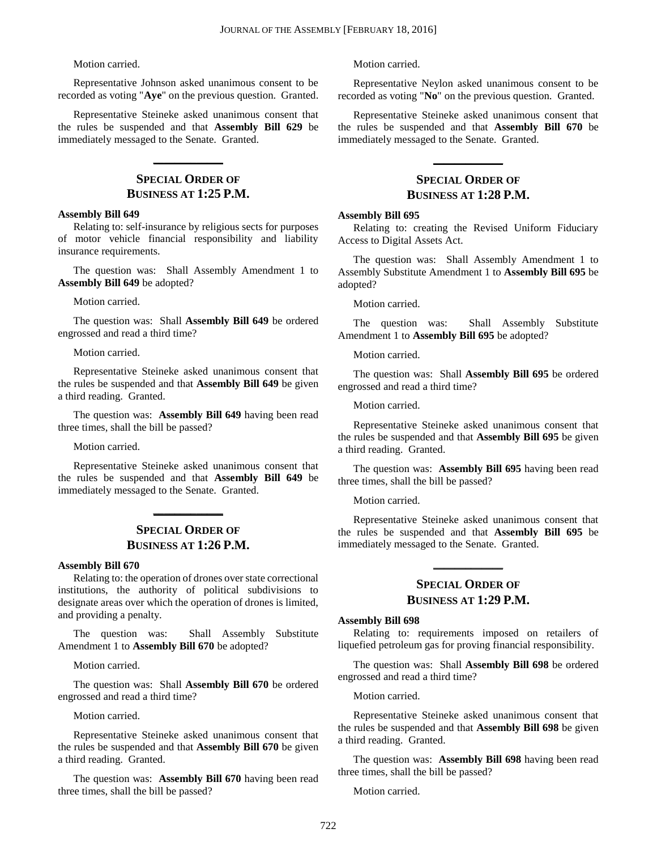Motion carried.

Representative Johnson asked unanimous consent to be recorded as voting "**Aye**" on the previous question. Granted.

Representative Steineke asked unanimous consent that the rules be suspended and that **Assembly Bill 629** be immediately messaged to the Senate. Granted.

**\_\_\_\_\_\_\_\_\_\_\_\_\_**

### **SPECIAL ORDER OF BUSINESS AT 1:25 P.M.**

#### **Assembly Bill 649**

Relating to: self-insurance by religious sects for purposes of motor vehicle financial responsibility and liability insurance requirements.

The question was: Shall Assembly Amendment 1 to **Assembly Bill 649** be adopted?

Motion carried.

The question was: Shall **Assembly Bill 649** be ordered engrossed and read a third time?

Motion carried.

Representative Steineke asked unanimous consent that the rules be suspended and that **Assembly Bill 649** be given a third reading. Granted.

The question was: **Assembly Bill 649** having been read three times, shall the bill be passed?

Motion carried.

Representative Steineke asked unanimous consent that the rules be suspended and that **Assembly Bill 649** be immediately messaged to the Senate. Granted.

### **SPECIAL ORDER OF BUSINESS AT 1:26 P.M.**

**\_\_\_\_\_\_\_\_\_\_\_\_\_**

#### **Assembly Bill 670**

Relating to: the operation of drones over state correctional institutions, the authority of political subdivisions to designate areas over which the operation of drones is limited, and providing a penalty.

The question was: Shall Assembly Substitute Amendment 1 to **Assembly Bill 670** be adopted?

Motion carried.

The question was: Shall **Assembly Bill 670** be ordered engrossed and read a third time?

Motion carried.

Representative Steineke asked unanimous consent that the rules be suspended and that **Assembly Bill 670** be given a third reading. Granted.

The question was: **Assembly Bill 670** having been read three times, shall the bill be passed?

Motion carried.

Representative Neylon asked unanimous consent to be recorded as voting "**No**" on the previous question. Granted.

Representative Steineke asked unanimous consent that the rules be suspended and that **Assembly Bill 670** be immediately messaged to the Senate. Granted.

### **SPECIAL ORDER OF BUSINESS AT 1:28 P.M.**

**\_\_\_\_\_\_\_\_\_\_\_\_\_**

#### **Assembly Bill 695**

Relating to: creating the Revised Uniform Fiduciary Access to Digital Assets Act.

The question was: Shall Assembly Amendment 1 to Assembly Substitute Amendment 1 to **Assembly Bill 695** be adopted?

Motion carried.

The question was: Shall Assembly Substitute Amendment 1 to **Assembly Bill 695** be adopted?

Motion carried.

The question was: Shall **Assembly Bill 695** be ordered engrossed and read a third time?

Motion carried.

Representative Steineke asked unanimous consent that the rules be suspended and that **Assembly Bill 695** be given a third reading. Granted.

The question was: **Assembly Bill 695** having been read three times, shall the bill be passed?

Motion carried.

Representative Steineke asked unanimous consent that the rules be suspended and that **Assembly Bill 695** be immediately messaged to the Senate. Granted.

### **SPECIAL ORDER OF BUSINESS AT 1:29 P.M.**

**\_\_\_\_\_\_\_\_\_\_\_\_\_**

### **Assembly Bill 698**

Relating to: requirements imposed on retailers of liquefied petroleum gas for proving financial responsibility.

The question was: Shall **Assembly Bill 698** be ordered engrossed and read a third time?

Motion carried.

Representative Steineke asked unanimous consent that the rules be suspended and that **Assembly Bill 698** be given a third reading. Granted.

The question was: **Assembly Bill 698** having been read three times, shall the bill be passed?

Motion carried.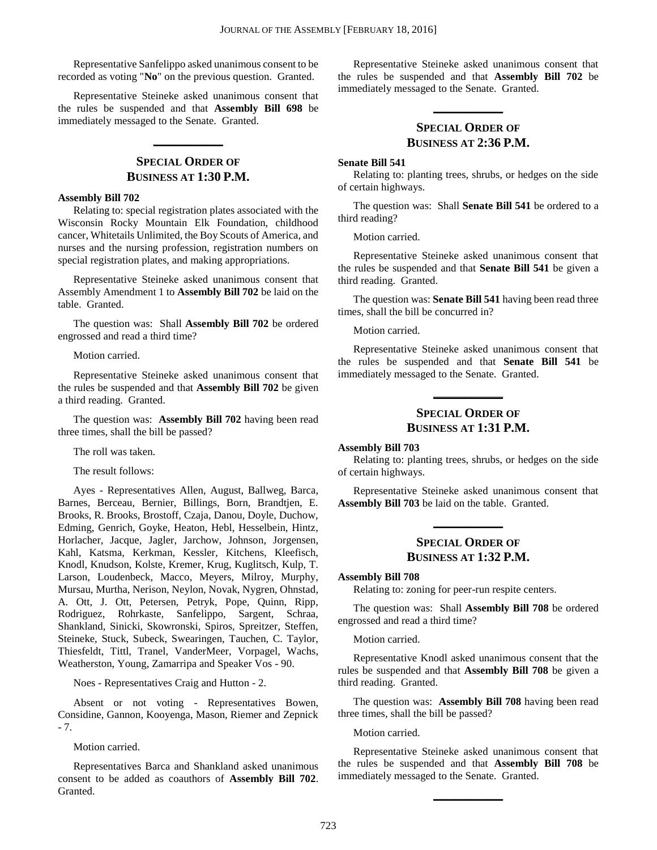Representative Sanfelippo asked unanimous consent to be recorded as voting "**No**" on the previous question. Granted.

Representative Steineke asked unanimous consent that the rules be suspended and that **Assembly Bill 698** be immediately messaged to the Senate. Granted.

### **SPECIAL ORDER OF BUSINESS AT 1:30 P.M.**

**\_\_\_\_\_\_\_\_\_\_\_\_\_**

#### **Assembly Bill 702**

Relating to: special registration plates associated with the Wisconsin Rocky Mountain Elk Foundation, childhood cancer, Whitetails Unlimited, the Boy Scouts of America, and nurses and the nursing profession, registration numbers on special registration plates, and making appropriations.

Representative Steineke asked unanimous consent that Assembly Amendment 1 to **Assembly Bill 702** be laid on the table. Granted.

The question was: Shall **Assembly Bill 702** be ordered engrossed and read a third time?

Motion carried.

Representative Steineke asked unanimous consent that the rules be suspended and that **Assembly Bill 702** be given a third reading. Granted.

The question was: **Assembly Bill 702** having been read three times, shall the bill be passed?

The roll was taken.

The result follows:

Ayes - Representatives Allen, August, Ballweg, Barca, Barnes, Berceau, Bernier, Billings, Born, Brandtjen, E. Brooks, R. Brooks, Brostoff, Czaja, Danou, Doyle, Duchow, Edming, Genrich, Goyke, Heaton, Hebl, Hesselbein, Hintz, Horlacher, Jacque, Jagler, Jarchow, Johnson, Jorgensen, Kahl, Katsma, Kerkman, Kessler, Kitchens, Kleefisch, Knodl, Knudson, Kolste, Kremer, Krug, Kuglitsch, Kulp, T. Larson, Loudenbeck, Macco, Meyers, Milroy, Murphy, Mursau, Murtha, Nerison, Neylon, Novak, Nygren, Ohnstad, A. Ott, J. Ott, Petersen, Petryk, Pope, Quinn, Ripp, Rodriguez, Rohrkaste, Sanfelippo, Sargent, Schraa, Shankland, Sinicki, Skowronski, Spiros, Spreitzer, Steffen, Steineke, Stuck, Subeck, Swearingen, Tauchen, C. Taylor, Thiesfeldt, Tittl, Tranel, VanderMeer, Vorpagel, Wachs, Weatherston, Young, Zamarripa and Speaker Vos - 90.

Noes - Representatives Craig and Hutton - 2.

Absent or not voting - Representatives Bowen, Considine, Gannon, Kooyenga, Mason, Riemer and Zepnick - 7.

Motion carried.

Representatives Barca and Shankland asked unanimous consent to be added as coauthors of **Assembly Bill 702**. Granted.

Representative Steineke asked unanimous consent that the rules be suspended and that **Assembly Bill 702** be immediately messaged to the Senate. Granted.

**\_\_\_\_\_\_\_\_\_\_\_\_\_**

### **SPECIAL ORDER OF BUSINESS AT 2:36 P.M.**

#### **Senate Bill 541**

Relating to: planting trees, shrubs, or hedges on the side of certain highways.

The question was: Shall **Senate Bill 541** be ordered to a third reading?

Motion carried.

Representative Steineke asked unanimous consent that the rules be suspended and that **Senate Bill 541** be given a third reading. Granted.

The question was: **Senate Bill 541** having been read three times, shall the bill be concurred in?

Motion carried.

Representative Steineke asked unanimous consent that the rules be suspended and that **Senate Bill 541** be immediately messaged to the Senate. Granted.

### **SPECIAL ORDER OF BUSINESS AT 1:31 P.M.**

**\_\_\_\_\_\_\_\_\_\_\_\_\_**

#### **Assembly Bill 703**

Relating to: planting trees, shrubs, or hedges on the side of certain highways.

Representative Steineke asked unanimous consent that **Assembly Bill 703** be laid on the table. Granted.

### **SPECIAL ORDER OF BUSINESS AT 1:32 P.M.**

**\_\_\_\_\_\_\_\_\_\_\_\_\_**

#### **Assembly Bill 708**

Relating to: zoning for peer-run respite centers.

The question was: Shall **Assembly Bill 708** be ordered engrossed and read a third time?

Motion carried.

Representative Knodl asked unanimous consent that the rules be suspended and that **Assembly Bill 708** be given a third reading. Granted.

The question was: **Assembly Bill 708** having been read three times, shall the bill be passed?

Motion carried.

Representative Steineke asked unanimous consent that the rules be suspended and that **Assembly Bill 708** be immediately messaged to the Senate. Granted.

**\_\_\_\_\_\_\_\_\_\_\_\_\_**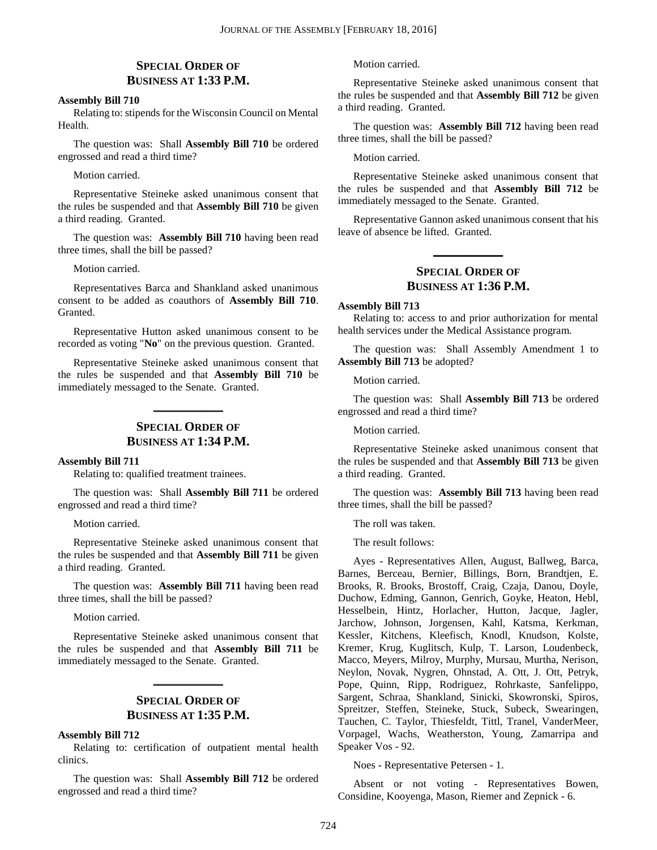### **SPECIAL ORDER OF BUSINESS AT 1:33 P.M.**

### **Assembly Bill 710**

Relating to: stipends for the Wisconsin Council on Mental Health.

The question was: Shall **Assembly Bill 710** be ordered engrossed and read a third time?

Motion carried.

Representative Steineke asked unanimous consent that the rules be suspended and that **Assembly Bill 710** be given a third reading. Granted.

The question was: **Assembly Bill 710** having been read three times, shall the bill be passed?

Motion carried.

Representatives Barca and Shankland asked unanimous consent to be added as coauthors of **Assembly Bill 710**. Granted.

Representative Hutton asked unanimous consent to be recorded as voting "**No**" on the previous question. Granted.

Representative Steineke asked unanimous consent that the rules be suspended and that **Assembly Bill 710** be immediately messaged to the Senate. Granted.

**\_\_\_\_\_\_\_\_\_\_\_\_\_**

### **SPECIAL ORDER OF BUSINESS AT 1:34 P.M.**

#### **Assembly Bill 711**

Relating to: qualified treatment trainees.

The question was: Shall **Assembly Bill 711** be ordered engrossed and read a third time?

Motion carried.

Representative Steineke asked unanimous consent that the rules be suspended and that **Assembly Bill 711** be given a third reading. Granted.

The question was: **Assembly Bill 711** having been read three times, shall the bill be passed?

Motion carried.

Representative Steineke asked unanimous consent that the rules be suspended and that **Assembly Bill 711** be immediately messaged to the Senate. Granted.

### **SPECIAL ORDER OF BUSINESS AT 1:35 P.M.**

**\_\_\_\_\_\_\_\_\_\_\_\_\_**

#### **Assembly Bill 712**

Relating to: certification of outpatient mental health clinics.

The question was: Shall **Assembly Bill 712** be ordered engrossed and read a third time?

Motion carried.

Representative Steineke asked unanimous consent that the rules be suspended and that **Assembly Bill 712** be given a third reading. Granted.

The question was: **Assembly Bill 712** having been read three times, shall the bill be passed?

### Motion carried.

Representative Steineke asked unanimous consent that the rules be suspended and that **Assembly Bill 712** be immediately messaged to the Senate. Granted.

Representative Gannon asked unanimous consent that his leave of absence be lifted. Granted.

**\_\_\_\_\_\_\_\_\_\_\_\_\_**

### **SPECIAL ORDER OF BUSINESS AT 1:36 P.M.**

#### **Assembly Bill 713**

Relating to: access to and prior authorization for mental health services under the Medical Assistance program.

The question was: Shall Assembly Amendment 1 to **Assembly Bill 713** be adopted?

Motion carried.

The question was: Shall **Assembly Bill 713** be ordered engrossed and read a third time?

Motion carried.

Representative Steineke asked unanimous consent that the rules be suspended and that **Assembly Bill 713** be given a third reading. Granted.

The question was: **Assembly Bill 713** having been read three times, shall the bill be passed?

The roll was taken.

The result follows:

Ayes - Representatives Allen, August, Ballweg, Barca, Barnes, Berceau, Bernier, Billings, Born, Brandtjen, E. Brooks, R. Brooks, Brostoff, Craig, Czaja, Danou, Doyle, Duchow, Edming, Gannon, Genrich, Goyke, Heaton, Hebl, Hesselbein, Hintz, Horlacher, Hutton, Jacque, Jagler, Jarchow, Johnson, Jorgensen, Kahl, Katsma, Kerkman, Kessler, Kitchens, Kleefisch, Knodl, Knudson, Kolste, Kremer, Krug, Kuglitsch, Kulp, T. Larson, Loudenbeck, Macco, Meyers, Milroy, Murphy, Mursau, Murtha, Nerison, Neylon, Novak, Nygren, Ohnstad, A. Ott, J. Ott, Petryk, Pope, Quinn, Ripp, Rodriguez, Rohrkaste, Sanfelippo, Sargent, Schraa, Shankland, Sinicki, Skowronski, Spiros, Spreitzer, Steffen, Steineke, Stuck, Subeck, Swearingen, Tauchen, C. Taylor, Thiesfeldt, Tittl, Tranel, VanderMeer, Vorpagel, Wachs, Weatherston, Young, Zamarripa and Speaker Vos - 92.

Noes - Representative Petersen - 1.

Absent or not voting - Representatives Bowen, Considine, Kooyenga, Mason, Riemer and Zepnick - 6.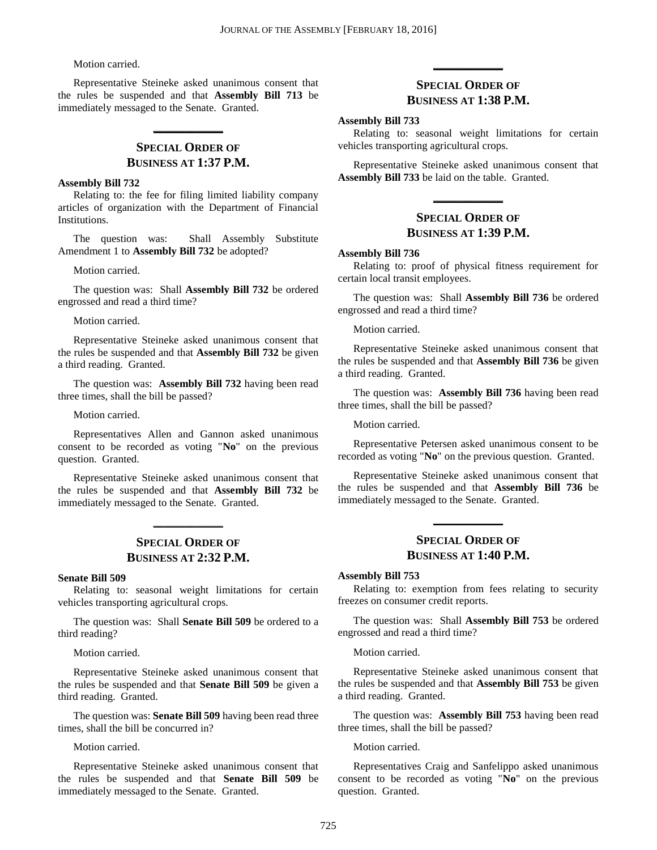Motion carried.

Representative Steineke asked unanimous consent that the rules be suspended and that **Assembly Bill 713** be immediately messaged to the Senate. Granted.

**\_\_\_\_\_\_\_\_\_\_\_\_\_**

### **SPECIAL ORDER OF BUSINESS AT 1:37 P.M.**

### **Assembly Bill 732**

Relating to: the fee for filing limited liability company articles of organization with the Department of Financial Institutions.

The question was: Shall Assembly Substitute Amendment 1 to **Assembly Bill 732** be adopted?

Motion carried.

The question was: Shall **Assembly Bill 732** be ordered engrossed and read a third time?

Motion carried.

Representative Steineke asked unanimous consent that the rules be suspended and that **Assembly Bill 732** be given a third reading. Granted.

The question was: **Assembly Bill 732** having been read three times, shall the bill be passed?

Motion carried.

Representatives Allen and Gannon asked unanimous consent to be recorded as voting "**No**" on the previous question. Granted.

Representative Steineke asked unanimous consent that the rules be suspended and that **Assembly Bill 732** be immediately messaged to the Senate. Granted.

### **SPECIAL ORDER OF BUSINESS AT 2:32 P.M.**

**\_\_\_\_\_\_\_\_\_\_\_\_\_**

#### **Senate Bill 509**

Relating to: seasonal weight limitations for certain vehicles transporting agricultural crops.

The question was: Shall **Senate Bill 509** be ordered to a third reading?

Motion carried.

Representative Steineke asked unanimous consent that the rules be suspended and that **Senate Bill 509** be given a third reading. Granted.

The question was: **Senate Bill 509** having been read three times, shall the bill be concurred in?

Motion carried.

Representative Steineke asked unanimous consent that the rules be suspended and that **Senate Bill 509** be immediately messaged to the Senate. Granted.

### **SPECIAL ORDER OF BUSINESS AT 1:38 P.M.**

**\_\_\_\_\_\_\_\_\_\_\_\_\_**

### **Assembly Bill 733**

Relating to: seasonal weight limitations for certain vehicles transporting agricultural crops.

Representative Steineke asked unanimous consent that **Assembly Bill 733** be laid on the table. Granted.

**\_\_\_\_\_\_\_\_\_\_\_\_\_**

### **SPECIAL ORDER OF BUSINESS AT 1:39 P.M.**

### **Assembly Bill 736**

Relating to: proof of physical fitness requirement for certain local transit employees.

The question was: Shall **Assembly Bill 736** be ordered engrossed and read a third time?

Motion carried.

Representative Steineke asked unanimous consent that the rules be suspended and that **Assembly Bill 736** be given a third reading. Granted.

The question was: **Assembly Bill 736** having been read three times, shall the bill be passed?

Motion carried.

Representative Petersen asked unanimous consent to be recorded as voting "**No**" on the previous question. Granted.

Representative Steineke asked unanimous consent that the rules be suspended and that **Assembly Bill 736** be immediately messaged to the Senate. Granted.

### **SPECIAL ORDER OF BUSINESS AT 1:40 P.M.**

**\_\_\_\_\_\_\_\_\_\_\_\_\_**

#### **Assembly Bill 753**

Relating to: exemption from fees relating to security freezes on consumer credit reports.

The question was: Shall **Assembly Bill 753** be ordered engrossed and read a third time?

Motion carried.

Representative Steineke asked unanimous consent that the rules be suspended and that **Assembly Bill 753** be given a third reading. Granted.

The question was: **Assembly Bill 753** having been read three times, shall the bill be passed?

Motion carried.

Representatives Craig and Sanfelippo asked unanimous consent to be recorded as voting "**No**" on the previous question. Granted.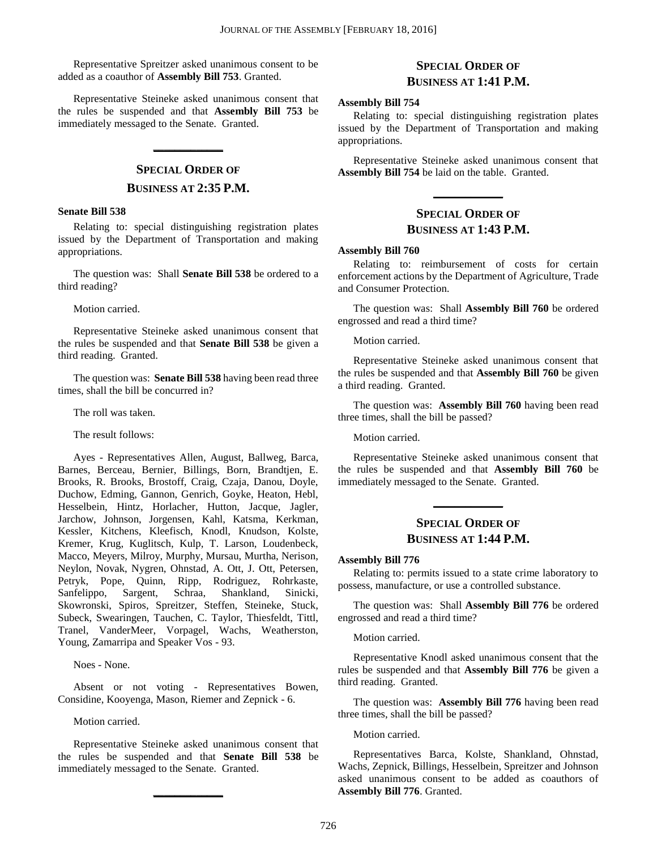Representative Spreitzer asked unanimous consent to be added as a coauthor of **Assembly Bill 753**. Granted.

Representative Steineke asked unanimous consent that the rules be suspended and that **Assembly Bill 753** be immediately messaged to the Senate. Granted.

### **SPECIAL ORDER OF**

**\_\_\_\_\_\_\_\_\_\_\_\_\_**

### **BUSINESS AT 2:35 P.M.**

### **Senate Bill 538**

Relating to: special distinguishing registration plates issued by the Department of Transportation and making appropriations.

The question was: Shall **Senate Bill 538** be ordered to a third reading?

Motion carried.

Representative Steineke asked unanimous consent that the rules be suspended and that **Senate Bill 538** be given a third reading. Granted.

The question was: **Senate Bill 538** having been read three times, shall the bill be concurred in?

The roll was taken.

The result follows:

Ayes - Representatives Allen, August, Ballweg, Barca, Barnes, Berceau, Bernier, Billings, Born, Brandtjen, E. Brooks, R. Brooks, Brostoff, Craig, Czaja, Danou, Doyle, Duchow, Edming, Gannon, Genrich, Goyke, Heaton, Hebl, Hesselbein, Hintz, Horlacher, Hutton, Jacque, Jagler, Jarchow, Johnson, Jorgensen, Kahl, Katsma, Kerkman, Kessler, Kitchens, Kleefisch, Knodl, Knudson, Kolste, Kremer, Krug, Kuglitsch, Kulp, T. Larson, Loudenbeck, Macco, Meyers, Milroy, Murphy, Mursau, Murtha, Nerison, Neylon, Novak, Nygren, Ohnstad, A. Ott, J. Ott, Petersen, Petryk, Pope, Quinn, Ripp, Rodriguez, Rohrkaste, Sanfelippo, Sargent, Schraa, Shankland, Sinicki, Skowronski, Spiros, Spreitzer, Steffen, Steineke, Stuck, Subeck, Swearingen, Tauchen, C. Taylor, Thiesfeldt, Tittl, Tranel, VanderMeer, Vorpagel, Wachs, Weatherston, Young, Zamarripa and Speaker Vos - 93.

Noes - None.

Absent or not voting - Representatives Bowen, Considine, Kooyenga, Mason, Riemer and Zepnick - 6.

Motion carried.

Representative Steineke asked unanimous consent that the rules be suspended and that **Senate Bill 538** be immediately messaged to the Senate. Granted.

**\_\_\_\_\_\_\_\_\_\_\_\_\_**

### **SPECIAL ORDER OF BUSINESS AT 1:41 P.M.**

#### **Assembly Bill 754**

Relating to: special distinguishing registration plates issued by the Department of Transportation and making appropriations.

Representative Steineke asked unanimous consent that **Assembly Bill 754** be laid on the table. Granted.

**\_\_\_\_\_\_\_\_\_\_\_\_\_**

### **SPECIAL ORDER OF BUSINESS AT 1:43 P.M.**

#### **Assembly Bill 760**

Relating to: reimbursement of costs for certain enforcement actions by the Department of Agriculture, Trade and Consumer Protection.

The question was: Shall **Assembly Bill 760** be ordered engrossed and read a third time?

Motion carried.

Representative Steineke asked unanimous consent that the rules be suspended and that **Assembly Bill 760** be given a third reading. Granted.

The question was: **Assembly Bill 760** having been read three times, shall the bill be passed?

Motion carried.

Representative Steineke asked unanimous consent that the rules be suspended and that **Assembly Bill 760** be immediately messaged to the Senate. Granted.

**\_\_\_\_\_\_\_\_\_\_\_\_\_**

### **SPECIAL ORDER OF BUSINESS AT 1:44 P.M.**

#### **Assembly Bill 776**

Relating to: permits issued to a state crime laboratory to possess, manufacture, or use a controlled substance.

The question was: Shall **Assembly Bill 776** be ordered engrossed and read a third time?

Motion carried.

Representative Knodl asked unanimous consent that the rules be suspended and that **Assembly Bill 776** be given a third reading. Granted.

The question was: **Assembly Bill 776** having been read three times, shall the bill be passed?

Motion carried.

Representatives Barca, Kolste, Shankland, Ohnstad, Wachs, Zepnick, Billings, Hesselbein, Spreitzer and Johnson asked unanimous consent to be added as coauthors of **Assembly Bill 776**. Granted.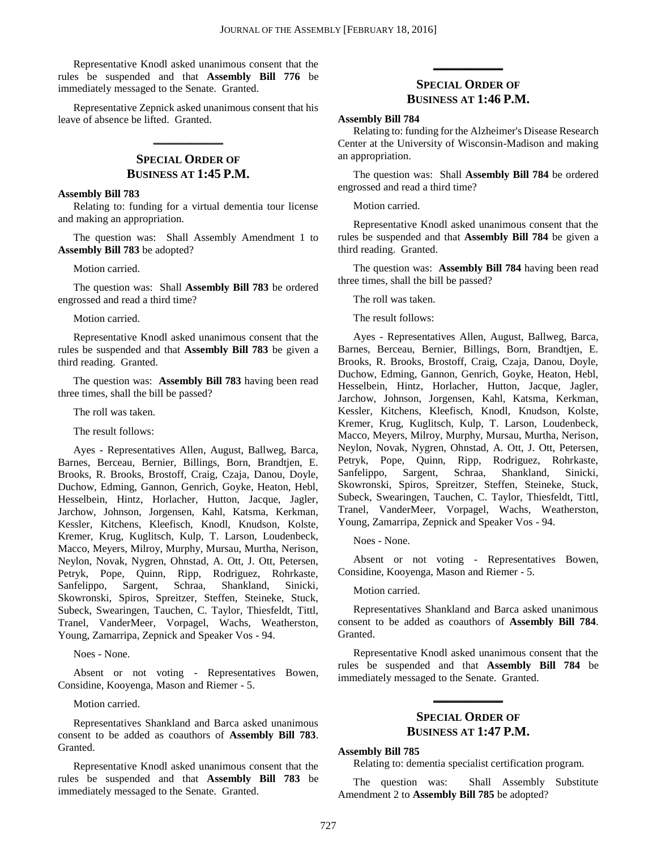Representative Knodl asked unanimous consent that the rules be suspended and that **Assembly Bill 776** be immediately messaged to the Senate. Granted.

Representative Zepnick asked unanimous consent that his leave of absence be lifted. Granted.

**\_\_\_\_\_\_\_\_\_\_\_\_\_**

### **SPECIAL ORDER OF BUSINESS AT 1:45 P.M.**

### **Assembly Bill 783**

Relating to: funding for a virtual dementia tour license and making an appropriation.

The question was: Shall Assembly Amendment 1 to **Assembly Bill 783** be adopted?

Motion carried.

The question was: Shall **Assembly Bill 783** be ordered engrossed and read a third time?

Motion carried.

Representative Knodl asked unanimous consent that the rules be suspended and that **Assembly Bill 783** be given a third reading. Granted.

The question was: **Assembly Bill 783** having been read three times, shall the bill be passed?

The roll was taken.

The result follows:

Ayes - Representatives Allen, August, Ballweg, Barca, Barnes, Berceau, Bernier, Billings, Born, Brandtjen, E. Brooks, R. Brooks, Brostoff, Craig, Czaja, Danou, Doyle, Duchow, Edming, Gannon, Genrich, Goyke, Heaton, Hebl, Hesselbein, Hintz, Horlacher, Hutton, Jacque, Jagler, Jarchow, Johnson, Jorgensen, Kahl, Katsma, Kerkman, Kessler, Kitchens, Kleefisch, Knodl, Knudson, Kolste, Kremer, Krug, Kuglitsch, Kulp, T. Larson, Loudenbeck, Macco, Meyers, Milroy, Murphy, Mursau, Murtha, Nerison, Neylon, Novak, Nygren, Ohnstad, A. Ott, J. Ott, Petersen, Petryk, Pope, Quinn, Ripp, Rodriguez, Rohrkaste, Sanfelippo, Sargent, Schraa, Shankland, Sinicki, Skowronski, Spiros, Spreitzer, Steffen, Steineke, Stuck, Subeck, Swearingen, Tauchen, C. Taylor, Thiesfeldt, Tittl, Tranel, VanderMeer, Vorpagel, Wachs, Weatherston, Young, Zamarripa, Zepnick and Speaker Vos - 94.

Noes - None.

Absent or not voting - Representatives Bowen, Considine, Kooyenga, Mason and Riemer - 5.

Motion carried.

Representatives Shankland and Barca asked unanimous consent to be added as coauthors of **Assembly Bill 783**. Granted.

Representative Knodl asked unanimous consent that the rules be suspended and that **Assembly Bill 783** be immediately messaged to the Senate. Granted.

### **SPECIAL ORDER OF BUSINESS AT 1:46 P.M.**

**\_\_\_\_\_\_\_\_\_\_\_\_\_**

#### **Assembly Bill 784**

Relating to: funding for the Alzheimer's Disease Research Center at the University of Wisconsin-Madison and making an appropriation.

The question was: Shall **Assembly Bill 784** be ordered engrossed and read a third time?

Motion carried.

Representative Knodl asked unanimous consent that the rules be suspended and that **Assembly Bill 784** be given a third reading. Granted.

The question was: **Assembly Bill 784** having been read three times, shall the bill be passed?

The roll was taken.

The result follows:

Ayes - Representatives Allen, August, Ballweg, Barca, Barnes, Berceau, Bernier, Billings, Born, Brandtjen, E. Brooks, R. Brooks, Brostoff, Craig, Czaja, Danou, Doyle, Duchow, Edming, Gannon, Genrich, Goyke, Heaton, Hebl, Hesselbein, Hintz, Horlacher, Hutton, Jacque, Jagler, Jarchow, Johnson, Jorgensen, Kahl, Katsma, Kerkman, Kessler, Kitchens, Kleefisch, Knodl, Knudson, Kolste, Kremer, Krug, Kuglitsch, Kulp, T. Larson, Loudenbeck, Macco, Meyers, Milroy, Murphy, Mursau, Murtha, Nerison, Neylon, Novak, Nygren, Ohnstad, A. Ott, J. Ott, Petersen, Petryk, Pope, Quinn, Ripp, Rodriguez, Rohrkaste, Sanfelippo, Sargent, Schraa, Shankland, Sinicki, Skowronski, Spiros, Spreitzer, Steffen, Steineke, Stuck, Subeck, Swearingen, Tauchen, C. Taylor, Thiesfeldt, Tittl, Tranel, VanderMeer, Vorpagel, Wachs, Weatherston, Young, Zamarripa, Zepnick and Speaker Vos - 94.

Noes - None.

Absent or not voting - Representatives Bowen, Considine, Kooyenga, Mason and Riemer - 5.

Motion carried.

Representatives Shankland and Barca asked unanimous consent to be added as coauthors of **Assembly Bill 784**. Granted.

Representative Knodl asked unanimous consent that the rules be suspended and that **Assembly Bill 784** be immediately messaged to the Senate. Granted.

**\_\_\_\_\_\_\_\_\_\_\_\_\_**

### **SPECIAL ORDER OF BUSINESS AT 1:47 P.M.**

#### **Assembly Bill 785**

Relating to: dementia specialist certification program.

The question was: Shall Assembly Substitute Amendment 2 to **Assembly Bill 785** be adopted?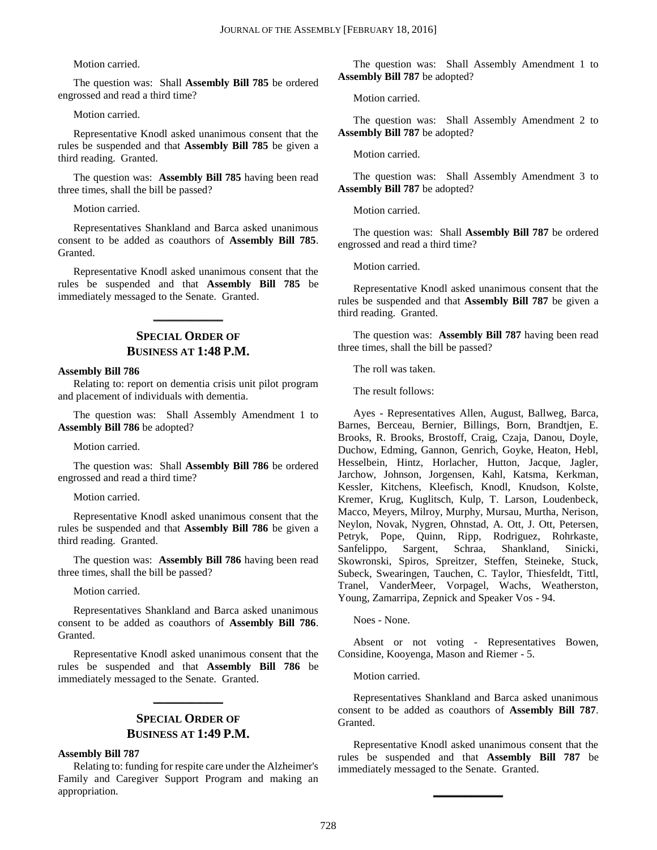Motion carried.

The question was: Shall **Assembly Bill 785** be ordered engrossed and read a third time?

Motion carried.

Representative Knodl asked unanimous consent that the rules be suspended and that **Assembly Bill 785** be given a third reading. Granted.

The question was: **Assembly Bill 785** having been read three times, shall the bill be passed?

Motion carried.

Representatives Shankland and Barca asked unanimous consent to be added as coauthors of **Assembly Bill 785**. Granted.

Representative Knodl asked unanimous consent that the rules be suspended and that **Assembly Bill 785** be immediately messaged to the Senate. Granted.

### **SPECIAL ORDER OF BUSINESS AT 1:48 P.M.**

**\_\_\_\_\_\_\_\_\_\_\_\_\_**

### **Assembly Bill 786**

Relating to: report on dementia crisis unit pilot program and placement of individuals with dementia.

The question was: Shall Assembly Amendment 1 to **Assembly Bill 786** be adopted?

Motion carried.

The question was: Shall **Assembly Bill 786** be ordered engrossed and read a third time?

Motion carried.

Representative Knodl asked unanimous consent that the rules be suspended and that **Assembly Bill 786** be given a third reading. Granted.

The question was: **Assembly Bill 786** having been read three times, shall the bill be passed?

Motion carried.

Representatives Shankland and Barca asked unanimous consent to be added as coauthors of **Assembly Bill 786**. Granted.

Representative Knodl asked unanimous consent that the rules be suspended and that **Assembly Bill 786** be immediately messaged to the Senate. Granted.

### **SPECIAL ORDER OF BUSINESS AT 1:49 P.M.**

**\_\_\_\_\_\_\_\_\_\_\_\_\_**

### **Assembly Bill 787**

Relating to: funding for respite care under the Alzheimer's Family and Caregiver Support Program and making an appropriation.

The question was: Shall Assembly Amendment 1 to **Assembly Bill 787** be adopted?

Motion carried.

The question was: Shall Assembly Amendment 2 to **Assembly Bill 787** be adopted?

Motion carried.

The question was: Shall Assembly Amendment 3 to **Assembly Bill 787** be adopted?

Motion carried.

The question was: Shall **Assembly Bill 787** be ordered engrossed and read a third time?

Motion carried.

Representative Knodl asked unanimous consent that the rules be suspended and that **Assembly Bill 787** be given a third reading. Granted.

The question was: **Assembly Bill 787** having been read three times, shall the bill be passed?

The roll was taken.

The result follows:

Ayes - Representatives Allen, August, Ballweg, Barca, Barnes, Berceau, Bernier, Billings, Born, Brandtjen, E. Brooks, R. Brooks, Brostoff, Craig, Czaja, Danou, Doyle, Duchow, Edming, Gannon, Genrich, Goyke, Heaton, Hebl, Hesselbein, Hintz, Horlacher, Hutton, Jacque, Jagler, Jarchow, Johnson, Jorgensen, Kahl, Katsma, Kerkman, Kessler, Kitchens, Kleefisch, Knodl, Knudson, Kolste, Kremer, Krug, Kuglitsch, Kulp, T. Larson, Loudenbeck, Macco, Meyers, Milroy, Murphy, Mursau, Murtha, Nerison, Neylon, Novak, Nygren, Ohnstad, A. Ott, J. Ott, Petersen, Petryk, Pope, Quinn, Ripp, Rodriguez, Rohrkaste,<br>Sanfelippo, Sargent, Schraa, Shankland, Sinicki, Sanfelippo, Sargent, Schraa, Shankland, Sinicki, Skowronski, Spiros, Spreitzer, Steffen, Steineke, Stuck, Subeck, Swearingen, Tauchen, C. Taylor, Thiesfeldt, Tittl, Tranel, VanderMeer, Vorpagel, Wachs, Weatherston, Young, Zamarripa, Zepnick and Speaker Vos - 94.

Noes - None.

Absent or not voting - Representatives Bowen, Considine, Kooyenga, Mason and Riemer - 5.

Motion carried.

Representatives Shankland and Barca asked unanimous consent to be added as coauthors of **Assembly Bill 787**. Granted.

Representative Knodl asked unanimous consent that the rules be suspended and that **Assembly Bill 787** be immediately messaged to the Senate. Granted.

**\_\_\_\_\_\_\_\_\_\_\_\_\_**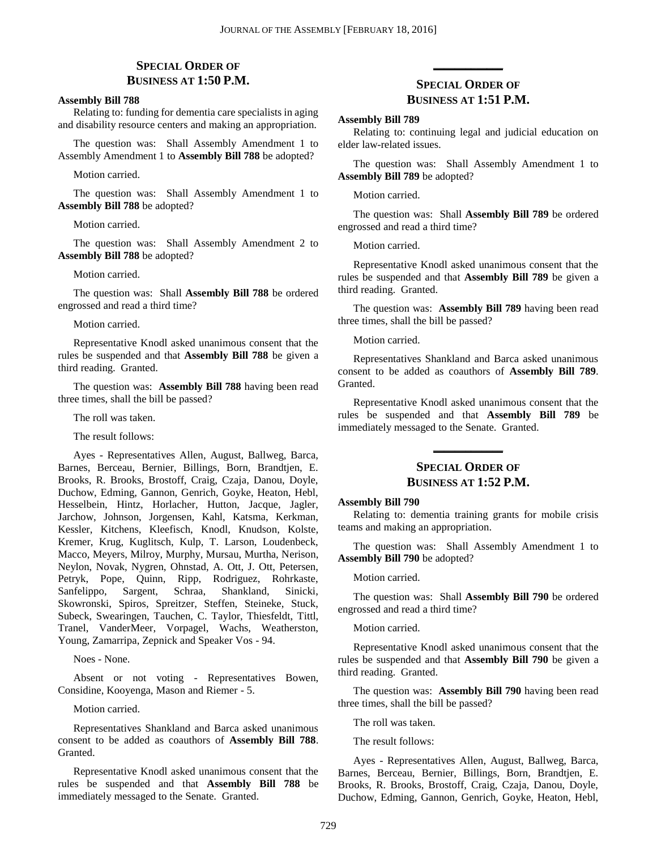### **SPECIAL ORDER OF BUSINESS AT 1:50 P.M.**

### **Assembly Bill 788**

Relating to: funding for dementia care specialists in aging and disability resource centers and making an appropriation.

The question was: Shall Assembly Amendment 1 to Assembly Amendment 1 to **Assembly Bill 788** be adopted?

Motion carried.

The question was: Shall Assembly Amendment 1 to **Assembly Bill 788** be adopted?

Motion carried.

The question was: Shall Assembly Amendment 2 to **Assembly Bill 788** be adopted?

Motion carried.

The question was: Shall **Assembly Bill 788** be ordered engrossed and read a third time?

Motion carried.

Representative Knodl asked unanimous consent that the rules be suspended and that **Assembly Bill 788** be given a third reading. Granted.

The question was: **Assembly Bill 788** having been read three times, shall the bill be passed?

The roll was taken.

The result follows:

Ayes - Representatives Allen, August, Ballweg, Barca, Barnes, Berceau, Bernier, Billings, Born, Brandtjen, E. Brooks, R. Brooks, Brostoff, Craig, Czaja, Danou, Doyle, Duchow, Edming, Gannon, Genrich, Goyke, Heaton, Hebl, Hesselbein, Hintz, Horlacher, Hutton, Jacque, Jagler, Jarchow, Johnson, Jorgensen, Kahl, Katsma, Kerkman, Kessler, Kitchens, Kleefisch, Knodl, Knudson, Kolste, Kremer, Krug, Kuglitsch, Kulp, T. Larson, Loudenbeck, Macco, Meyers, Milroy, Murphy, Mursau, Murtha, Nerison, Neylon, Novak, Nygren, Ohnstad, A. Ott, J. Ott, Petersen, Petryk, Pope, Quinn, Ripp, Rodriguez, Rohrkaste, Sanfelippo, Sargent, Schraa, Shankland, Sinicki, Skowronski, Spiros, Spreitzer, Steffen, Steineke, Stuck, Subeck, Swearingen, Tauchen, C. Taylor, Thiesfeldt, Tittl, Tranel, VanderMeer, Vorpagel, Wachs, Weatherston, Young, Zamarripa, Zepnick and Speaker Vos - 94.

Noes - None.

Absent or not voting - Representatives Bowen, Considine, Kooyenga, Mason and Riemer - 5.

Motion carried.

Representatives Shankland and Barca asked unanimous consent to be added as coauthors of **Assembly Bill 788**. Granted.

Representative Knodl asked unanimous consent that the rules be suspended and that **Assembly Bill 788** be immediately messaged to the Senate. Granted.

### **SPECIAL ORDER OF BUSINESS AT 1:51 P.M.**

**\_\_\_\_\_\_\_\_\_\_\_\_\_**

#### **Assembly Bill 789**

Relating to: continuing legal and judicial education on elder law-related issues.

The question was: Shall Assembly Amendment 1 to **Assembly Bill 789** be adopted?

Motion carried.

The question was: Shall **Assembly Bill 789** be ordered engrossed and read a third time?

Motion carried.

Representative Knodl asked unanimous consent that the rules be suspended and that **Assembly Bill 789** be given a third reading. Granted.

The question was: **Assembly Bill 789** having been read three times, shall the bill be passed?

Motion carried.

Representatives Shankland and Barca asked unanimous consent to be added as coauthors of **Assembly Bill 789**. Granted.

Representative Knodl asked unanimous consent that the rules be suspended and that **Assembly Bill 789** be immediately messaged to the Senate. Granted.

### **SPECIAL ORDER OF BUSINESS AT 1:52 P.M.**

**\_\_\_\_\_\_\_\_\_\_\_\_\_**

#### **Assembly Bill 790**

Relating to: dementia training grants for mobile crisis teams and making an appropriation.

The question was: Shall Assembly Amendment 1 to **Assembly Bill 790** be adopted?

Motion carried.

The question was: Shall **Assembly Bill 790** be ordered engrossed and read a third time?

Motion carried.

Representative Knodl asked unanimous consent that the rules be suspended and that **Assembly Bill 790** be given a third reading. Granted.

The question was: **Assembly Bill 790** having been read three times, shall the bill be passed?

The roll was taken.

The result follows:

Ayes - Representatives Allen, August, Ballweg, Barca, Barnes, Berceau, Bernier, Billings, Born, Brandtjen, E. Brooks, R. Brooks, Brostoff, Craig, Czaja, Danou, Doyle, Duchow, Edming, Gannon, Genrich, Goyke, Heaton, Hebl,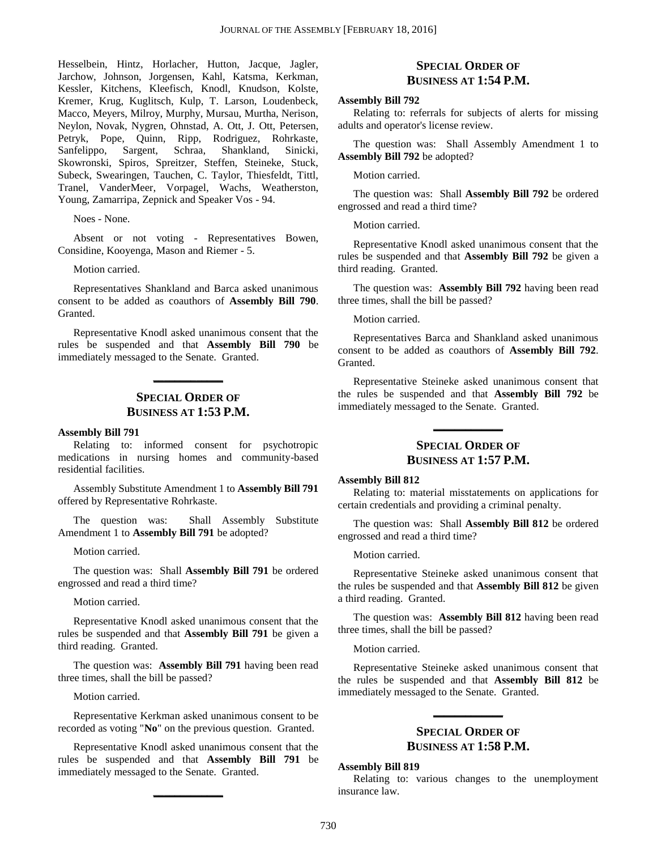Hesselbein, Hintz, Horlacher, Hutton, Jacque, Jagler, Jarchow, Johnson, Jorgensen, Kahl, Katsma, Kerkman, Kessler, Kitchens, Kleefisch, Knodl, Knudson, Kolste, Kremer, Krug, Kuglitsch, Kulp, T. Larson, Loudenbeck, Macco, Meyers, Milroy, Murphy, Mursau, Murtha, Nerison, Neylon, Novak, Nygren, Ohnstad, A. Ott, J. Ott, Petersen, Petryk, Pope, Quinn, Ripp, Rodriguez, Rohrkaste, Sanfelippo, Sargent, Schraa, Shankland, Sinicki, Skowronski, Spiros, Spreitzer, Steffen, Steineke, Stuck, Subeck, Swearingen, Tauchen, C. Taylor, Thiesfeldt, Tittl, Tranel, VanderMeer, Vorpagel, Wachs, Weatherston, Young, Zamarripa, Zepnick and Speaker Vos - 94.

Noes - None.

Absent or not voting - Representatives Bowen, Considine, Kooyenga, Mason and Riemer - 5.

Motion carried.

Representatives Shankland and Barca asked unanimous consent to be added as coauthors of **Assembly Bill 790**. Granted.

Representative Knodl asked unanimous consent that the rules be suspended and that **Assembly Bill 790** be immediately messaged to the Senate. Granted.

### **SPECIAL ORDER OF BUSINESS AT 1:53 P.M.**

**\_\_\_\_\_\_\_\_\_\_\_\_\_**

#### **Assembly Bill 791**

Relating to: informed consent for psychotropic medications in nursing homes and community-based residential facilities.

Assembly Substitute Amendment 1 to **Assembly Bill 791** offered by Representative Rohrkaste.

The question was: Shall Assembly Substitute Amendment 1 to **Assembly Bill 791** be adopted?

Motion carried.

The question was: Shall **Assembly Bill 791** be ordered engrossed and read a third time?

Motion carried.

Representative Knodl asked unanimous consent that the rules be suspended and that **Assembly Bill 791** be given a third reading. Granted.

The question was: **Assembly Bill 791** having been read three times, shall the bill be passed?

Motion carried.

Representative Kerkman asked unanimous consent to be recorded as voting "**No**" on the previous question. Granted.

Representative Knodl asked unanimous consent that the rules be suspended and that **Assembly Bill 791** be immediately messaged to the Senate. Granted.

**\_\_\_\_\_\_\_\_\_\_\_\_\_**

### **SPECIAL ORDER OF BUSINESS AT 1:54 P.M.**

### **Assembly Bill 792**

Relating to: referrals for subjects of alerts for missing adults and operator's license review.

The question was: Shall Assembly Amendment 1 to **Assembly Bill 792** be adopted?

### Motion carried.

The question was: Shall **Assembly Bill 792** be ordered engrossed and read a third time?

Motion carried.

Representative Knodl asked unanimous consent that the rules be suspended and that **Assembly Bill 792** be given a third reading. Granted.

The question was: **Assembly Bill 792** having been read three times, shall the bill be passed?

Motion carried.

Representatives Barca and Shankland asked unanimous consent to be added as coauthors of **Assembly Bill 792**. Granted.

Representative Steineke asked unanimous consent that the rules be suspended and that **Assembly Bill 792** be immediately messaged to the Senate. Granted.

### **SPECIAL ORDER OF BUSINESS AT 1:57 P.M.**

**\_\_\_\_\_\_\_\_\_\_\_\_\_**

#### **Assembly Bill 812**

Relating to: material misstatements on applications for certain credentials and providing a criminal penalty.

The question was: Shall **Assembly Bill 812** be ordered engrossed and read a third time?

Motion carried.

Representative Steineke asked unanimous consent that the rules be suspended and that **Assembly Bill 812** be given a third reading. Granted.

The question was: **Assembly Bill 812** having been read three times, shall the bill be passed?

Motion carried.

Representative Steineke asked unanimous consent that the rules be suspended and that **Assembly Bill 812** be immediately messaged to the Senate. Granted.

### **SPECIAL ORDER OF BUSINESS AT 1:58 P.M.**

**\_\_\_\_\_\_\_\_\_\_\_\_\_**

#### **Assembly Bill 819**

Relating to: various changes to the unemployment insurance law.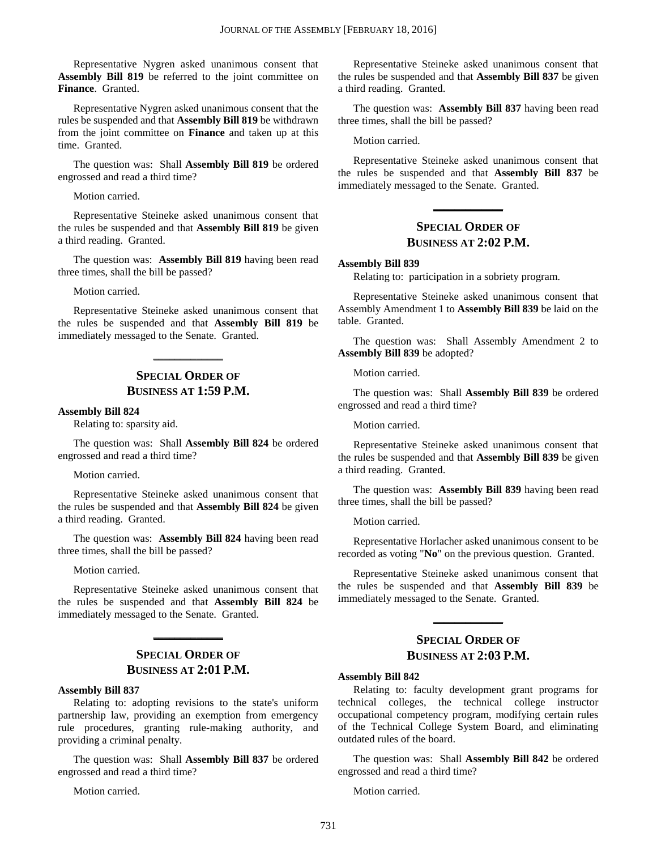Representative Nygren asked unanimous consent that Assembly Bill 819 be referred to the joint committee on **Finance**. Granted.

Representative Nygren asked unanimous consent that the rules be suspended and that **Assembly Bill 819** be withdrawn from the joint committee on **Finance** and taken up at this time. Granted.

The question was: Shall **Assembly Bill 819** be ordered engrossed and read a third time?

Motion carried.

Representative Steineke asked unanimous consent that the rules be suspended and that **Assembly Bill 819** be given a third reading. Granted.

The question was: **Assembly Bill 819** having been read three times, shall the bill be passed?

Motion carried.

Representative Steineke asked unanimous consent that the rules be suspended and that **Assembly Bill 819** be immediately messaged to the Senate. Granted.

### **SPECIAL ORDER OF BUSINESS AT 1:59 P.M.**

**\_\_\_\_\_\_\_\_\_\_\_\_\_**

### **Assembly Bill 824**

Relating to: sparsity aid.

The question was: Shall **Assembly Bill 824** be ordered engrossed and read a third time?

Motion carried.

Representative Steineke asked unanimous consent that the rules be suspended and that **Assembly Bill 824** be given a third reading. Granted.

The question was: **Assembly Bill 824** having been read three times, shall the bill be passed?

Motion carried.

Representative Steineke asked unanimous consent that the rules be suspended and that **Assembly Bill 824** be immediately messaged to the Senate. Granted.

### **SPECIAL ORDER OF BUSINESS AT 2:01 P.M.**

**\_\_\_\_\_\_\_\_\_\_\_\_\_**

### **Assembly Bill 837**

Relating to: adopting revisions to the state's uniform partnership law, providing an exemption from emergency rule procedures, granting rule-making authority, and providing a criminal penalty.

The question was: Shall **Assembly Bill 837** be ordered engrossed and read a third time?

Motion carried.

Representative Steineke asked unanimous consent that the rules be suspended and that **Assembly Bill 837** be given a third reading. Granted.

The question was: **Assembly Bill 837** having been read three times, shall the bill be passed?

Motion carried.

Representative Steineke asked unanimous consent that the rules be suspended and that **Assembly Bill 837** be immediately messaged to the Senate. Granted.

### **SPECIAL ORDER OF BUSINESS AT 2:02 P.M.**

**\_\_\_\_\_\_\_\_\_\_\_\_\_**

#### **Assembly Bill 839**

Relating to: participation in a sobriety program.

Representative Steineke asked unanimous consent that Assembly Amendment 1 to **Assembly Bill 839** be laid on the table. Granted.

The question was: Shall Assembly Amendment 2 to **Assembly Bill 839** be adopted?

Motion carried.

The question was: Shall **Assembly Bill 839** be ordered engrossed and read a third time?

Motion carried.

Representative Steineke asked unanimous consent that the rules be suspended and that **Assembly Bill 839** be given a third reading. Granted.

The question was: **Assembly Bill 839** having been read three times, shall the bill be passed?

Motion carried.

Representative Horlacher asked unanimous consent to be recorded as voting "**No**" on the previous question. Granted.

Representative Steineke asked unanimous consent that the rules be suspended and that **Assembly Bill 839** be immediately messaged to the Senate. Granted.

### **SPECIAL ORDER OF BUSINESS AT 2:03 P.M.**

**\_\_\_\_\_\_\_\_\_\_\_\_\_**

### **Assembly Bill 842**

Relating to: faculty development grant programs for technical colleges, the technical college instructor occupational competency program, modifying certain rules of the Technical College System Board, and eliminating outdated rules of the board.

The question was: Shall **Assembly Bill 842** be ordered engrossed and read a third time?

Motion carried.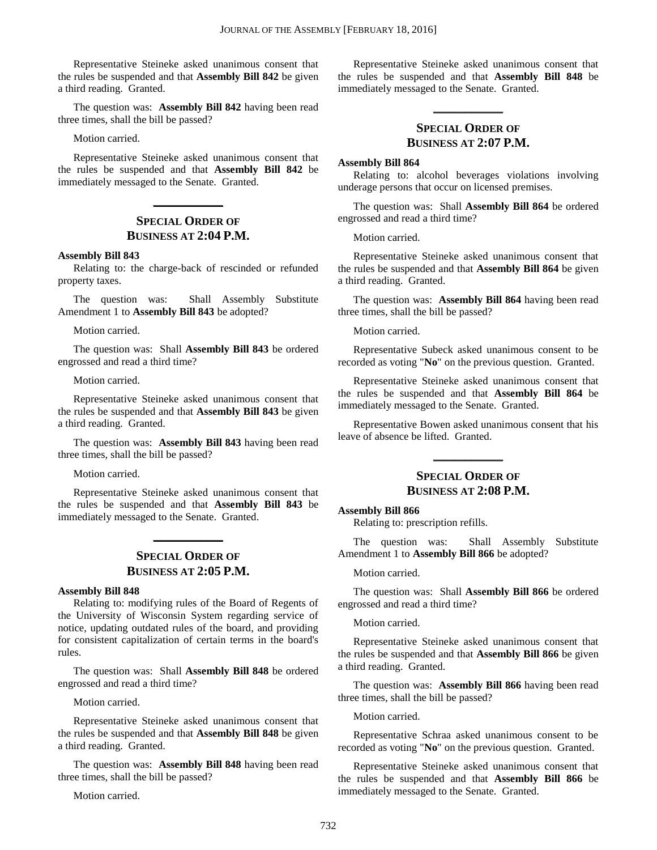Representative Steineke asked unanimous consent that the rules be suspended and that **Assembly Bill 842** be given a third reading. Granted.

The question was: **Assembly Bill 842** having been read three times, shall the bill be passed?

Motion carried.

Representative Steineke asked unanimous consent that the rules be suspended and that **Assembly Bill 842** be immediately messaged to the Senate. Granted.

### **SPECIAL ORDER OF BUSINESS AT 2:04 P.M.**

**\_\_\_\_\_\_\_\_\_\_\_\_\_**

#### **Assembly Bill 843**

Relating to: the charge-back of rescinded or refunded property taxes.

The question was: Shall Assembly Substitute Amendment 1 to **Assembly Bill 843** be adopted?

Motion carried.

The question was: Shall **Assembly Bill 843** be ordered engrossed and read a third time?

Motion carried.

Representative Steineke asked unanimous consent that the rules be suspended and that **Assembly Bill 843** be given a third reading. Granted.

The question was: **Assembly Bill 843** having been read three times, shall the bill be passed?

Motion carried.

Representative Steineke asked unanimous consent that the rules be suspended and that **Assembly Bill 843** be immediately messaged to the Senate. Granted.

### **SPECIAL ORDER OF BUSINESS AT 2:05 P.M.**

**\_\_\_\_\_\_\_\_\_\_\_\_\_**

#### **Assembly Bill 848**

Relating to: modifying rules of the Board of Regents of the University of Wisconsin System regarding service of notice, updating outdated rules of the board, and providing for consistent capitalization of certain terms in the board's rules.

The question was: Shall **Assembly Bill 848** be ordered engrossed and read a third time?

Motion carried.

Representative Steineke asked unanimous consent that the rules be suspended and that **Assembly Bill 848** be given a third reading. Granted.

The question was: **Assembly Bill 848** having been read three times, shall the bill be passed?

Motion carried.

Representative Steineke asked unanimous consent that the rules be suspended and that **Assembly Bill 848** be immediately messaged to the Senate. Granted.

### **SPECIAL ORDER OF BUSINESS AT 2:07 P.M.**

**\_\_\_\_\_\_\_\_\_\_\_\_\_**

#### **Assembly Bill 864**

Relating to: alcohol beverages violations involving underage persons that occur on licensed premises.

The question was: Shall **Assembly Bill 864** be ordered engrossed and read a third time?

Motion carried.

Representative Steineke asked unanimous consent that the rules be suspended and that **Assembly Bill 864** be given a third reading. Granted.

The question was: **Assembly Bill 864** having been read three times, shall the bill be passed?

Motion carried.

Representative Subeck asked unanimous consent to be recorded as voting "**No**" on the previous question. Granted.

Representative Steineke asked unanimous consent that the rules be suspended and that **Assembly Bill 864** be immediately messaged to the Senate. Granted.

Representative Bowen asked unanimous consent that his leave of absence be lifted. Granted.

**\_\_\_\_\_\_\_\_\_\_\_\_\_**

### **SPECIAL ORDER OF BUSINESS AT 2:08 P.M.**

#### **Assembly Bill 866**

Relating to: prescription refills.

The question was: Shall Assembly Substitute Amendment 1 to **Assembly Bill 866** be adopted?

Motion carried.

The question was: Shall **Assembly Bill 866** be ordered engrossed and read a third time?

Motion carried.

Representative Steineke asked unanimous consent that the rules be suspended and that **Assembly Bill 866** be given a third reading. Granted.

The question was: **Assembly Bill 866** having been read three times, shall the bill be passed?

Motion carried.

Representative Schraa asked unanimous consent to be recorded as voting "**No**" on the previous question. Granted.

Representative Steineke asked unanimous consent that the rules be suspended and that **Assembly Bill 866** be immediately messaged to the Senate. Granted.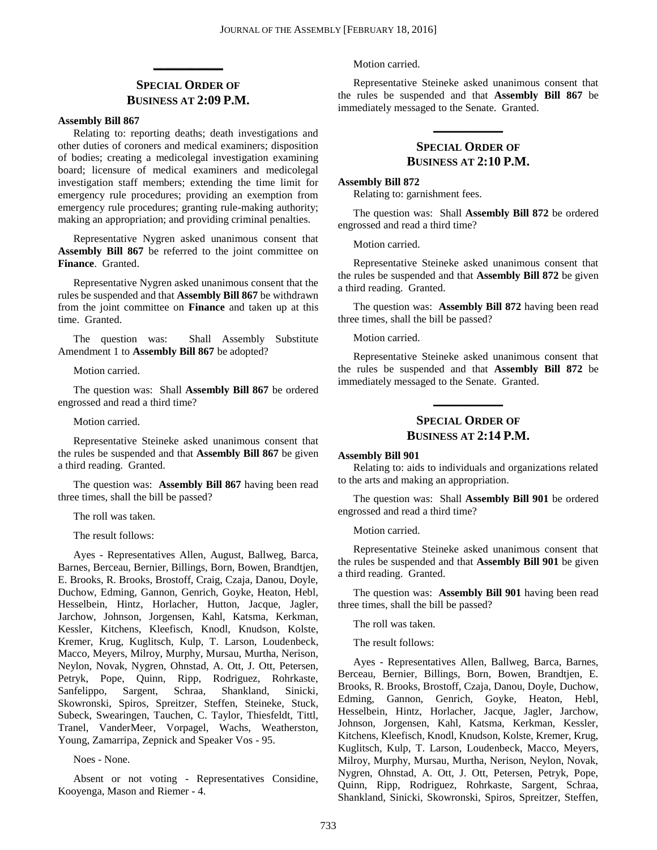### **SPECIAL ORDER OF BUSINESS AT 2:09 P.M.**

**\_\_\_\_\_\_\_\_\_\_\_\_\_**

### **Assembly Bill 867**

Relating to: reporting deaths; death investigations and other duties of coroners and medical examiners; disposition of bodies; creating a medicolegal investigation examining board; licensure of medical examiners and medicolegal investigation staff members; extending the time limit for emergency rule procedures; providing an exemption from emergency rule procedures; granting rule-making authority; making an appropriation; and providing criminal penalties.

Representative Nygren asked unanimous consent that Assembly Bill 867 be referred to the joint committee on **Finance**. Granted.

Representative Nygren asked unanimous consent that the rules be suspended and that **Assembly Bill 867** be withdrawn from the joint committee on **Finance** and taken up at this time. Granted.

The question was: Shall Assembly Substitute Amendment 1 to **Assembly Bill 867** be adopted?

Motion carried.

The question was: Shall **Assembly Bill 867** be ordered engrossed and read a third time?

#### Motion carried.

Representative Steineke asked unanimous consent that the rules be suspended and that **Assembly Bill 867** be given a third reading. Granted.

The question was: **Assembly Bill 867** having been read three times, shall the bill be passed?

The roll was taken.

The result follows:

Ayes - Representatives Allen, August, Ballweg, Barca, Barnes, Berceau, Bernier, Billings, Born, Bowen, Brandtjen, E. Brooks, R. Brooks, Brostoff, Craig, Czaja, Danou, Doyle, Duchow, Edming, Gannon, Genrich, Goyke, Heaton, Hebl, Hesselbein, Hintz, Horlacher, Hutton, Jacque, Jagler, Jarchow, Johnson, Jorgensen, Kahl, Katsma, Kerkman, Kessler, Kitchens, Kleefisch, Knodl, Knudson, Kolste, Kremer, Krug, Kuglitsch, Kulp, T. Larson, Loudenbeck, Macco, Meyers, Milroy, Murphy, Mursau, Murtha, Nerison, Neylon, Novak, Nygren, Ohnstad, A. Ott, J. Ott, Petersen, Petryk, Pope, Quinn, Ripp, Rodriguez, Rohrkaste, Sanfelippo, Sargent, Schraa, Shankland, Sinicki, Skowronski, Spiros, Spreitzer, Steffen, Steineke, Stuck, Subeck, Swearingen, Tauchen, C. Taylor, Thiesfeldt, Tittl, Tranel, VanderMeer, Vorpagel, Wachs, Weatherston, Young, Zamarripa, Zepnick and Speaker Vos - 95.

Noes - None.

Absent or not voting - Representatives Considine, Kooyenga, Mason and Riemer - 4.

Motion carried.

Representative Steineke asked unanimous consent that the rules be suspended and that **Assembly Bill 867** be immediately messaged to the Senate. Granted.

### **SPECIAL ORDER OF BUSINESS AT 2:10 P.M.**

**\_\_\_\_\_\_\_\_\_\_\_\_\_**

#### **Assembly Bill 872**

Relating to: garnishment fees.

The question was: Shall **Assembly Bill 872** be ordered engrossed and read a third time?

Motion carried.

Representative Steineke asked unanimous consent that the rules be suspended and that **Assembly Bill 872** be given a third reading. Granted.

The question was: **Assembly Bill 872** having been read three times, shall the bill be passed?

Motion carried.

Representative Steineke asked unanimous consent that the rules be suspended and that **Assembly Bill 872** be immediately messaged to the Senate. Granted.

### **SPECIAL ORDER OF BUSINESS AT 2:14 P.M.**

**\_\_\_\_\_\_\_\_\_\_\_\_\_**

#### **Assembly Bill 901**

Relating to: aids to individuals and organizations related to the arts and making an appropriation.

The question was: Shall **Assembly Bill 901** be ordered engrossed and read a third time?

Motion carried.

Representative Steineke asked unanimous consent that the rules be suspended and that **Assembly Bill 901** be given a third reading. Granted.

The question was: **Assembly Bill 901** having been read three times, shall the bill be passed?

The roll was taken.

The result follows:

Ayes - Representatives Allen, Ballweg, Barca, Barnes, Berceau, Bernier, Billings, Born, Bowen, Brandtjen, E. Brooks, R. Brooks, Brostoff, Czaja, Danou, Doyle, Duchow, Edming, Gannon, Genrich, Goyke, Heaton, Hebl, Hesselbein, Hintz, Horlacher, Jacque, Jagler, Jarchow, Johnson, Jorgensen, Kahl, Katsma, Kerkman, Kessler, Kitchens, Kleefisch, Knodl, Knudson, Kolste, Kremer, Krug, Kuglitsch, Kulp, T. Larson, Loudenbeck, Macco, Meyers, Milroy, Murphy, Mursau, Murtha, Nerison, Neylon, Novak, Nygren, Ohnstad, A. Ott, J. Ott, Petersen, Petryk, Pope, Quinn, Ripp, Rodriguez, Rohrkaste, Sargent, Schraa, Shankland, Sinicki, Skowronski, Spiros, Spreitzer, Steffen,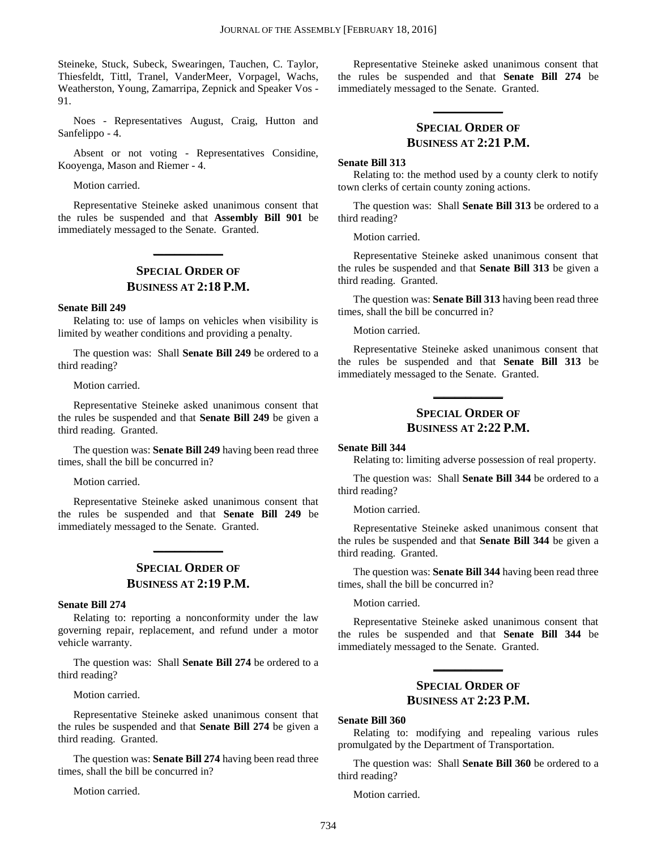Steineke, Stuck, Subeck, Swearingen, Tauchen, C. Taylor, Thiesfeldt, Tittl, Tranel, VanderMeer, Vorpagel, Wachs, Weatherston, Young, Zamarripa, Zepnick and Speaker Vos - 91.

Noes - Representatives August, Craig, Hutton and Sanfelippo - 4.

Absent or not voting - Representatives Considine, Kooyenga, Mason and Riemer - 4.

Motion carried.

Representative Steineke asked unanimous consent that the rules be suspended and that **Assembly Bill 901** be immediately messaged to the Senate. Granted.

### **SPECIAL ORDER OF BUSINESS AT 2:18 P.M.**

**\_\_\_\_\_\_\_\_\_\_\_\_\_**

### **Senate Bill 249**

Relating to: use of lamps on vehicles when visibility is limited by weather conditions and providing a penalty.

The question was: Shall **Senate Bill 249** be ordered to a third reading?

Motion carried.

Representative Steineke asked unanimous consent that the rules be suspended and that **Senate Bill 249** be given a third reading. Granted.

The question was: **Senate Bill 249** having been read three times, shall the bill be concurred in?

Motion carried.

Representative Steineke asked unanimous consent that the rules be suspended and that **Senate Bill 249** be immediately messaged to the Senate. Granted.

**\_\_\_\_\_\_\_\_\_\_\_\_\_**

### **SPECIAL ORDER OF BUSINESS AT 2:19 P.M.**

#### **Senate Bill 274**

Relating to: reporting a nonconformity under the law governing repair, replacement, and refund under a motor vehicle warranty.

The question was: Shall **Senate Bill 274** be ordered to a third reading?

Motion carried.

Representative Steineke asked unanimous consent that the rules be suspended and that **Senate Bill 274** be given a third reading. Granted.

The question was: **Senate Bill 274** having been read three times, shall the bill be concurred in?

Motion carried.

Representative Steineke asked unanimous consent that the rules be suspended and that **Senate Bill 274** be immediately messaged to the Senate. Granted.

**\_\_\_\_\_\_\_\_\_\_\_\_\_**

### **SPECIAL ORDER OF BUSINESS AT 2:21 P.M.**

#### **Senate Bill 313**

Relating to: the method used by a county clerk to notify town clerks of certain county zoning actions.

The question was: Shall **Senate Bill 313** be ordered to a third reading?

Motion carried.

Representative Steineke asked unanimous consent that the rules be suspended and that **Senate Bill 313** be given a third reading. Granted.

The question was: **Senate Bill 313** having been read three times, shall the bill be concurred in?

Motion carried.

Representative Steineke asked unanimous consent that the rules be suspended and that **Senate Bill 313** be immediately messaged to the Senate. Granted.

**\_\_\_\_\_\_\_\_\_\_\_\_\_**

### **SPECIAL ORDER OF BUSINESS AT 2:22 P.M.**

#### **Senate Bill 344**

Relating to: limiting adverse possession of real property.

The question was: Shall **Senate Bill 344** be ordered to a third reading?

Motion carried.

Representative Steineke asked unanimous consent that the rules be suspended and that **Senate Bill 344** be given a third reading. Granted.

The question was: **Senate Bill 344** having been read three times, shall the bill be concurred in?

Motion carried.

Representative Steineke asked unanimous consent that the rules be suspended and that **Senate Bill 344** be immediately messaged to the Senate. Granted.

### **SPECIAL ORDER OF BUSINESS AT 2:23 P.M.**

**\_\_\_\_\_\_\_\_\_\_\_\_\_**

### **Senate Bill 360**

Relating to: modifying and repealing various rules promulgated by the Department of Transportation.

The question was: Shall **Senate Bill 360** be ordered to a third reading?

Motion carried.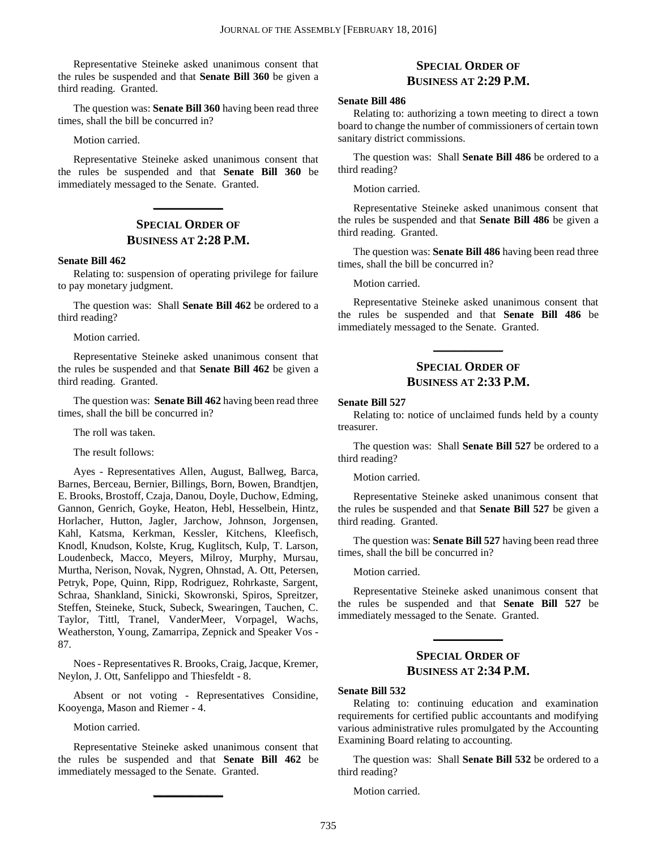Representative Steineke asked unanimous consent that the rules be suspended and that **Senate Bill 360** be given a third reading. Granted.

The question was: **Senate Bill 360** having been read three times, shall the bill be concurred in?

Motion carried.

Representative Steineke asked unanimous consent that the rules be suspended and that **Senate Bill 360** be immediately messaged to the Senate. Granted.

### **SPECIAL ORDER OF BUSINESS AT 2:28 P.M.**

**\_\_\_\_\_\_\_\_\_\_\_\_\_**

### **Senate Bill 462**

Relating to: suspension of operating privilege for failure to pay monetary judgment.

The question was: Shall **Senate Bill 462** be ordered to a third reading?

Motion carried.

Representative Steineke asked unanimous consent that the rules be suspended and that **Senate Bill 462** be given a third reading. Granted.

The question was: **Senate Bill 462** having been read three times, shall the bill be concurred in?

The roll was taken.

The result follows:

Ayes - Representatives Allen, August, Ballweg, Barca, Barnes, Berceau, Bernier, Billings, Born, Bowen, Brandtjen, E. Brooks, Brostoff, Czaja, Danou, Doyle, Duchow, Edming, Gannon, Genrich, Goyke, Heaton, Hebl, Hesselbein, Hintz, Horlacher, Hutton, Jagler, Jarchow, Johnson, Jorgensen, Kahl, Katsma, Kerkman, Kessler, Kitchens, Kleefisch, Knodl, Knudson, Kolste, Krug, Kuglitsch, Kulp, T. Larson, Loudenbeck, Macco, Meyers, Milroy, Murphy, Mursau, Murtha, Nerison, Novak, Nygren, Ohnstad, A. Ott, Petersen, Petryk, Pope, Quinn, Ripp, Rodriguez, Rohrkaste, Sargent, Schraa, Shankland, Sinicki, Skowronski, Spiros, Spreitzer, Steffen, Steineke, Stuck, Subeck, Swearingen, Tauchen, C. Taylor, Tittl, Tranel, VanderMeer, Vorpagel, Wachs, Weatherston, Young, Zamarripa, Zepnick and Speaker Vos - 87.

Noes - Representatives R. Brooks, Craig, Jacque, Kremer, Neylon, J. Ott, Sanfelippo and Thiesfeldt - 8.

Absent or not voting - Representatives Considine, Kooyenga, Mason and Riemer - 4.

Motion carried.

Representative Steineke asked unanimous consent that the rules be suspended and that **Senate Bill 462** be immediately messaged to the Senate. Granted.

**\_\_\_\_\_\_\_\_\_\_\_\_\_**

### **SPECIAL ORDER OF BUSINESS AT 2:29 P.M.**

### **Senate Bill 486**

Relating to: authorizing a town meeting to direct a town board to change the number of commissioners of certain town sanitary district commissions.

The question was: Shall **Senate Bill 486** be ordered to a third reading?

Motion carried.

Representative Steineke asked unanimous consent that the rules be suspended and that **Senate Bill 486** be given a third reading. Granted.

The question was: **Senate Bill 486** having been read three times, shall the bill be concurred in?

Motion carried.

Representative Steineke asked unanimous consent that the rules be suspended and that **Senate Bill 486** be immediately messaged to the Senate. Granted.

### **SPECIAL ORDER OF BUSINESS AT 2:33 P.M.**

**\_\_\_\_\_\_\_\_\_\_\_\_\_**

#### **Senate Bill 527**

Relating to: notice of unclaimed funds held by a county treasurer.

The question was: Shall **Senate Bill 527** be ordered to a third reading?

Motion carried.

Representative Steineke asked unanimous consent that the rules be suspended and that **Senate Bill 527** be given a third reading. Granted.

The question was: **Senate Bill 527** having been read three times, shall the bill be concurred in?

Motion carried.

Representative Steineke asked unanimous consent that the rules be suspended and that **Senate Bill 527** be immediately messaged to the Senate. Granted.

### **SPECIAL ORDER OF BUSINESS AT 2:34 P.M.**

**\_\_\_\_\_\_\_\_\_\_\_\_\_**

### **Senate Bill 532**

Relating to: continuing education and examination requirements for certified public accountants and modifying various administrative rules promulgated by the Accounting Examining Board relating to accounting.

The question was: Shall **Senate Bill 532** be ordered to a third reading?

Motion carried.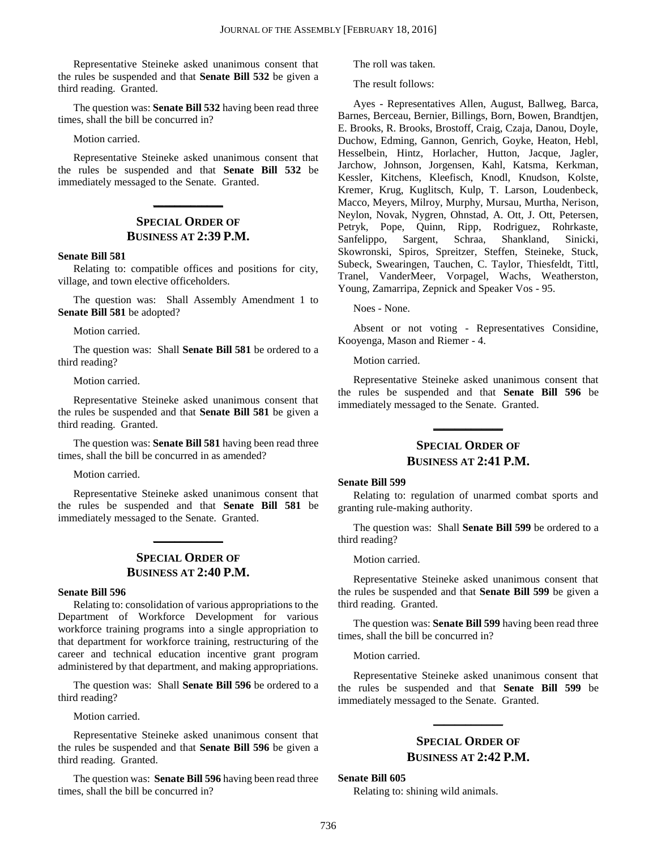Representative Steineke asked unanimous consent that the rules be suspended and that **Senate Bill 532** be given a third reading. Granted.

The question was: **Senate Bill 532** having been read three times, shall the bill be concurred in?

Motion carried.

Representative Steineke asked unanimous consent that the rules be suspended and that **Senate Bill 532** be immediately messaged to the Senate. Granted.

### **SPECIAL ORDER OF BUSINESS AT 2:39 P.M.**

**\_\_\_\_\_\_\_\_\_\_\_\_\_**

#### **Senate Bill 581**

Relating to: compatible offices and positions for city, village, and town elective officeholders.

The question was: Shall Assembly Amendment 1 to **Senate Bill 581** be adopted?

Motion carried.

The question was: Shall **Senate Bill 581** be ordered to a third reading?

Motion carried.

Representative Steineke asked unanimous consent that the rules be suspended and that **Senate Bill 581** be given a third reading. Granted.

The question was: **Senate Bill 581** having been read three times, shall the bill be concurred in as amended?

Motion carried.

Representative Steineke asked unanimous consent that the rules be suspended and that **Senate Bill 581** be immediately messaged to the Senate. Granted.

### **SPECIAL ORDER OF BUSINESS AT 2:40 P.M.**

**\_\_\_\_\_\_\_\_\_\_\_\_\_**

#### **Senate Bill 596**

Relating to: consolidation of various appropriations to the Department of Workforce Development for various workforce training programs into a single appropriation to that department for workforce training, restructuring of the career and technical education incentive grant program administered by that department, and making appropriations.

The question was: Shall **Senate Bill 596** be ordered to a third reading?

Motion carried.

Representative Steineke asked unanimous consent that the rules be suspended and that **Senate Bill 596** be given a third reading. Granted.

The question was: **Senate Bill 596** having been read three times, shall the bill be concurred in?

The roll was taken.

The result follows:

Ayes - Representatives Allen, August, Ballweg, Barca, Barnes, Berceau, Bernier, Billings, Born, Bowen, Brandtjen, E. Brooks, R. Brooks, Brostoff, Craig, Czaja, Danou, Doyle, Duchow, Edming, Gannon, Genrich, Goyke, Heaton, Hebl, Hesselbein, Hintz, Horlacher, Hutton, Jacque, Jagler, Jarchow, Johnson, Jorgensen, Kahl, Katsma, Kerkman, Kessler, Kitchens, Kleefisch, Knodl, Knudson, Kolste, Kremer, Krug, Kuglitsch, Kulp, T. Larson, Loudenbeck, Macco, Meyers, Milroy, Murphy, Mursau, Murtha, Nerison, Neylon, Novak, Nygren, Ohnstad, A. Ott, J. Ott, Petersen, Petryk, Pope, Quinn, Ripp, Rodriguez, Rohrkaste, Sanfelippo, Sargent, Schraa, Shankland, Sinicki, Skowronski, Spiros, Spreitzer, Steffen, Steineke, Stuck, Subeck, Swearingen, Tauchen, C. Taylor, Thiesfeldt, Tittl, Tranel, VanderMeer, Vorpagel, Wachs, Weatherston, Young, Zamarripa, Zepnick and Speaker Vos - 95.

Noes - None.

Absent or not voting - Representatives Considine, Kooyenga, Mason and Riemer - 4.

Motion carried.

Representative Steineke asked unanimous consent that the rules be suspended and that **Senate Bill 596** be immediately messaged to the Senate. Granted.

**\_\_\_\_\_\_\_\_\_\_\_\_\_**

### **SPECIAL ORDER OF BUSINESS AT 2:41 P.M.**

#### **Senate Bill 599**

Relating to: regulation of unarmed combat sports and granting rule-making authority.

The question was: Shall **Senate Bill 599** be ordered to a third reading?

Motion carried.

Representative Steineke asked unanimous consent that the rules be suspended and that **Senate Bill 599** be given a third reading. Granted.

The question was: **Senate Bill 599** having been read three times, shall the bill be concurred in?

Motion carried.

Representative Steineke asked unanimous consent that the rules be suspended and that **Senate Bill 599** be immediately messaged to the Senate. Granted.

### **SPECIAL ORDER OF BUSINESS AT 2:42 P.M.**

**\_\_\_\_\_\_\_\_\_\_\_\_\_**

#### **Senate Bill 605**

Relating to: shining wild animals.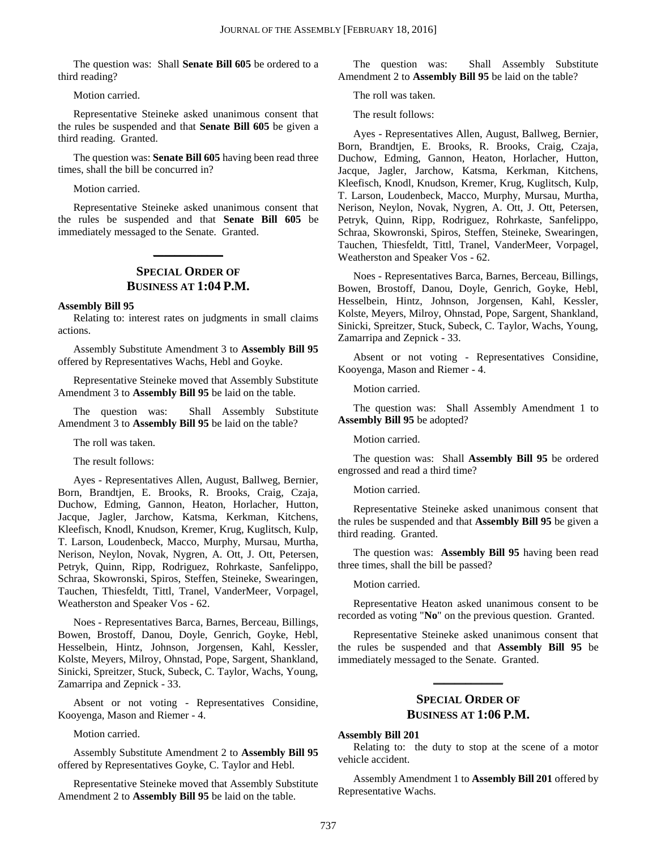The question was: Shall **Senate Bill 605** be ordered to a third reading?

Motion carried.

Representative Steineke asked unanimous consent that the rules be suspended and that **Senate Bill 605** be given a third reading. Granted.

The question was: **Senate Bill 605** having been read three times, shall the bill be concurred in?

Motion carried.

Representative Steineke asked unanimous consent that the rules be suspended and that **Senate Bill 605** be immediately messaged to the Senate. Granted.

### **SPECIAL ORDER OF BUSINESS AT 1:04 P.M.**

**\_\_\_\_\_\_\_\_\_\_\_\_\_**

#### **Assembly Bill 95**

Relating to: interest rates on judgments in small claims actions.

Assembly Substitute Amendment 3 to **Assembly Bill 95** offered by Representatives Wachs, Hebl and Goyke.

Representative Steineke moved that Assembly Substitute Amendment 3 to **Assembly Bill 95** be laid on the table.

The question was: Shall Assembly Substitute Amendment 3 to **Assembly Bill 95** be laid on the table?

The roll was taken.

The result follows:

Ayes - Representatives Allen, August, Ballweg, Bernier, Born, Brandtjen, E. Brooks, R. Brooks, Craig, Czaja, Duchow, Edming, Gannon, Heaton, Horlacher, Hutton, Jacque, Jagler, Jarchow, Katsma, Kerkman, Kitchens, Kleefisch, Knodl, Knudson, Kremer, Krug, Kuglitsch, Kulp, T. Larson, Loudenbeck, Macco, Murphy, Mursau, Murtha, Nerison, Neylon, Novak, Nygren, A. Ott, J. Ott, Petersen, Petryk, Quinn, Ripp, Rodriguez, Rohrkaste, Sanfelippo, Schraa, Skowronski, Spiros, Steffen, Steineke, Swearingen, Tauchen, Thiesfeldt, Tittl, Tranel, VanderMeer, Vorpagel, Weatherston and Speaker Vos - 62.

Noes - Representatives Barca, Barnes, Berceau, Billings, Bowen, Brostoff, Danou, Doyle, Genrich, Goyke, Hebl, Hesselbein, Hintz, Johnson, Jorgensen, Kahl, Kessler, Kolste, Meyers, Milroy, Ohnstad, Pope, Sargent, Shankland, Sinicki, Spreitzer, Stuck, Subeck, C. Taylor, Wachs, Young, Zamarripa and Zepnick - 33.

Absent or not voting - Representatives Considine, Kooyenga, Mason and Riemer - 4.

Motion carried.

Assembly Substitute Amendment 2 to **Assembly Bill 95** offered by Representatives Goyke, C. Taylor and Hebl.

Representative Steineke moved that Assembly Substitute Amendment 2 to **Assembly Bill 95** be laid on the table.

The question was: Shall Assembly Substitute Amendment 2 to **Assembly Bill 95** be laid on the table?

The roll was taken.

The result follows:

Ayes - Representatives Allen, August, Ballweg, Bernier, Born, Brandtjen, E. Brooks, R. Brooks, Craig, Czaja, Duchow, Edming, Gannon, Heaton, Horlacher, Hutton, Jacque, Jagler, Jarchow, Katsma, Kerkman, Kitchens, Kleefisch, Knodl, Knudson, Kremer, Krug, Kuglitsch, Kulp, T. Larson, Loudenbeck, Macco, Murphy, Mursau, Murtha, Nerison, Neylon, Novak, Nygren, A. Ott, J. Ott, Petersen, Petryk, Quinn, Ripp, Rodriguez, Rohrkaste, Sanfelippo, Schraa, Skowronski, Spiros, Steffen, Steineke, Swearingen, Tauchen, Thiesfeldt, Tittl, Tranel, VanderMeer, Vorpagel, Weatherston and Speaker Vos - 62.

Noes - Representatives Barca, Barnes, Berceau, Billings, Bowen, Brostoff, Danou, Doyle, Genrich, Goyke, Hebl, Hesselbein, Hintz, Johnson, Jorgensen, Kahl, Kessler, Kolste, Meyers, Milroy, Ohnstad, Pope, Sargent, Shankland, Sinicki, Spreitzer, Stuck, Subeck, C. Taylor, Wachs, Young, Zamarripa and Zepnick - 33.

Absent or not voting - Representatives Considine, Kooyenga, Mason and Riemer - 4.

Motion carried.

The question was: Shall Assembly Amendment 1 to **Assembly Bill 95** be adopted?

Motion carried.

The question was: Shall **Assembly Bill 95** be ordered engrossed and read a third time?

Motion carried.

Representative Steineke asked unanimous consent that the rules be suspended and that **Assembly Bill 95** be given a third reading. Granted.

The question was: **Assembly Bill 95** having been read three times, shall the bill be passed?

Motion carried.

Representative Heaton asked unanimous consent to be recorded as voting "**No**" on the previous question. Granted.

Representative Steineke asked unanimous consent that the rules be suspended and that **Assembly Bill 95** be immediately messaged to the Senate. Granted.

### **SPECIAL ORDER OF BUSINESS AT 1:06 P.M.**

**\_\_\_\_\_\_\_\_\_\_\_\_\_**

### **Assembly Bill 201**

Relating to: the duty to stop at the scene of a motor vehicle accident.

Assembly Amendment 1 to **Assembly Bill 201** offered by Representative Wachs.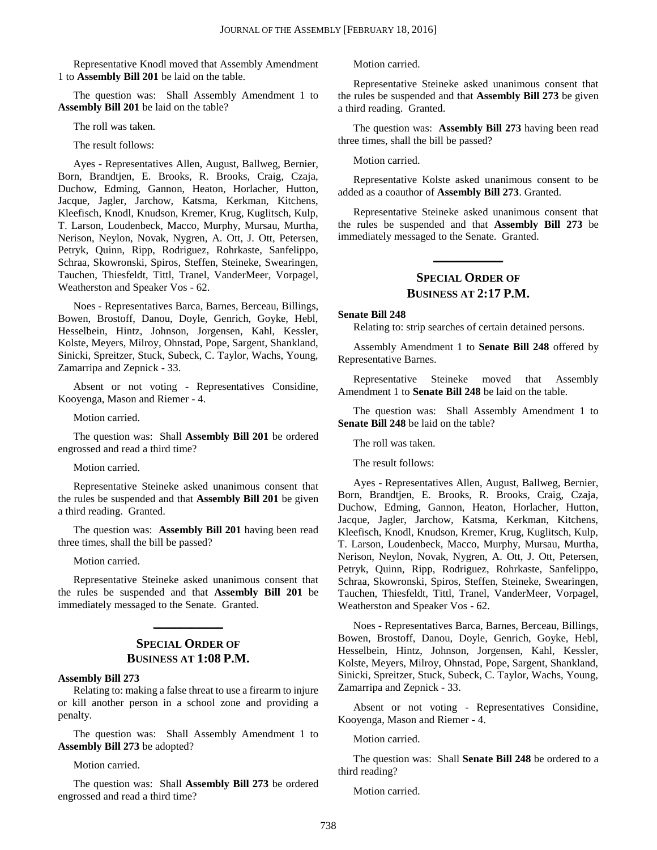Representative Knodl moved that Assembly Amendment 1 to **Assembly Bill 201** be laid on the table.

The question was: Shall Assembly Amendment 1 to **Assembly Bill 201** be laid on the table?

The roll was taken.

The result follows:

Ayes - Representatives Allen, August, Ballweg, Bernier, Born, Brandtjen, E. Brooks, R. Brooks, Craig, Czaja, Duchow, Edming, Gannon, Heaton, Horlacher, Hutton, Jacque, Jagler, Jarchow, Katsma, Kerkman, Kitchens, Kleefisch, Knodl, Knudson, Kremer, Krug, Kuglitsch, Kulp, T. Larson, Loudenbeck, Macco, Murphy, Mursau, Murtha, Nerison, Neylon, Novak, Nygren, A. Ott, J. Ott, Petersen, Petryk, Quinn, Ripp, Rodriguez, Rohrkaste, Sanfelippo, Schraa, Skowronski, Spiros, Steffen, Steineke, Swearingen, Tauchen, Thiesfeldt, Tittl, Tranel, VanderMeer, Vorpagel, Weatherston and Speaker Vos - 62.

Noes - Representatives Barca, Barnes, Berceau, Billings, Bowen, Brostoff, Danou, Doyle, Genrich, Goyke, Hebl, Hesselbein, Hintz, Johnson, Jorgensen, Kahl, Kessler, Kolste, Meyers, Milroy, Ohnstad, Pope, Sargent, Shankland, Sinicki, Spreitzer, Stuck, Subeck, C. Taylor, Wachs, Young, Zamarripa and Zepnick - 33.

Absent or not voting - Representatives Considine, Kooyenga, Mason and Riemer - 4.

Motion carried.

The question was: Shall **Assembly Bill 201** be ordered engrossed and read a third time?

Motion carried.

Representative Steineke asked unanimous consent that the rules be suspended and that **Assembly Bill 201** be given a third reading. Granted.

The question was: **Assembly Bill 201** having been read three times, shall the bill be passed?

Motion carried.

Representative Steineke asked unanimous consent that the rules be suspended and that **Assembly Bill 201** be immediately messaged to the Senate. Granted.

### **SPECIAL ORDER OF BUSINESS AT 1:08 P.M.**

**\_\_\_\_\_\_\_\_\_\_\_\_\_**

### **Assembly Bill 273**

Relating to: making a false threat to use a firearm to injure or kill another person in a school zone and providing a penalty.

The question was: Shall Assembly Amendment 1 to **Assembly Bill 273** be adopted?

Motion carried.

The question was: Shall **Assembly Bill 273** be ordered engrossed and read a third time?

Motion carried.

Representative Steineke asked unanimous consent that the rules be suspended and that **Assembly Bill 273** be given a third reading. Granted.

The question was: **Assembly Bill 273** having been read three times, shall the bill be passed?

Motion carried.

Representative Kolste asked unanimous consent to be added as a coauthor of **Assembly Bill 273**. Granted.

Representative Steineke asked unanimous consent that the rules be suspended and that **Assembly Bill 273** be immediately messaged to the Senate. Granted.

### **SPECIAL ORDER OF BUSINESS AT 2:17 P.M.**

**\_\_\_\_\_\_\_\_\_\_\_\_\_**

### **Senate Bill 248**

Relating to: strip searches of certain detained persons.

Assembly Amendment 1 to **Senate Bill 248** offered by Representative Barnes.

Representative Steineke moved that Assembly Amendment 1 to **Senate Bill 248** be laid on the table.

The question was: Shall Assembly Amendment 1 to **Senate Bill 248** be laid on the table?

The roll was taken.

The result follows:

Ayes - Representatives Allen, August, Ballweg, Bernier, Born, Brandtjen, E. Brooks, R. Brooks, Craig, Czaja, Duchow, Edming, Gannon, Heaton, Horlacher, Hutton, Jacque, Jagler, Jarchow, Katsma, Kerkman, Kitchens, Kleefisch, Knodl, Knudson, Kremer, Krug, Kuglitsch, Kulp, T. Larson, Loudenbeck, Macco, Murphy, Mursau, Murtha, Nerison, Neylon, Novak, Nygren, A. Ott, J. Ott, Petersen, Petryk, Quinn, Ripp, Rodriguez, Rohrkaste, Sanfelippo, Schraa, Skowronski, Spiros, Steffen, Steineke, Swearingen, Tauchen, Thiesfeldt, Tittl, Tranel, VanderMeer, Vorpagel, Weatherston and Speaker Vos - 62.

Noes - Representatives Barca, Barnes, Berceau, Billings, Bowen, Brostoff, Danou, Doyle, Genrich, Goyke, Hebl, Hesselbein, Hintz, Johnson, Jorgensen, Kahl, Kessler, Kolste, Meyers, Milroy, Ohnstad, Pope, Sargent, Shankland, Sinicki, Spreitzer, Stuck, Subeck, C. Taylor, Wachs, Young, Zamarripa and Zepnick - 33.

Absent or not voting - Representatives Considine, Kooyenga, Mason and Riemer - 4.

Motion carried.

The question was: Shall **Senate Bill 248** be ordered to a third reading?

Motion carried.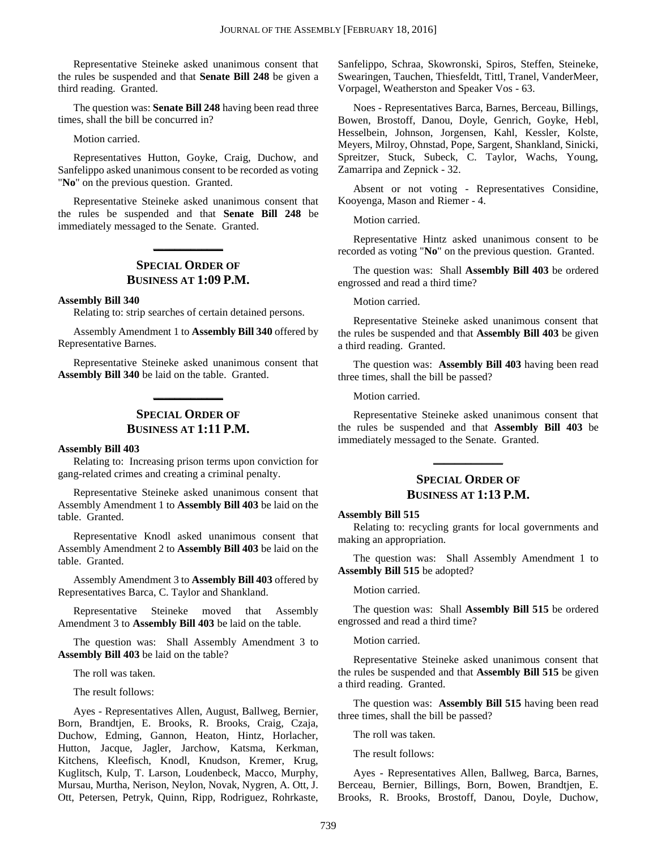Representative Steineke asked unanimous consent that the rules be suspended and that **Senate Bill 248** be given a third reading. Granted.

The question was: **Senate Bill 248** having been read three times, shall the bill be concurred in?

Motion carried.

Representatives Hutton, Goyke, Craig, Duchow, and Sanfelippo asked unanimous consent to be recorded as voting "**No**" on the previous question. Granted.

Representative Steineke asked unanimous consent that the rules be suspended and that **Senate Bill 248** be immediately messaged to the Senate. Granted.

### **SPECIAL ORDER OF BUSINESS AT 1:09 P.M.**

**\_\_\_\_\_\_\_\_\_\_\_\_\_**

#### **Assembly Bill 340**

Relating to: strip searches of certain detained persons.

Assembly Amendment 1 to **Assembly Bill 340** offered by Representative Barnes.

Representative Steineke asked unanimous consent that **Assembly Bill 340** be laid on the table. Granted.

**\_\_\_\_\_\_\_\_\_\_\_\_\_**

### **SPECIAL ORDER OF BUSINESS AT 1:11 P.M.**

#### **Assembly Bill 403**

Relating to: Increasing prison terms upon conviction for gang-related crimes and creating a criminal penalty.

Representative Steineke asked unanimous consent that Assembly Amendment 1 to **Assembly Bill 403** be laid on the table. Granted.

Representative Knodl asked unanimous consent that Assembly Amendment 2 to **Assembly Bill 403** be laid on the table. Granted.

Assembly Amendment 3 to **Assembly Bill 403** offered by Representatives Barca, C. Taylor and Shankland.

Representative Steineke moved that Assembly Amendment 3 to **Assembly Bill 403** be laid on the table.

The question was: Shall Assembly Amendment 3 to **Assembly Bill 403** be laid on the table?

The roll was taken.

The result follows:

Ayes - Representatives Allen, August, Ballweg, Bernier, Born, Brandtjen, E. Brooks, R. Brooks, Craig, Czaja, Duchow, Edming, Gannon, Heaton, Hintz, Horlacher, Hutton, Jacque, Jagler, Jarchow, Katsma, Kerkman, Kitchens, Kleefisch, Knodl, Knudson, Kremer, Krug, Kuglitsch, Kulp, T. Larson, Loudenbeck, Macco, Murphy, Mursau, Murtha, Nerison, Neylon, Novak, Nygren, A. Ott, J. Ott, Petersen, Petryk, Quinn, Ripp, Rodriguez, Rohrkaste, Sanfelippo, Schraa, Skowronski, Spiros, Steffen, Steineke, Swearingen, Tauchen, Thiesfeldt, Tittl, Tranel, VanderMeer, Vorpagel, Weatherston and Speaker Vos - 63.

Noes - Representatives Barca, Barnes, Berceau, Billings, Bowen, Brostoff, Danou, Doyle, Genrich, Goyke, Hebl, Hesselbein, Johnson, Jorgensen, Kahl, Kessler, Kolste, Meyers, Milroy, Ohnstad, Pope, Sargent, Shankland, Sinicki, Spreitzer, Stuck, Subeck, C. Taylor, Wachs, Young, Zamarripa and Zepnick - 32.

Absent or not voting - Representatives Considine, Kooyenga, Mason and Riemer - 4.

Motion carried.

Representative Hintz asked unanimous consent to be recorded as voting "**No**" on the previous question. Granted.

The question was: Shall **Assembly Bill 403** be ordered engrossed and read a third time?

Motion carried.

Representative Steineke asked unanimous consent that the rules be suspended and that **Assembly Bill 403** be given a third reading. Granted.

The question was: **Assembly Bill 403** having been read three times, shall the bill be passed?

Motion carried.

Representative Steineke asked unanimous consent that the rules be suspended and that **Assembly Bill 403** be immediately messaged to the Senate. Granted.

### **SPECIAL ORDER OF BUSINESS AT 1:13 P.M.**

**\_\_\_\_\_\_\_\_\_\_\_\_\_**

#### **Assembly Bill 515**

Relating to: recycling grants for local governments and making an appropriation.

The question was: Shall Assembly Amendment 1 to **Assembly Bill 515** be adopted?

Motion carried.

The question was: Shall **Assembly Bill 515** be ordered engrossed and read a third time?

Motion carried.

Representative Steineke asked unanimous consent that the rules be suspended and that **Assembly Bill 515** be given a third reading. Granted.

The question was: **Assembly Bill 515** having been read three times, shall the bill be passed?

The roll was taken.

The result follows:

Ayes - Representatives Allen, Ballweg, Barca, Barnes, Berceau, Bernier, Billings, Born, Bowen, Brandtjen, E. Brooks, R. Brooks, Brostoff, Danou, Doyle, Duchow,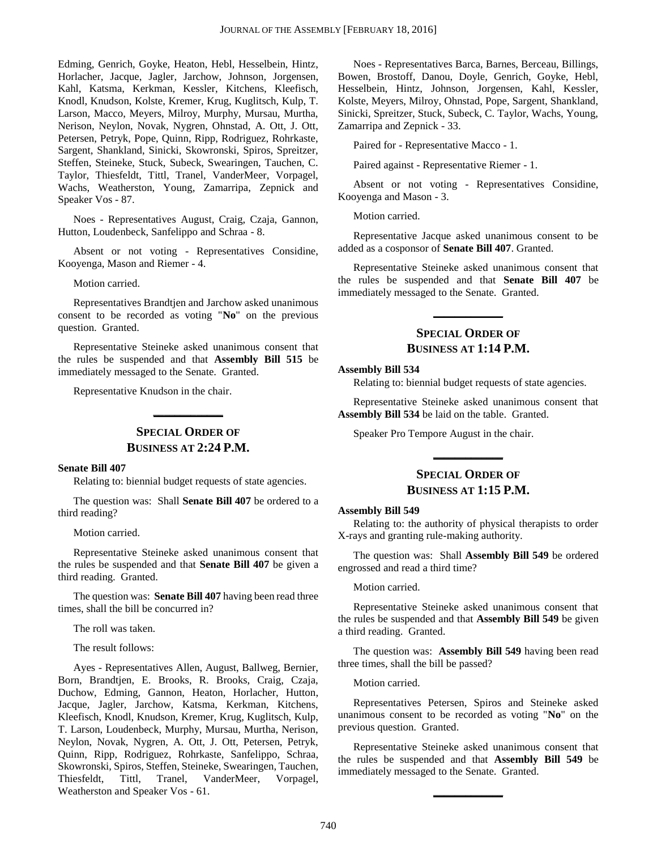Edming, Genrich, Goyke, Heaton, Hebl, Hesselbein, Hintz, Horlacher, Jacque, Jagler, Jarchow, Johnson, Jorgensen, Kahl, Katsma, Kerkman, Kessler, Kitchens, Kleefisch, Knodl, Knudson, Kolste, Kremer, Krug, Kuglitsch, Kulp, T. Larson, Macco, Meyers, Milroy, Murphy, Mursau, Murtha, Nerison, Neylon, Novak, Nygren, Ohnstad, A. Ott, J. Ott, Petersen, Petryk, Pope, Quinn, Ripp, Rodriguez, Rohrkaste, Sargent, Shankland, Sinicki, Skowronski, Spiros, Spreitzer, Steffen, Steineke, Stuck, Subeck, Swearingen, Tauchen, C. Taylor, Thiesfeldt, Tittl, Tranel, VanderMeer, Vorpagel, Wachs, Weatherston, Young, Zamarripa, Zepnick and Speaker Vos - 87.

Noes - Representatives August, Craig, Czaja, Gannon, Hutton, Loudenbeck, Sanfelippo and Schraa - 8.

Absent or not voting - Representatives Considine, Kooyenga, Mason and Riemer - 4.

Motion carried.

Representatives Brandtjen and Jarchow asked unanimous consent to be recorded as voting "**No**" on the previous question. Granted.

Representative Steineke asked unanimous consent that the rules be suspended and that **Assembly Bill 515** be immediately messaged to the Senate. Granted.

Representative Knudson in the chair.

### **SPECIAL ORDER OF BUSINESS AT 2:24 P.M.**

**\_\_\_\_\_\_\_\_\_\_\_\_\_**

#### **Senate Bill 407**

Relating to: biennial budget requests of state agencies.

The question was: Shall **Senate Bill 407** be ordered to a third reading?

Motion carried.

Representative Steineke asked unanimous consent that the rules be suspended and that **Senate Bill 407** be given a third reading. Granted.

The question was: **Senate Bill 407** having been read three times, shall the bill be concurred in?

The roll was taken.

The result follows:

Ayes - Representatives Allen, August, Ballweg, Bernier, Born, Brandtjen, E. Brooks, R. Brooks, Craig, Czaja, Duchow, Edming, Gannon, Heaton, Horlacher, Hutton, Jacque, Jagler, Jarchow, Katsma, Kerkman, Kitchens, Kleefisch, Knodl, Knudson, Kremer, Krug, Kuglitsch, Kulp, T. Larson, Loudenbeck, Murphy, Mursau, Murtha, Nerison, Neylon, Novak, Nygren, A. Ott, J. Ott, Petersen, Petryk, Quinn, Ripp, Rodriguez, Rohrkaste, Sanfelippo, Schraa, Skowronski, Spiros, Steffen, Steineke, Swearingen, Tauchen, Thiesfeldt, Tittl, Tranel, VanderMeer, Vorpagel, Weatherston and Speaker Vos - 61.

Noes - Representatives Barca, Barnes, Berceau, Billings, Bowen, Brostoff, Danou, Doyle, Genrich, Goyke, Hebl, Hesselbein, Hintz, Johnson, Jorgensen, Kahl, Kessler, Kolste, Meyers, Milroy, Ohnstad, Pope, Sargent, Shankland, Sinicki, Spreitzer, Stuck, Subeck, C. Taylor, Wachs, Young, Zamarripa and Zepnick - 33.

Paired for - Representative Macco - 1.

Paired against - Representative Riemer - 1.

Absent or not voting - Representatives Considine, Kooyenga and Mason - 3.

Motion carried.

Representative Jacque asked unanimous consent to be added as a cosponsor of **Senate Bill 407**. Granted.

Representative Steineke asked unanimous consent that the rules be suspended and that **Senate Bill 407** be immediately messaged to the Senate. Granted.

### **SPECIAL ORDER OF BUSINESS AT 1:14 P.M.**

**\_\_\_\_\_\_\_\_\_\_\_\_\_**

#### **Assembly Bill 534**

Relating to: biennial budget requests of state agencies.

Representative Steineke asked unanimous consent that **Assembly Bill 534** be laid on the table. Granted.

Speaker Pro Tempore August in the chair.

### **SPECIAL ORDER OF BUSINESS AT 1:15 P.M.**

**\_\_\_\_\_\_\_\_\_\_\_\_\_**

#### **Assembly Bill 549**

Relating to: the authority of physical therapists to order X-rays and granting rule-making authority.

The question was: Shall **Assembly Bill 549** be ordered engrossed and read a third time?

Motion carried.

Representative Steineke asked unanimous consent that the rules be suspended and that **Assembly Bill 549** be given a third reading. Granted.

The question was: **Assembly Bill 549** having been read three times, shall the bill be passed?

Motion carried.

Representatives Petersen, Spiros and Steineke asked unanimous consent to be recorded as voting "**No**" on the previous question. Granted.

Representative Steineke asked unanimous consent that the rules be suspended and that **Assembly Bill 549** be immediately messaged to the Senate. Granted.

**\_\_\_\_\_\_\_\_\_\_\_\_\_**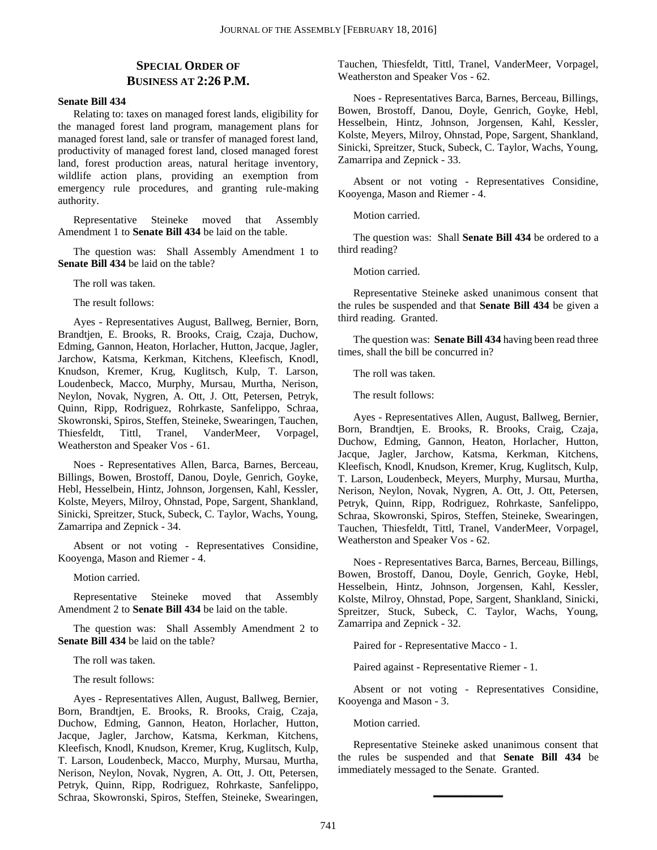### **SPECIAL ORDER OF BUSINESS AT 2:26 P.M.**

#### **Senate Bill 434**

Relating to: taxes on managed forest lands, eligibility for the managed forest land program, management plans for managed forest land, sale or transfer of managed forest land, productivity of managed forest land, closed managed forest land, forest production areas, natural heritage inventory, wildlife action plans, providing an exemption from emergency rule procedures, and granting rule-making authority.

Representative Steineke moved that Assembly Amendment 1 to **Senate Bill 434** be laid on the table.

The question was: Shall Assembly Amendment 1 to **Senate Bill 434** be laid on the table?

The roll was taken.

The result follows:

Ayes - Representatives August, Ballweg, Bernier, Born, Brandtjen, E. Brooks, R. Brooks, Craig, Czaja, Duchow, Edming, Gannon, Heaton, Horlacher, Hutton, Jacque, Jagler, Jarchow, Katsma, Kerkman, Kitchens, Kleefisch, Knodl, Knudson, Kremer, Krug, Kuglitsch, Kulp, T. Larson, Loudenbeck, Macco, Murphy, Mursau, Murtha, Nerison, Neylon, Novak, Nygren, A. Ott, J. Ott, Petersen, Petryk, Quinn, Ripp, Rodriguez, Rohrkaste, Sanfelippo, Schraa, Skowronski, Spiros, Steffen, Steineke, Swearingen, Tauchen, Thiesfeldt, Tittl, Tranel, VanderMeer, Vorpagel, Weatherston and Speaker Vos - 61.

Noes - Representatives Allen, Barca, Barnes, Berceau, Billings, Bowen, Brostoff, Danou, Doyle, Genrich, Goyke, Hebl, Hesselbein, Hintz, Johnson, Jorgensen, Kahl, Kessler, Kolste, Meyers, Milroy, Ohnstad, Pope, Sargent, Shankland, Sinicki, Spreitzer, Stuck, Subeck, C. Taylor, Wachs, Young, Zamarripa and Zepnick - 34.

Absent or not voting - Representatives Considine, Kooyenga, Mason and Riemer - 4.

Motion carried.

Representative Steineke moved that Assembly Amendment 2 to **Senate Bill 434** be laid on the table.

The question was: Shall Assembly Amendment 2 to **Senate Bill 434** be laid on the table?

The roll was taken.

The result follows:

Ayes - Representatives Allen, August, Ballweg, Bernier, Born, Brandtjen, E. Brooks, R. Brooks, Craig, Czaja, Duchow, Edming, Gannon, Heaton, Horlacher, Hutton, Jacque, Jagler, Jarchow, Katsma, Kerkman, Kitchens, Kleefisch, Knodl, Knudson, Kremer, Krug, Kuglitsch, Kulp, T. Larson, Loudenbeck, Macco, Murphy, Mursau, Murtha, Nerison, Neylon, Novak, Nygren, A. Ott, J. Ott, Petersen, Petryk, Quinn, Ripp, Rodriguez, Rohrkaste, Sanfelippo, Schraa, Skowronski, Spiros, Steffen, Steineke, Swearingen, Tauchen, Thiesfeldt, Tittl, Tranel, VanderMeer, Vorpagel, Weatherston and Speaker Vos - 62.

Noes - Representatives Barca, Barnes, Berceau, Billings, Bowen, Brostoff, Danou, Doyle, Genrich, Goyke, Hebl, Hesselbein, Hintz, Johnson, Jorgensen, Kahl, Kessler, Kolste, Meyers, Milroy, Ohnstad, Pope, Sargent, Shankland, Sinicki, Spreitzer, Stuck, Subeck, C. Taylor, Wachs, Young, Zamarripa and Zepnick - 33.

Absent or not voting - Representatives Considine, Kooyenga, Mason and Riemer - 4.

Motion carried.

The question was: Shall **Senate Bill 434** be ordered to a third reading?

Motion carried.

Representative Steineke asked unanimous consent that the rules be suspended and that **Senate Bill 434** be given a third reading. Granted.

The question was: **Senate Bill 434** having been read three times, shall the bill be concurred in?

The roll was taken.

The result follows:

Ayes - Representatives Allen, August, Ballweg, Bernier, Born, Brandtjen, E. Brooks, R. Brooks, Craig, Czaja, Duchow, Edming, Gannon, Heaton, Horlacher, Hutton, Jacque, Jagler, Jarchow, Katsma, Kerkman, Kitchens, Kleefisch, Knodl, Knudson, Kremer, Krug, Kuglitsch, Kulp, T. Larson, Loudenbeck, Meyers, Murphy, Mursau, Murtha, Nerison, Neylon, Novak, Nygren, A. Ott, J. Ott, Petersen, Petryk, Quinn, Ripp, Rodriguez, Rohrkaste, Sanfelippo, Schraa, Skowronski, Spiros, Steffen, Steineke, Swearingen, Tauchen, Thiesfeldt, Tittl, Tranel, VanderMeer, Vorpagel, Weatherston and Speaker Vos - 62.

Noes - Representatives Barca, Barnes, Berceau, Billings, Bowen, Brostoff, Danou, Doyle, Genrich, Goyke, Hebl, Hesselbein, Hintz, Johnson, Jorgensen, Kahl, Kessler, Kolste, Milroy, Ohnstad, Pope, Sargent, Shankland, Sinicki, Spreitzer, Stuck, Subeck, C. Taylor, Wachs, Young, Zamarripa and Zepnick - 32.

Paired for - Representative Macco - 1.

Paired against - Representative Riemer - 1.

Absent or not voting - Representatives Considine, Kooyenga and Mason - 3.

Motion carried.

Representative Steineke asked unanimous consent that the rules be suspended and that **Senate Bill 434** be immediately messaged to the Senate. Granted.

**\_\_\_\_\_\_\_\_\_\_\_\_\_**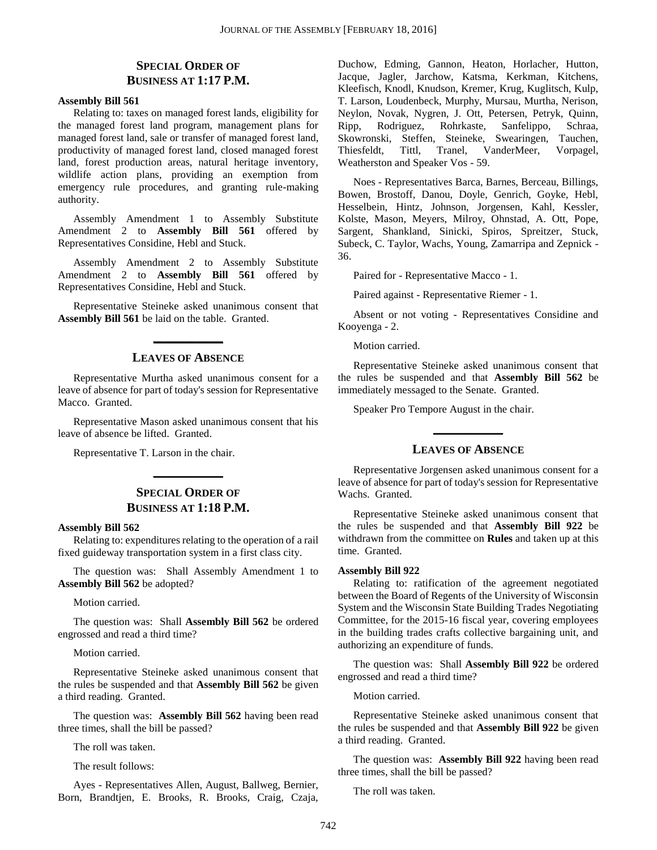### **SPECIAL ORDER OF BUSINESS AT 1:17 P.M.**

#### **Assembly Bill 561**

Relating to: taxes on managed forest lands, eligibility for the managed forest land program, management plans for managed forest land, sale or transfer of managed forest land, productivity of managed forest land, closed managed forest land, forest production areas, natural heritage inventory, wildlife action plans, providing an exemption from emergency rule procedures, and granting rule-making authority.

Assembly Amendment 1 to Assembly Substitute Amendment 2 to **Assembly Bill 561** offered by Representatives Considine, Hebl and Stuck.

Assembly Amendment 2 to Assembly Substitute Amendment 2 to **Assembly Bill 561** offered by Representatives Considine, Hebl and Stuck.

Representative Steineke asked unanimous consent that **Assembly Bill 561** be laid on the table. Granted.

# **\_\_\_\_\_\_\_\_\_\_\_\_\_ LEAVES OF ABSENCE**

Representative Murtha asked unanimous consent for a leave of absence for part of today's session for Representative Macco. Granted.

Representative Mason asked unanimous consent that his leave of absence be lifted. Granted.

Representative T. Larson in the chair.

### **SPECIAL ORDER OF BUSINESS AT 1:18 P.M.**

**\_\_\_\_\_\_\_\_\_\_\_\_\_**

#### **Assembly Bill 562**

Relating to: expenditures relating to the operation of a rail fixed guideway transportation system in a first class city.

The question was: Shall Assembly Amendment 1 to **Assembly Bill 562** be adopted?

Motion carried.

The question was: Shall **Assembly Bill 562** be ordered engrossed and read a third time?

Motion carried.

Representative Steineke asked unanimous consent that the rules be suspended and that **Assembly Bill 562** be given a third reading. Granted.

The question was: **Assembly Bill 562** having been read three times, shall the bill be passed?

The roll was taken.

The result follows:

Ayes - Representatives Allen, August, Ballweg, Bernier, Born, Brandtjen, E. Brooks, R. Brooks, Craig, Czaja, Duchow, Edming, Gannon, Heaton, Horlacher, Hutton, Jacque, Jagler, Jarchow, Katsma, Kerkman, Kitchens, Kleefisch, Knodl, Knudson, Kremer, Krug, Kuglitsch, Kulp, T. Larson, Loudenbeck, Murphy, Mursau, Murtha, Nerison, Neylon, Novak, Nygren, J. Ott, Petersen, Petryk, Quinn, Ripp, Rodriguez, Rohrkaste, Sanfelippo, Schraa, Skowronski, Steffen, Steineke, Swearingen, Tauchen, Thiesfeldt, Tittl, Tranel, VanderMeer, Vorpagel, Weatherston and Speaker Vos - 59.

Noes - Representatives Barca, Barnes, Berceau, Billings, Bowen, Brostoff, Danou, Doyle, Genrich, Goyke, Hebl, Hesselbein, Hintz, Johnson, Jorgensen, Kahl, Kessler, Kolste, Mason, Meyers, Milroy, Ohnstad, A. Ott, Pope, Sargent, Shankland, Sinicki, Spiros, Spreitzer, Stuck, Subeck, C. Taylor, Wachs, Young, Zamarripa and Zepnick - 36.

Paired for - Representative Macco - 1.

Paired against - Representative Riemer - 1.

Absent or not voting - Representatives Considine and Kooyenga - 2.

Motion carried.

Representative Steineke asked unanimous consent that the rules be suspended and that **Assembly Bill 562** be immediately messaged to the Senate. Granted.

Speaker Pro Tempore August in the chair.

# **\_\_\_\_\_\_\_\_\_\_\_\_\_ LEAVES OF ABSENCE**

Representative Jorgensen asked unanimous consent for a leave of absence for part of today's session for Representative Wachs. Granted.

Representative Steineke asked unanimous consent that the rules be suspended and that **Assembly Bill 922** be withdrawn from the committee on **Rules** and taken up at this time. Granted.

### **Assembly Bill 922**

Relating to: ratification of the agreement negotiated between the Board of Regents of the University of Wisconsin System and the Wisconsin State Building Trades Negotiating Committee, for the 2015-16 fiscal year, covering employees in the building trades crafts collective bargaining unit, and authorizing an expenditure of funds.

The question was: Shall **Assembly Bill 922** be ordered engrossed and read a third time?

Motion carried.

Representative Steineke asked unanimous consent that the rules be suspended and that **Assembly Bill 922** be given a third reading. Granted.

The question was: **Assembly Bill 922** having been read three times, shall the bill be passed?

The roll was taken.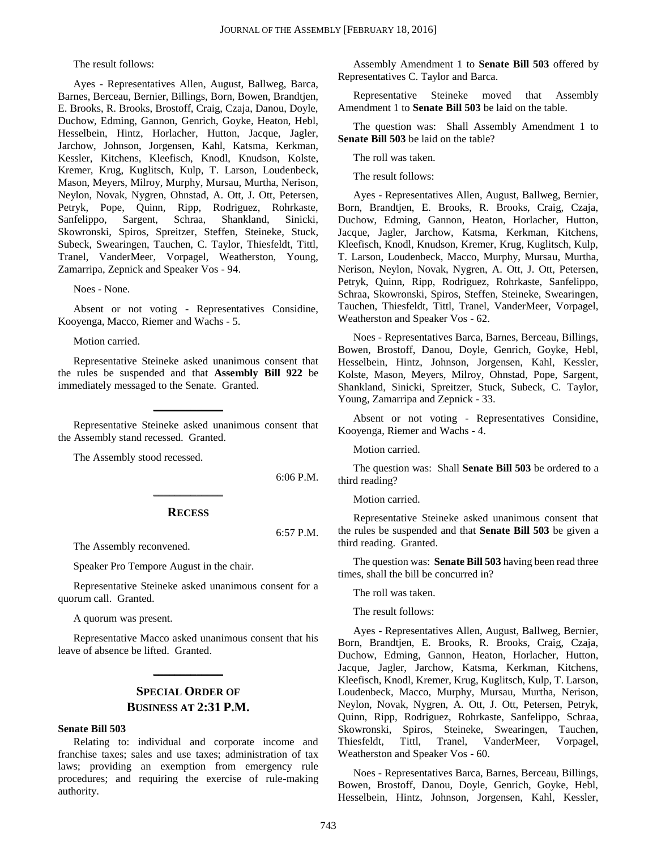The result follows:

Ayes - Representatives Allen, August, Ballweg, Barca, Barnes, Berceau, Bernier, Billings, Born, Bowen, Brandtjen, E. Brooks, R. Brooks, Brostoff, Craig, Czaja, Danou, Doyle, Duchow, Edming, Gannon, Genrich, Goyke, Heaton, Hebl, Hesselbein, Hintz, Horlacher, Hutton, Jacque, Jagler, Jarchow, Johnson, Jorgensen, Kahl, Katsma, Kerkman, Kessler, Kitchens, Kleefisch, Knodl, Knudson, Kolste, Kremer, Krug, Kuglitsch, Kulp, T. Larson, Loudenbeck, Mason, Meyers, Milroy, Murphy, Mursau, Murtha, Nerison, Neylon, Novak, Nygren, Ohnstad, A. Ott, J. Ott, Petersen, Petryk, Pope, Quinn, Ripp, Rodriguez, Rohrkaste, Sanfelippo, Sargent, Schraa, Shankland, Sinicki, Skowronski, Spiros, Spreitzer, Steffen, Steineke, Stuck, Subeck, Swearingen, Tauchen, C. Taylor, Thiesfeldt, Tittl, Tranel, VanderMeer, Vorpagel, Weatherston, Young, Zamarripa, Zepnick and Speaker Vos - 94.

Noes - None.

Absent or not voting - Representatives Considine, Kooyenga, Macco, Riemer and Wachs - 5.

Motion carried.

Representative Steineke asked unanimous consent that the rules be suspended and that **Assembly Bill 922** be immediately messaged to the Senate. Granted.

Representative Steineke asked unanimous consent that the Assembly stand recessed. Granted.

**\_\_\_\_\_\_\_\_\_\_\_\_\_**

The Assembly stood recessed.

6:06 P.M.

6:57 P.M.

# **\_\_\_\_\_\_\_\_\_\_\_\_\_ RECESS**

The Assembly reconvened.

Speaker Pro Tempore August in the chair.

Representative Steineke asked unanimous consent for a quorum call. Granted.

A quorum was present.

Representative Macco asked unanimous consent that his leave of absence be lifted. Granted.

**\_\_\_\_\_\_\_\_\_\_\_\_\_**

### **SPECIAL ORDER OF BUSINESS AT 2:31 P.M.**

#### **Senate Bill 503**

Relating to: individual and corporate income and franchise taxes; sales and use taxes; administration of tax laws; providing an exemption from emergency rule procedures; and requiring the exercise of rule-making authority.

Assembly Amendment 1 to **Senate Bill 503** offered by Representatives C. Taylor and Barca.

Representative Steineke moved that Assembly Amendment 1 to **Senate Bill 503** be laid on the table.

The question was: Shall Assembly Amendment 1 to **Senate Bill 503** be laid on the table?

The roll was taken.

The result follows:

Ayes - Representatives Allen, August, Ballweg, Bernier, Born, Brandtjen, E. Brooks, R. Brooks, Craig, Czaja, Duchow, Edming, Gannon, Heaton, Horlacher, Hutton, Jacque, Jagler, Jarchow, Katsma, Kerkman, Kitchens, Kleefisch, Knodl, Knudson, Kremer, Krug, Kuglitsch, Kulp, T. Larson, Loudenbeck, Macco, Murphy, Mursau, Murtha, Nerison, Neylon, Novak, Nygren, A. Ott, J. Ott, Petersen, Petryk, Quinn, Ripp, Rodriguez, Rohrkaste, Sanfelippo, Schraa, Skowronski, Spiros, Steffen, Steineke, Swearingen, Tauchen, Thiesfeldt, Tittl, Tranel, VanderMeer, Vorpagel, Weatherston and Speaker Vos - 62.

Noes - Representatives Barca, Barnes, Berceau, Billings, Bowen, Brostoff, Danou, Doyle, Genrich, Goyke, Hebl, Hesselbein, Hintz, Johnson, Jorgensen, Kahl, Kessler, Kolste, Mason, Meyers, Milroy, Ohnstad, Pope, Sargent, Shankland, Sinicki, Spreitzer, Stuck, Subeck, C. Taylor, Young, Zamarripa and Zepnick - 33.

Absent or not voting - Representatives Considine, Kooyenga, Riemer and Wachs - 4.

Motion carried.

The question was: Shall **Senate Bill 503** be ordered to a third reading?

Motion carried.

Representative Steineke asked unanimous consent that the rules be suspended and that **Senate Bill 503** be given a third reading. Granted.

The question was: **Senate Bill 503** having been read three times, shall the bill be concurred in?

The roll was taken.

The result follows:

Ayes - Representatives Allen, August, Ballweg, Bernier, Born, Brandtjen, E. Brooks, R. Brooks, Craig, Czaja, Duchow, Edming, Gannon, Heaton, Horlacher, Hutton, Jacque, Jagler, Jarchow, Katsma, Kerkman, Kitchens, Kleefisch, Knodl, Kremer, Krug, Kuglitsch, Kulp, T. Larson, Loudenbeck, Macco, Murphy, Mursau, Murtha, Nerison, Neylon, Novak, Nygren, A. Ott, J. Ott, Petersen, Petryk, Quinn, Ripp, Rodriguez, Rohrkaste, Sanfelippo, Schraa, Skowronski, Spiros, Steineke, Swearingen, Tauchen, Thiesfeldt, Tittl, Tranel, VanderMeer, Vorpagel, Weatherston and Speaker Vos - 60.

Noes - Representatives Barca, Barnes, Berceau, Billings, Bowen, Brostoff, Danou, Doyle, Genrich, Goyke, Hebl, Hesselbein, Hintz, Johnson, Jorgensen, Kahl, Kessler,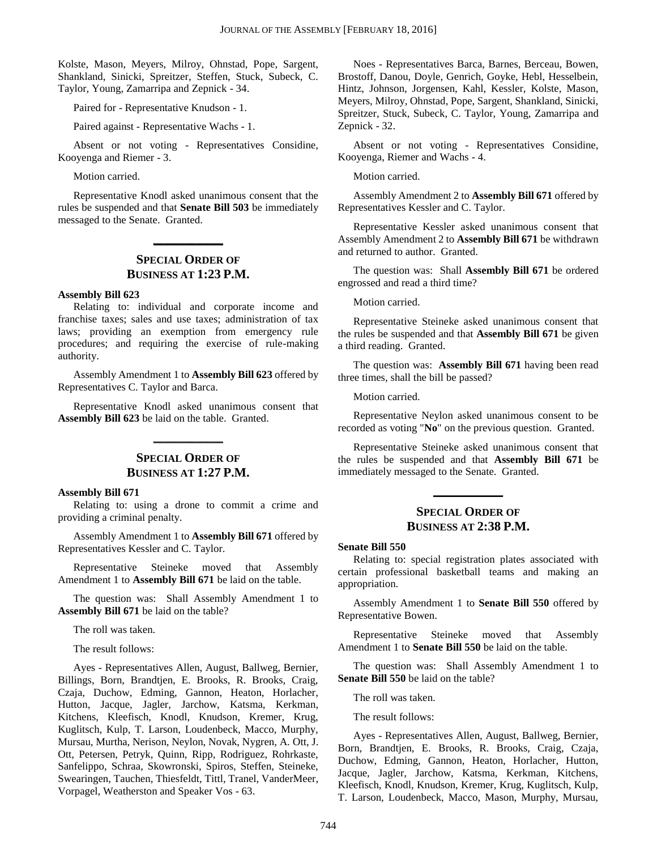Kolste, Mason, Meyers, Milroy, Ohnstad, Pope, Sargent, Shankland, Sinicki, Spreitzer, Steffen, Stuck, Subeck, C. Taylor, Young, Zamarripa and Zepnick - 34.

Paired for - Representative Knudson - 1.

Paired against - Representative Wachs - 1.

Absent or not voting - Representatives Considine, Kooyenga and Riemer - 3.

Motion carried.

Representative Knodl asked unanimous consent that the rules be suspended and that **Senate Bill 503** be immediately messaged to the Senate. Granted.

### **SPECIAL ORDER OF BUSINESS AT 1:23 P.M.**

**\_\_\_\_\_\_\_\_\_\_\_\_\_**

### **Assembly Bill 623**

Relating to: individual and corporate income and franchise taxes; sales and use taxes; administration of tax laws; providing an exemption from emergency rule procedures; and requiring the exercise of rule-making authority.

Assembly Amendment 1 to **Assembly Bill 623** offered by Representatives C. Taylor and Barca.

Representative Knodl asked unanimous consent that **Assembly Bill 623** be laid on the table. Granted.

**\_\_\_\_\_\_\_\_\_\_\_\_\_**

### **SPECIAL ORDER OF BUSINESS AT 1:27 P.M.**

#### **Assembly Bill 671**

Relating to: using a drone to commit a crime and providing a criminal penalty.

Assembly Amendment 1 to **Assembly Bill 671** offered by Representatives Kessler and C. Taylor.

Representative Steineke moved that Assembly Amendment 1 to **Assembly Bill 671** be laid on the table.

The question was: Shall Assembly Amendment 1 to **Assembly Bill 671** be laid on the table?

The roll was taken.

The result follows:

Ayes - Representatives Allen, August, Ballweg, Bernier, Billings, Born, Brandtjen, E. Brooks, R. Brooks, Craig, Czaja, Duchow, Edming, Gannon, Heaton, Horlacher, Hutton, Jacque, Jagler, Jarchow, Katsma, Kerkman, Kitchens, Kleefisch, Knodl, Knudson, Kremer, Krug, Kuglitsch, Kulp, T. Larson, Loudenbeck, Macco, Murphy, Mursau, Murtha, Nerison, Neylon, Novak, Nygren, A. Ott, J. Ott, Petersen, Petryk, Quinn, Ripp, Rodriguez, Rohrkaste, Sanfelippo, Schraa, Skowronski, Spiros, Steffen, Steineke, Swearingen, Tauchen, Thiesfeldt, Tittl, Tranel, VanderMeer, Vorpagel, Weatherston and Speaker Vos - 63.

Noes - Representatives Barca, Barnes, Berceau, Bowen, Brostoff, Danou, Doyle, Genrich, Goyke, Hebl, Hesselbein, Hintz, Johnson, Jorgensen, Kahl, Kessler, Kolste, Mason, Meyers, Milroy, Ohnstad, Pope, Sargent, Shankland, Sinicki, Spreitzer, Stuck, Subeck, C. Taylor, Young, Zamarripa and Zepnick - 32.

Absent or not voting - Representatives Considine, Kooyenga, Riemer and Wachs - 4.

Motion carried.

Assembly Amendment 2 to **Assembly Bill 671** offered by Representatives Kessler and C. Taylor.

Representative Kessler asked unanimous consent that Assembly Amendment 2 to **Assembly Bill 671** be withdrawn and returned to author. Granted.

The question was: Shall **Assembly Bill 671** be ordered engrossed and read a third time?

Motion carried.

Representative Steineke asked unanimous consent that the rules be suspended and that **Assembly Bill 671** be given a third reading. Granted.

The question was: **Assembly Bill 671** having been read three times, shall the bill be passed?

Motion carried.

Representative Neylon asked unanimous consent to be recorded as voting "**No**" on the previous question. Granted.

Representative Steineke asked unanimous consent that the rules be suspended and that **Assembly Bill 671** be immediately messaged to the Senate. Granted.

### **SPECIAL ORDER OF BUSINESS AT 2:38 P.M.**

**\_\_\_\_\_\_\_\_\_\_\_\_\_**

#### **Senate Bill 550**

Relating to: special registration plates associated with certain professional basketball teams and making an appropriation.

Assembly Amendment 1 to **Senate Bill 550** offered by Representative Bowen.

Representative Steineke moved that Assembly Amendment 1 to **Senate Bill 550** be laid on the table.

The question was: Shall Assembly Amendment 1 to **Senate Bill 550** be laid on the table?

The roll was taken.

The result follows:

Ayes - Representatives Allen, August, Ballweg, Bernier, Born, Brandtjen, E. Brooks, R. Brooks, Craig, Czaja, Duchow, Edming, Gannon, Heaton, Horlacher, Hutton, Jacque, Jagler, Jarchow, Katsma, Kerkman, Kitchens, Kleefisch, Knodl, Knudson, Kremer, Krug, Kuglitsch, Kulp, T. Larson, Loudenbeck, Macco, Mason, Murphy, Mursau,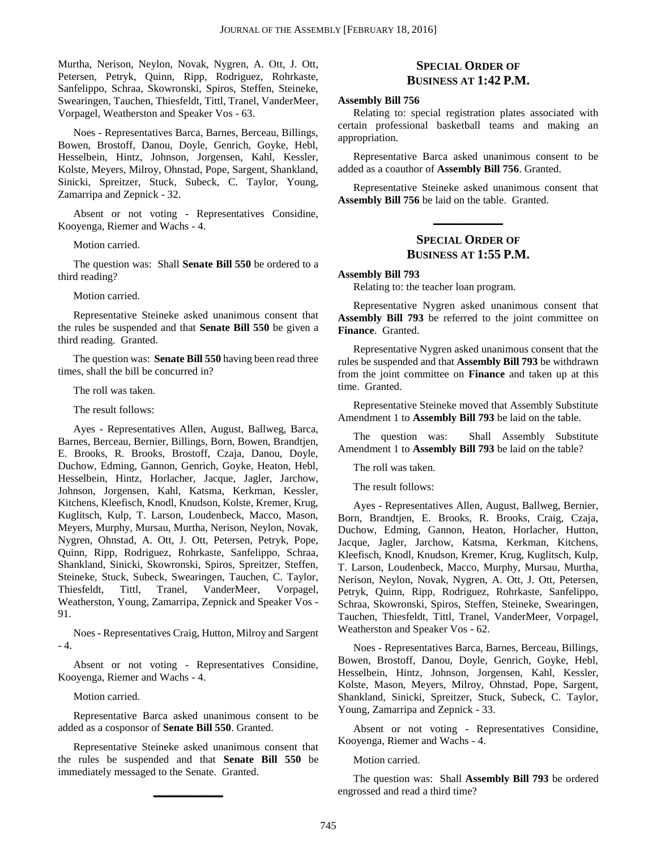Murtha, Nerison, Neylon, Novak, Nygren, A. Ott, J. Ott, Petersen, Petryk, Quinn, Ripp, Rodriguez, Rohrkaste, Sanfelippo, Schraa, Skowronski, Spiros, Steffen, Steineke, Swearingen, Tauchen, Thiesfeldt, Tittl, Tranel, VanderMeer, Vorpagel, Weatherston and Speaker Vos - 63.

Noes - Representatives Barca, Barnes, Berceau, Billings, Bowen, Brostoff, Danou, Doyle, Genrich, Goyke, Hebl, Hesselbein, Hintz, Johnson, Jorgensen, Kahl, Kessler, Kolste, Meyers, Milroy, Ohnstad, Pope, Sargent, Shankland, Sinicki, Spreitzer, Stuck, Subeck, C. Taylor, Young, Zamarripa and Zepnick - 32.

Absent or not voting - Representatives Considine, Kooyenga, Riemer and Wachs - 4.

Motion carried.

The question was: Shall **Senate Bill 550** be ordered to a third reading?

Motion carried.

Representative Steineke asked unanimous consent that the rules be suspended and that **Senate Bill 550** be given a third reading. Granted.

The question was: **Senate Bill 550** having been read three times, shall the bill be concurred in?

The roll was taken.

The result follows:

Ayes - Representatives Allen, August, Ballweg, Barca, Barnes, Berceau, Bernier, Billings, Born, Bowen, Brandtjen, E. Brooks, R. Brooks, Brostoff, Czaja, Danou, Doyle, Duchow, Edming, Gannon, Genrich, Goyke, Heaton, Hebl, Hesselbein, Hintz, Horlacher, Jacque, Jagler, Jarchow, Johnson, Jorgensen, Kahl, Katsma, Kerkman, Kessler, Kitchens, Kleefisch, Knodl, Knudson, Kolste, Kremer, Krug, Kuglitsch, Kulp, T. Larson, Loudenbeck, Macco, Mason, Meyers, Murphy, Mursau, Murtha, Nerison, Neylon, Novak, Nygren, Ohnstad, A. Ott, J. Ott, Petersen, Petryk, Pope, Quinn, Ripp, Rodriguez, Rohrkaste, Sanfelippo, Schraa, Shankland, Sinicki, Skowronski, Spiros, Spreitzer, Steffen, Steineke, Stuck, Subeck, Swearingen, Tauchen, C. Taylor, Thiesfeldt, Tittl, Tranel, VanderMeer, Vorpagel, Weatherston, Young, Zamarripa, Zepnick and Speaker Vos - 91.

Noes - Representatives Craig, Hutton, Milroy and Sargent - 4.

Absent or not voting - Representatives Considine, Kooyenga, Riemer and Wachs - 4.

Motion carried.

Representative Barca asked unanimous consent to be added as a cosponsor of **Senate Bill 550**. Granted.

Representative Steineke asked unanimous consent that the rules be suspended and that **Senate Bill 550** be immediately messaged to the Senate. Granted.

**\_\_\_\_\_\_\_\_\_\_\_\_\_**

### **SPECIAL ORDER OF BUSINESS AT 1:42 P.M.**

#### **Assembly Bill 756**

Relating to: special registration plates associated with certain professional basketball teams and making an appropriation.

Representative Barca asked unanimous consent to be added as a coauthor of **Assembly Bill 756**. Granted.

Representative Steineke asked unanimous consent that **Assembly Bill 756** be laid on the table. Granted.

**\_\_\_\_\_\_\_\_\_\_\_\_\_**

### **SPECIAL ORDER OF BUSINESS AT 1:55 P.M.**

#### **Assembly Bill 793**

Relating to: the teacher loan program.

Representative Nygren asked unanimous consent that **Assembly Bill 793** be referred to the joint committee on **Finance**. Granted.

Representative Nygren asked unanimous consent that the rules be suspended and that **Assembly Bill 793** be withdrawn from the joint committee on **Finance** and taken up at this time. Granted.

Representative Steineke moved that Assembly Substitute Amendment 1 to **Assembly Bill 793** be laid on the table.

The question was: Shall Assembly Substitute Amendment 1 to **Assembly Bill 793** be laid on the table?

The roll was taken.

The result follows:

Ayes - Representatives Allen, August, Ballweg, Bernier, Born, Brandtjen, E. Brooks, R. Brooks, Craig, Czaja, Duchow, Edming, Gannon, Heaton, Horlacher, Hutton, Jacque, Jagler, Jarchow, Katsma, Kerkman, Kitchens, Kleefisch, Knodl, Knudson, Kremer, Krug, Kuglitsch, Kulp, T. Larson, Loudenbeck, Macco, Murphy, Mursau, Murtha, Nerison, Neylon, Novak, Nygren, A. Ott, J. Ott, Petersen, Petryk, Quinn, Ripp, Rodriguez, Rohrkaste, Sanfelippo, Schraa, Skowronski, Spiros, Steffen, Steineke, Swearingen, Tauchen, Thiesfeldt, Tittl, Tranel, VanderMeer, Vorpagel, Weatherston and Speaker Vos - 62.

Noes - Representatives Barca, Barnes, Berceau, Billings, Bowen, Brostoff, Danou, Doyle, Genrich, Goyke, Hebl, Hesselbein, Hintz, Johnson, Jorgensen, Kahl, Kessler, Kolste, Mason, Meyers, Milroy, Ohnstad, Pope, Sargent, Shankland, Sinicki, Spreitzer, Stuck, Subeck, C. Taylor, Young, Zamarripa and Zepnick - 33.

Absent or not voting - Representatives Considine, Kooyenga, Riemer and Wachs - 4.

Motion carried.

The question was: Shall **Assembly Bill 793** be ordered engrossed and read a third time?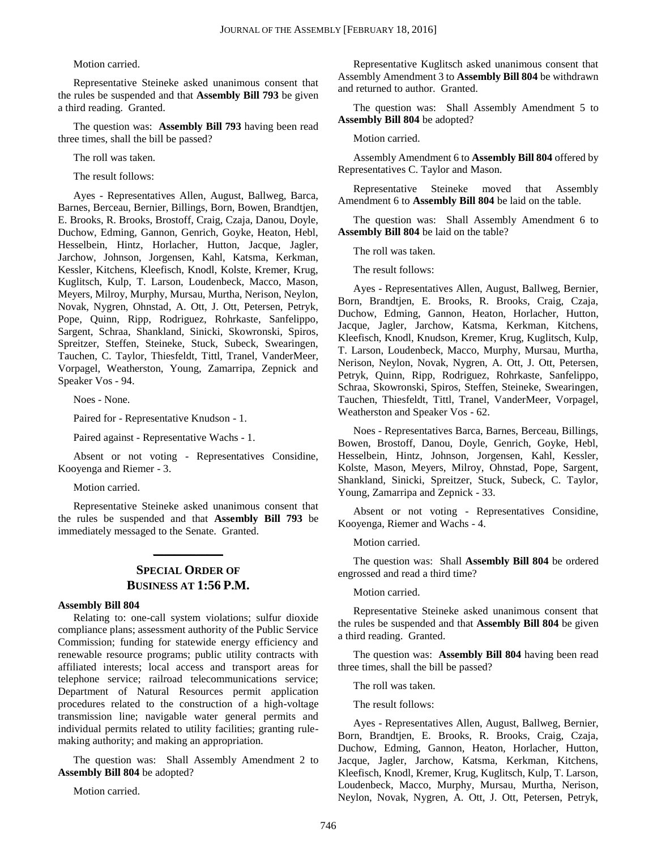#### Motion carried.

Representative Steineke asked unanimous consent that the rules be suspended and that **Assembly Bill 793** be given a third reading. Granted.

The question was: **Assembly Bill 793** having been read three times, shall the bill be passed?

The roll was taken.

The result follows:

Ayes - Representatives Allen, August, Ballweg, Barca, Barnes, Berceau, Bernier, Billings, Born, Bowen, Brandtjen, E. Brooks, R. Brooks, Brostoff, Craig, Czaja, Danou, Doyle, Duchow, Edming, Gannon, Genrich, Goyke, Heaton, Hebl, Hesselbein, Hintz, Horlacher, Hutton, Jacque, Jagler, Jarchow, Johnson, Jorgensen, Kahl, Katsma, Kerkman, Kessler, Kitchens, Kleefisch, Knodl, Kolste, Kremer, Krug, Kuglitsch, Kulp, T. Larson, Loudenbeck, Macco, Mason, Meyers, Milroy, Murphy, Mursau, Murtha, Nerison, Neylon, Novak, Nygren, Ohnstad, A. Ott, J. Ott, Petersen, Petryk, Pope, Quinn, Ripp, Rodriguez, Rohrkaste, Sanfelippo, Sargent, Schraa, Shankland, Sinicki, Skowronski, Spiros, Spreitzer, Steffen, Steineke, Stuck, Subeck, Swearingen, Tauchen, C. Taylor, Thiesfeldt, Tittl, Tranel, VanderMeer, Vorpagel, Weatherston, Young, Zamarripa, Zepnick and Speaker Vos - 94.

Noes - None.

Paired for - Representative Knudson - 1.

Paired against - Representative Wachs - 1.

Absent or not voting - Representatives Considine, Kooyenga and Riemer - 3.

Motion carried.

Representative Steineke asked unanimous consent that the rules be suspended and that **Assembly Bill 793** be immediately messaged to the Senate. Granted.

**\_\_\_\_\_\_\_\_\_\_\_\_\_**

### **SPECIAL ORDER OF BUSINESS AT 1:56 P.M.**

### **Assembly Bill 804**

Relating to: one-call system violations; sulfur dioxide compliance plans; assessment authority of the Public Service Commission; funding for statewide energy efficiency and renewable resource programs; public utility contracts with affiliated interests; local access and transport areas for telephone service; railroad telecommunications service; Department of Natural Resources permit application procedures related to the construction of a high-voltage transmission line; navigable water general permits and individual permits related to utility facilities; granting rulemaking authority; and making an appropriation.

The question was: Shall Assembly Amendment 2 to **Assembly Bill 804** be adopted?

Motion carried.

Representative Kuglitsch asked unanimous consent that Assembly Amendment 3 to **Assembly Bill 804** be withdrawn and returned to author. Granted.

The question was: Shall Assembly Amendment 5 to **Assembly Bill 804** be adopted?

#### Motion carried.

Assembly Amendment 6 to **Assembly Bill 804** offered by Representatives C. Taylor and Mason.

Representative Steineke moved that Assembly Amendment 6 to **Assembly Bill 804** be laid on the table.

The question was: Shall Assembly Amendment 6 to **Assembly Bill 804** be laid on the table?

The roll was taken.

The result follows:

Ayes - Representatives Allen, August, Ballweg, Bernier, Born, Brandtjen, E. Brooks, R. Brooks, Craig, Czaja, Duchow, Edming, Gannon, Heaton, Horlacher, Hutton, Jacque, Jagler, Jarchow, Katsma, Kerkman, Kitchens, Kleefisch, Knodl, Knudson, Kremer, Krug, Kuglitsch, Kulp, T. Larson, Loudenbeck, Macco, Murphy, Mursau, Murtha, Nerison, Neylon, Novak, Nygren, A. Ott, J. Ott, Petersen, Petryk, Quinn, Ripp, Rodriguez, Rohrkaste, Sanfelippo, Schraa, Skowronski, Spiros, Steffen, Steineke, Swearingen, Tauchen, Thiesfeldt, Tittl, Tranel, VanderMeer, Vorpagel, Weatherston and Speaker Vos - 62.

Noes - Representatives Barca, Barnes, Berceau, Billings, Bowen, Brostoff, Danou, Doyle, Genrich, Goyke, Hebl, Hesselbein, Hintz, Johnson, Jorgensen, Kahl, Kessler, Kolste, Mason, Meyers, Milroy, Ohnstad, Pope, Sargent, Shankland, Sinicki, Spreitzer, Stuck, Subeck, C. Taylor, Young, Zamarripa and Zepnick - 33.

Absent or not voting - Representatives Considine, Kooyenga, Riemer and Wachs - 4.

Motion carried.

The question was: Shall **Assembly Bill 804** be ordered engrossed and read a third time?

Motion carried.

Representative Steineke asked unanimous consent that the rules be suspended and that **Assembly Bill 804** be given a third reading. Granted.

The question was: **Assembly Bill 804** having been read three times, shall the bill be passed?

The roll was taken.

The result follows:

Ayes - Representatives Allen, August, Ballweg, Bernier, Born, Brandtjen, E. Brooks, R. Brooks, Craig, Czaja, Duchow, Edming, Gannon, Heaton, Horlacher, Hutton, Jacque, Jagler, Jarchow, Katsma, Kerkman, Kitchens, Kleefisch, Knodl, Kremer, Krug, Kuglitsch, Kulp, T. Larson, Loudenbeck, Macco, Murphy, Mursau, Murtha, Nerison, Neylon, Novak, Nygren, A. Ott, J. Ott, Petersen, Petryk,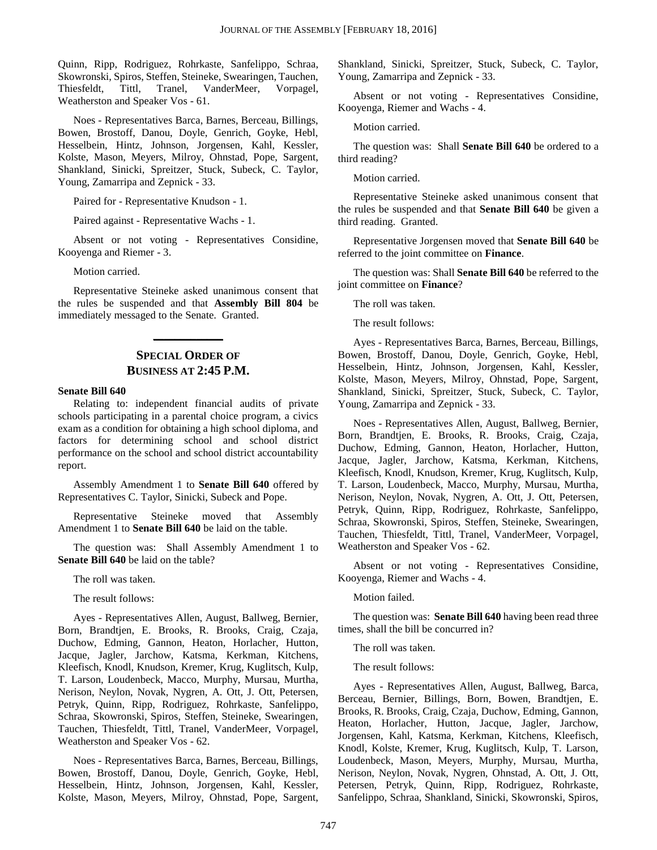Quinn, Ripp, Rodriguez, Rohrkaste, Sanfelippo, Schraa, Skowronski, Spiros, Steffen, Steineke, Swearingen, Tauchen, Thiesfeldt, Tittl, Tranel, VanderMeer, Vorpagel, Weatherston and Speaker Vos - 61.

Noes - Representatives Barca, Barnes, Berceau, Billings, Bowen, Brostoff, Danou, Doyle, Genrich, Goyke, Hebl, Hesselbein, Hintz, Johnson, Jorgensen, Kahl, Kessler, Kolste, Mason, Meyers, Milroy, Ohnstad, Pope, Sargent, Shankland, Sinicki, Spreitzer, Stuck, Subeck, C. Taylor, Young, Zamarripa and Zepnick - 33.

Paired for - Representative Knudson - 1.

Paired against - Representative Wachs - 1.

Absent or not voting - Representatives Considine, Kooyenga and Riemer - 3.

Motion carried.

Representative Steineke asked unanimous consent that the rules be suspended and that **Assembly Bill 804** be immediately messaged to the Senate. Granted.

### **SPECIAL ORDER OF BUSINESS AT 2:45 P.M.**

**\_\_\_\_\_\_\_\_\_\_\_\_\_**

#### **Senate Bill 640**

Relating to: independent financial audits of private schools participating in a parental choice program, a civics exam as a condition for obtaining a high school diploma, and factors for determining school and school district performance on the school and school district accountability report.

Assembly Amendment 1 to **Senate Bill 640** offered by Representatives C. Taylor, Sinicki, Subeck and Pope.

Representative Steineke moved that Assembly Amendment 1 to **Senate Bill 640** be laid on the table.

The question was: Shall Assembly Amendment 1 to **Senate Bill 640** be laid on the table?

The roll was taken.

The result follows:

Ayes - Representatives Allen, August, Ballweg, Bernier, Born, Brandtjen, E. Brooks, R. Brooks, Craig, Czaja, Duchow, Edming, Gannon, Heaton, Horlacher, Hutton, Jacque, Jagler, Jarchow, Katsma, Kerkman, Kitchens, Kleefisch, Knodl, Knudson, Kremer, Krug, Kuglitsch, Kulp, T. Larson, Loudenbeck, Macco, Murphy, Mursau, Murtha, Nerison, Neylon, Novak, Nygren, A. Ott, J. Ott, Petersen, Petryk, Quinn, Ripp, Rodriguez, Rohrkaste, Sanfelippo, Schraa, Skowronski, Spiros, Steffen, Steineke, Swearingen, Tauchen, Thiesfeldt, Tittl, Tranel, VanderMeer, Vorpagel, Weatherston and Speaker Vos - 62.

Noes - Representatives Barca, Barnes, Berceau, Billings, Bowen, Brostoff, Danou, Doyle, Genrich, Goyke, Hebl, Hesselbein, Hintz, Johnson, Jorgensen, Kahl, Kessler, Kolste, Mason, Meyers, Milroy, Ohnstad, Pope, Sargent, Shankland, Sinicki, Spreitzer, Stuck, Subeck, C. Taylor, Young, Zamarripa and Zepnick - 33.

Absent or not voting - Representatives Considine, Kooyenga, Riemer and Wachs - 4.

Motion carried.

The question was: Shall **Senate Bill 640** be ordered to a third reading?

Motion carried.

Representative Steineke asked unanimous consent that the rules be suspended and that **Senate Bill 640** be given a third reading. Granted.

Representative Jorgensen moved that **Senate Bill 640** be referred to the joint committee on **Finance**.

The question was: Shall **Senate Bill 640** be referred to the joint committee on **Finance**?

The roll was taken.

The result follows:

Ayes - Representatives Barca, Barnes, Berceau, Billings, Bowen, Brostoff, Danou, Doyle, Genrich, Goyke, Hebl, Hesselbein, Hintz, Johnson, Jorgensen, Kahl, Kessler, Kolste, Mason, Meyers, Milroy, Ohnstad, Pope, Sargent, Shankland, Sinicki, Spreitzer, Stuck, Subeck, C. Taylor, Young, Zamarripa and Zepnick - 33.

Noes - Representatives Allen, August, Ballweg, Bernier, Born, Brandtjen, E. Brooks, R. Brooks, Craig, Czaja, Duchow, Edming, Gannon, Heaton, Horlacher, Hutton, Jacque, Jagler, Jarchow, Katsma, Kerkman, Kitchens, Kleefisch, Knodl, Knudson, Kremer, Krug, Kuglitsch, Kulp, T. Larson, Loudenbeck, Macco, Murphy, Mursau, Murtha, Nerison, Neylon, Novak, Nygren, A. Ott, J. Ott, Petersen, Petryk, Quinn, Ripp, Rodriguez, Rohrkaste, Sanfelippo, Schraa, Skowronski, Spiros, Steffen, Steineke, Swearingen, Tauchen, Thiesfeldt, Tittl, Tranel, VanderMeer, Vorpagel, Weatherston and Speaker Vos - 62.

Absent or not voting - Representatives Considine, Kooyenga, Riemer and Wachs - 4.

Motion failed.

The question was: **Senate Bill 640** having been read three times, shall the bill be concurred in?

The roll was taken.

The result follows:

Ayes - Representatives Allen, August, Ballweg, Barca, Berceau, Bernier, Billings, Born, Bowen, Brandtjen, E. Brooks, R. Brooks, Craig, Czaja, Duchow, Edming, Gannon, Heaton, Horlacher, Hutton, Jacque, Jagler, Jarchow, Jorgensen, Kahl, Katsma, Kerkman, Kitchens, Kleefisch, Knodl, Kolste, Kremer, Krug, Kuglitsch, Kulp, T. Larson, Loudenbeck, Mason, Meyers, Murphy, Mursau, Murtha, Nerison, Neylon, Novak, Nygren, Ohnstad, A. Ott, J. Ott, Petersen, Petryk, Quinn, Ripp, Rodriguez, Rohrkaste, Sanfelippo, Schraa, Shankland, Sinicki, Skowronski, Spiros,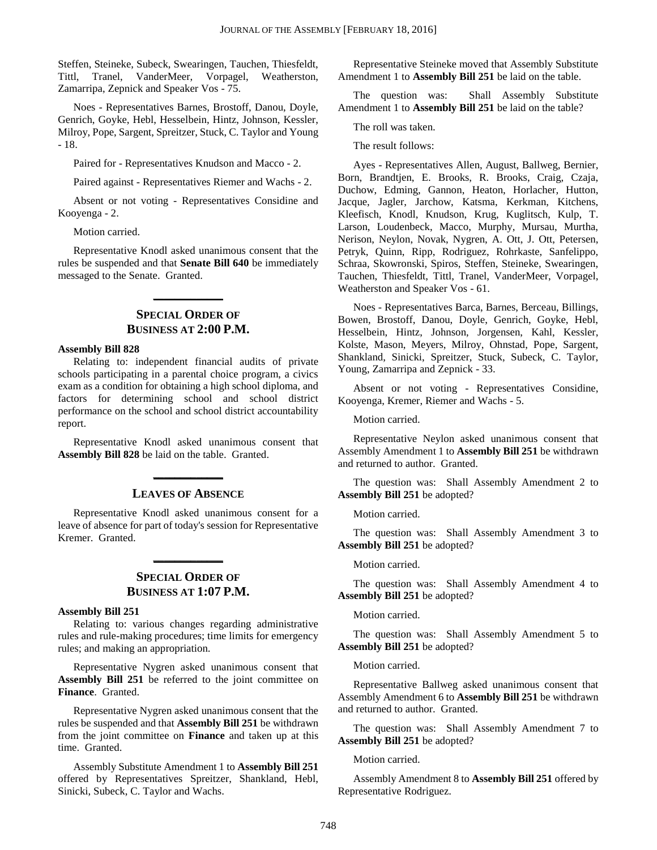Steffen, Steineke, Subeck, Swearingen, Tauchen, Thiesfeldt, Tittl, Tranel, VanderMeer, Vorpagel, Weatherston, Zamarripa, Zepnick and Speaker Vos - 75.

Noes - Representatives Barnes, Brostoff, Danou, Doyle, Genrich, Goyke, Hebl, Hesselbein, Hintz, Johnson, Kessler, Milroy, Pope, Sargent, Spreitzer, Stuck, C. Taylor and Young - 18.

Paired for - Representatives Knudson and Macco - 2.

Paired against - Representatives Riemer and Wachs - 2.

Absent or not voting - Representatives Considine and Kooyenga - 2.

Motion carried.

Representative Knodl asked unanimous consent that the rules be suspended and that **Senate Bill 640** be immediately messaged to the Senate. Granted.

**\_\_\_\_\_\_\_\_\_\_\_\_\_**

### **SPECIAL ORDER OF BUSINESS AT 2:00 P.M.**

### **Assembly Bill 828**

Relating to: independent financial audits of private schools participating in a parental choice program, a civics exam as a condition for obtaining a high school diploma, and factors for determining school and school district performance on the school and school district accountability report.

Representative Knodl asked unanimous consent that **Assembly Bill 828** be laid on the table. Granted.

# **\_\_\_\_\_\_\_\_\_\_\_\_\_ LEAVES OF ABSENCE**

Representative Knodl asked unanimous consent for a leave of absence for part of today's session for Representative Kremer. Granted.

### **SPECIAL ORDER OF BUSINESS AT 1:07 P.M.**

**\_\_\_\_\_\_\_\_\_\_\_\_\_**

#### **Assembly Bill 251**

Relating to: various changes regarding administrative rules and rule-making procedures; time limits for emergency rules; and making an appropriation.

Representative Nygren asked unanimous consent that Assembly Bill 251 be referred to the joint committee on **Finance**. Granted.

Representative Nygren asked unanimous consent that the rules be suspended and that **Assembly Bill 251** be withdrawn from the joint committee on **Finance** and taken up at this time. Granted.

Assembly Substitute Amendment 1 to **Assembly Bill 251** offered by Representatives Spreitzer, Shankland, Hebl, Sinicki, Subeck, C. Taylor and Wachs.

Representative Steineke moved that Assembly Substitute Amendment 1 to **Assembly Bill 251** be laid on the table.

The question was: Shall Assembly Substitute Amendment 1 to **Assembly Bill 251** be laid on the table?

The roll was taken.

The result follows:

Ayes - Representatives Allen, August, Ballweg, Bernier, Born, Brandtjen, E. Brooks, R. Brooks, Craig, Czaja, Duchow, Edming, Gannon, Heaton, Horlacher, Hutton, Jacque, Jagler, Jarchow, Katsma, Kerkman, Kitchens, Kleefisch, Knodl, Knudson, Krug, Kuglitsch, Kulp, T. Larson, Loudenbeck, Macco, Murphy, Mursau, Murtha, Nerison, Neylon, Novak, Nygren, A. Ott, J. Ott, Petersen, Petryk, Quinn, Ripp, Rodriguez, Rohrkaste, Sanfelippo, Schraa, Skowronski, Spiros, Steffen, Steineke, Swearingen, Tauchen, Thiesfeldt, Tittl, Tranel, VanderMeer, Vorpagel, Weatherston and Speaker Vos - 61.

Noes - Representatives Barca, Barnes, Berceau, Billings, Bowen, Brostoff, Danou, Doyle, Genrich, Goyke, Hebl, Hesselbein, Hintz, Johnson, Jorgensen, Kahl, Kessler, Kolste, Mason, Meyers, Milroy, Ohnstad, Pope, Sargent, Shankland, Sinicki, Spreitzer, Stuck, Subeck, C. Taylor, Young, Zamarripa and Zepnick - 33.

Absent or not voting - Representatives Considine, Kooyenga, Kremer, Riemer and Wachs - 5.

Motion carried.

Representative Neylon asked unanimous consent that Assembly Amendment 1 to **Assembly Bill 251** be withdrawn and returned to author. Granted.

The question was: Shall Assembly Amendment 2 to **Assembly Bill 251** be adopted?

Motion carried.

The question was: Shall Assembly Amendment 3 to **Assembly Bill 251** be adopted?

### Motion carried.

The question was: Shall Assembly Amendment 4 to **Assembly Bill 251** be adopted?

Motion carried.

The question was: Shall Assembly Amendment 5 to **Assembly Bill 251** be adopted?

Motion carried.

Representative Ballweg asked unanimous consent that Assembly Amendment 6 to **Assembly Bill 251** be withdrawn and returned to author. Granted.

The question was: Shall Assembly Amendment 7 to **Assembly Bill 251** be adopted?

Motion carried.

Assembly Amendment 8 to **Assembly Bill 251** offered by Representative Rodriguez.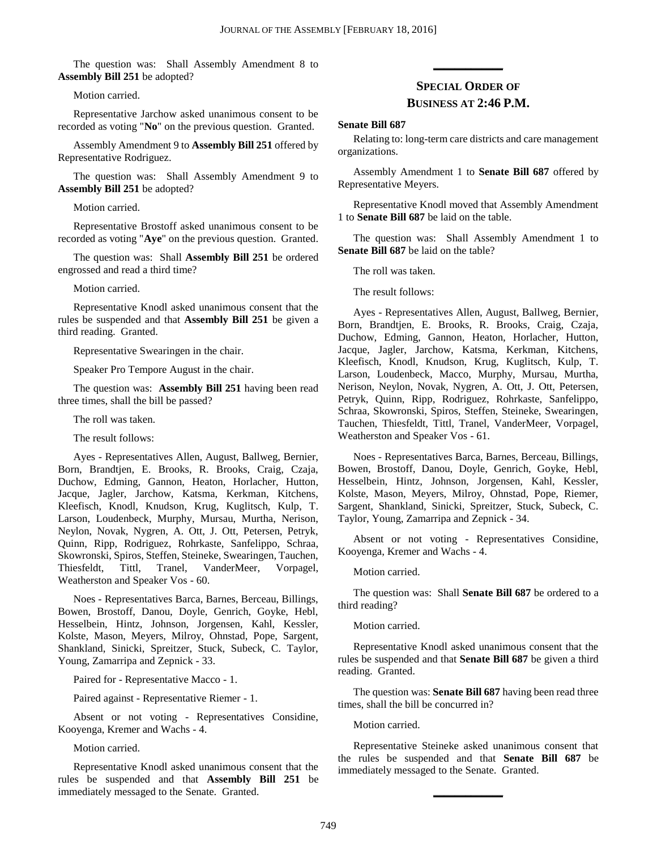The question was: Shall Assembly Amendment 8 to **Assembly Bill 251** be adopted?

Motion carried.

Representative Jarchow asked unanimous consent to be recorded as voting "**No**" on the previous question. Granted.

Assembly Amendment 9 to **Assembly Bill 251** offered by Representative Rodriguez.

The question was: Shall Assembly Amendment 9 to **Assembly Bill 251** be adopted?

Motion carried.

Representative Brostoff asked unanimous consent to be recorded as voting "**Aye**" on the previous question. Granted.

The question was: Shall **Assembly Bill 251** be ordered engrossed and read a third time?

Motion carried.

Representative Knodl asked unanimous consent that the rules be suspended and that **Assembly Bill 251** be given a third reading. Granted.

Representative Swearingen in the chair.

Speaker Pro Tempore August in the chair.

The question was: **Assembly Bill 251** having been read three times, shall the bill be passed?

The roll was taken.

The result follows:

Ayes - Representatives Allen, August, Ballweg, Bernier, Born, Brandtjen, E. Brooks, R. Brooks, Craig, Czaja, Duchow, Edming, Gannon, Heaton, Horlacher, Hutton, Jacque, Jagler, Jarchow, Katsma, Kerkman, Kitchens, Kleefisch, Knodl, Knudson, Krug, Kuglitsch, Kulp, T. Larson, Loudenbeck, Murphy, Mursau, Murtha, Nerison, Neylon, Novak, Nygren, A. Ott, J. Ott, Petersen, Petryk, Quinn, Ripp, Rodriguez, Rohrkaste, Sanfelippo, Schraa, Skowronski, Spiros, Steffen, Steineke, Swearingen, Tauchen, Thiesfeldt, Tittl, Tranel, VanderMeer, Vorpagel, Weatherston and Speaker Vos - 60.

Noes - Representatives Barca, Barnes, Berceau, Billings, Bowen, Brostoff, Danou, Doyle, Genrich, Goyke, Hebl, Hesselbein, Hintz, Johnson, Jorgensen, Kahl, Kessler, Kolste, Mason, Meyers, Milroy, Ohnstad, Pope, Sargent, Shankland, Sinicki, Spreitzer, Stuck, Subeck, C. Taylor, Young, Zamarripa and Zepnick - 33.

Paired for - Representative Macco - 1.

Paired against - Representative Riemer - 1.

Absent or not voting - Representatives Considine, Kooyenga, Kremer and Wachs - 4.

Motion carried.

Representative Knodl asked unanimous consent that the rules be suspended and that **Assembly Bill 251** be immediately messaged to the Senate. Granted.

### **SPECIAL ORDER OF BUSINESS AT 2:46 P.M.**

**\_\_\_\_\_\_\_\_\_\_\_\_\_**

#### **Senate Bill 687**

Relating to: long-term care districts and care management organizations.

Assembly Amendment 1 to **Senate Bill 687** offered by Representative Meyers.

Representative Knodl moved that Assembly Amendment 1 to **Senate Bill 687** be laid on the table.

The question was: Shall Assembly Amendment 1 to **Senate Bill 687** be laid on the table?

The roll was taken.

The result follows:

Ayes - Representatives Allen, August, Ballweg, Bernier, Born, Brandtjen, E. Brooks, R. Brooks, Craig, Czaja, Duchow, Edming, Gannon, Heaton, Horlacher, Hutton, Jacque, Jagler, Jarchow, Katsma, Kerkman, Kitchens, Kleefisch, Knodl, Knudson, Krug, Kuglitsch, Kulp, T. Larson, Loudenbeck, Macco, Murphy, Mursau, Murtha, Nerison, Neylon, Novak, Nygren, A. Ott, J. Ott, Petersen, Petryk, Quinn, Ripp, Rodriguez, Rohrkaste, Sanfelippo, Schraa, Skowronski, Spiros, Steffen, Steineke, Swearingen, Tauchen, Thiesfeldt, Tittl, Tranel, VanderMeer, Vorpagel, Weatherston and Speaker Vos - 61.

Noes - Representatives Barca, Barnes, Berceau, Billings, Bowen, Brostoff, Danou, Doyle, Genrich, Goyke, Hebl, Hesselbein, Hintz, Johnson, Jorgensen, Kahl, Kessler, Kolste, Mason, Meyers, Milroy, Ohnstad, Pope, Riemer, Sargent, Shankland, Sinicki, Spreitzer, Stuck, Subeck, C. Taylor, Young, Zamarripa and Zepnick - 34.

Absent or not voting - Representatives Considine, Kooyenga, Kremer and Wachs - 4.

Motion carried.

The question was: Shall **Senate Bill 687** be ordered to a third reading?

Motion carried.

Representative Knodl asked unanimous consent that the rules be suspended and that **Senate Bill 687** be given a third reading. Granted.

The question was: **Senate Bill 687** having been read three times, shall the bill be concurred in?

Motion carried.

Representative Steineke asked unanimous consent that the rules be suspended and that **Senate Bill 687** be immediately messaged to the Senate. Granted.

**\_\_\_\_\_\_\_\_\_\_\_\_\_**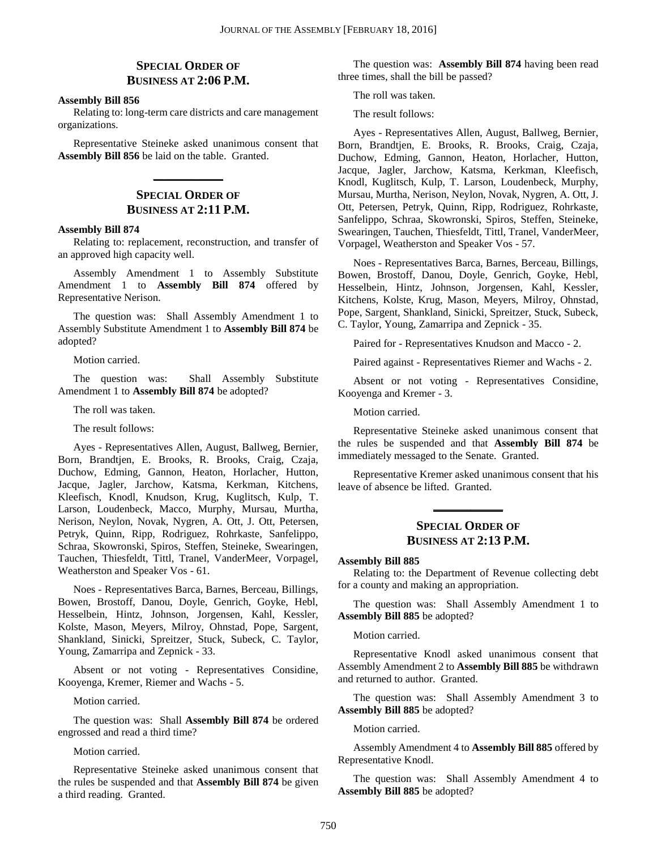### **SPECIAL ORDER OF BUSINESS AT 2:06 P.M.**

#### **Assembly Bill 856**

Relating to: long-term care districts and care management organizations.

Representative Steineke asked unanimous consent that **Assembly Bill 856** be laid on the table. Granted.

**\_\_\_\_\_\_\_\_\_\_\_\_\_**

### **SPECIAL ORDER OF BUSINESS AT 2:11 P.M.**

### **Assembly Bill 874**

Relating to: replacement, reconstruction, and transfer of an approved high capacity well.

Assembly Amendment 1 to Assembly Substitute Amendment 1 to **Assembly Bill 874** offered by Representative Nerison.

The question was: Shall Assembly Amendment 1 to Assembly Substitute Amendment 1 to **Assembly Bill 874** be adopted?

Motion carried.

The question was: Shall Assembly Substitute Amendment 1 to **Assembly Bill 874** be adopted?

The roll was taken.

The result follows:

Ayes - Representatives Allen, August, Ballweg, Bernier, Born, Brandtjen, E. Brooks, R. Brooks, Craig, Czaja, Duchow, Edming, Gannon, Heaton, Horlacher, Hutton, Jacque, Jagler, Jarchow, Katsma, Kerkman, Kitchens, Kleefisch, Knodl, Knudson, Krug, Kuglitsch, Kulp, T. Larson, Loudenbeck, Macco, Murphy, Mursau, Murtha, Nerison, Neylon, Novak, Nygren, A. Ott, J. Ott, Petersen, Petryk, Quinn, Ripp, Rodriguez, Rohrkaste, Sanfelippo, Schraa, Skowronski, Spiros, Steffen, Steineke, Swearingen, Tauchen, Thiesfeldt, Tittl, Tranel, VanderMeer, Vorpagel, Weatherston and Speaker Vos - 61.

Noes - Representatives Barca, Barnes, Berceau, Billings, Bowen, Brostoff, Danou, Doyle, Genrich, Goyke, Hebl, Hesselbein, Hintz, Johnson, Jorgensen, Kahl, Kessler, Kolste, Mason, Meyers, Milroy, Ohnstad, Pope, Sargent, Shankland, Sinicki, Spreitzer, Stuck, Subeck, C. Taylor, Young, Zamarripa and Zepnick - 33.

Absent or not voting - Representatives Considine, Kooyenga, Kremer, Riemer and Wachs - 5.

Motion carried.

The question was: Shall **Assembly Bill 874** be ordered engrossed and read a third time?

Motion carried.

Representative Steineke asked unanimous consent that the rules be suspended and that **Assembly Bill 874** be given a third reading. Granted.

The question was: **Assembly Bill 874** having been read three times, shall the bill be passed?

The roll was taken.

The result follows:

Ayes - Representatives Allen, August, Ballweg, Bernier, Born, Brandtjen, E. Brooks, R. Brooks, Craig, Czaja, Duchow, Edming, Gannon, Heaton, Horlacher, Hutton, Jacque, Jagler, Jarchow, Katsma, Kerkman, Kleefisch, Knodl, Kuglitsch, Kulp, T. Larson, Loudenbeck, Murphy, Mursau, Murtha, Nerison, Neylon, Novak, Nygren, A. Ott, J. Ott, Petersen, Petryk, Quinn, Ripp, Rodriguez, Rohrkaste, Sanfelippo, Schraa, Skowronski, Spiros, Steffen, Steineke, Swearingen, Tauchen, Thiesfeldt, Tittl, Tranel, VanderMeer, Vorpagel, Weatherston and Speaker Vos - 57.

Noes - Representatives Barca, Barnes, Berceau, Billings, Bowen, Brostoff, Danou, Doyle, Genrich, Goyke, Hebl, Hesselbein, Hintz, Johnson, Jorgensen, Kahl, Kessler, Kitchens, Kolste, Krug, Mason, Meyers, Milroy, Ohnstad, Pope, Sargent, Shankland, Sinicki, Spreitzer, Stuck, Subeck, C. Taylor, Young, Zamarripa and Zepnick - 35.

Paired for - Representatives Knudson and Macco - 2.

Paired against - Representatives Riemer and Wachs - 2.

Absent or not voting - Representatives Considine, Kooyenga and Kremer - 3.

Motion carried.

Representative Steineke asked unanimous consent that the rules be suspended and that **Assembly Bill 874** be immediately messaged to the Senate. Granted.

Representative Kremer asked unanimous consent that his leave of absence be lifted. Granted.

**\_\_\_\_\_\_\_\_\_\_\_\_\_**

### **SPECIAL ORDER OF BUSINESS AT 2:13 P.M.**

#### **Assembly Bill 885**

Relating to: the Department of Revenue collecting debt for a county and making an appropriation.

The question was: Shall Assembly Amendment 1 to **Assembly Bill 885** be adopted?

Motion carried.

Representative Knodl asked unanimous consent that Assembly Amendment 2 to **Assembly Bill 885** be withdrawn and returned to author. Granted.

The question was: Shall Assembly Amendment 3 to **Assembly Bill 885** be adopted?

Motion carried.

Assembly Amendment 4 to **Assembly Bill 885** offered by Representative Knodl.

The question was: Shall Assembly Amendment 4 to **Assembly Bill 885** be adopted?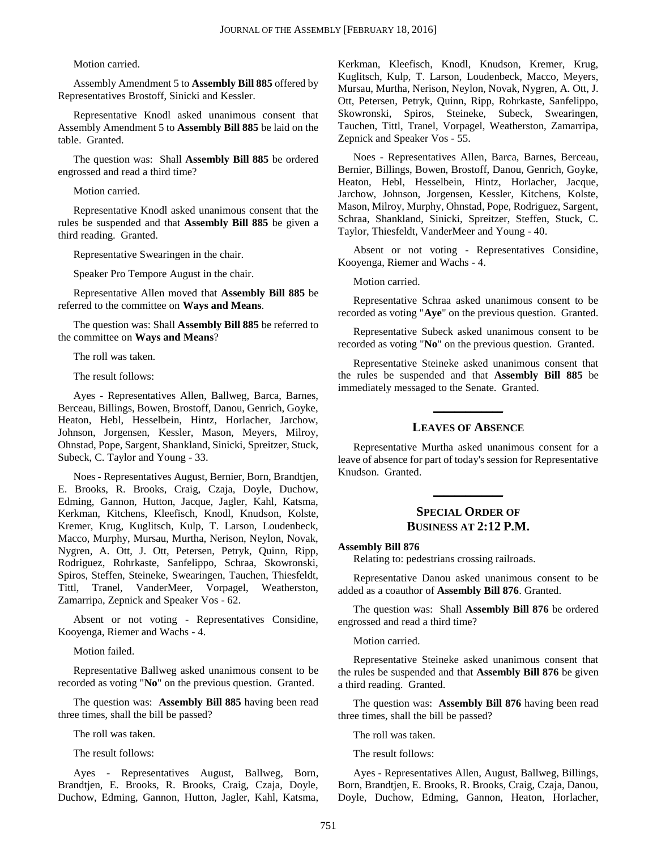Motion carried.

Assembly Amendment 5 to **Assembly Bill 885** offered by Representatives Brostoff, Sinicki and Kessler.

Representative Knodl asked unanimous consent that Assembly Amendment 5 to **Assembly Bill 885** be laid on the table. Granted.

The question was: Shall **Assembly Bill 885** be ordered engrossed and read a third time?

Motion carried.

Representative Knodl asked unanimous consent that the rules be suspended and that **Assembly Bill 885** be given a third reading. Granted.

Representative Swearingen in the chair.

Speaker Pro Tempore August in the chair.

Representative Allen moved that **Assembly Bill 885** be referred to the committee on **Ways and Means**.

The question was: Shall **Assembly Bill 885** be referred to the committee on **Ways and Means**?

The roll was taken.

The result follows:

Ayes - Representatives Allen, Ballweg, Barca, Barnes, Berceau, Billings, Bowen, Brostoff, Danou, Genrich, Goyke, Heaton, Hebl, Hesselbein, Hintz, Horlacher, Jarchow, Johnson, Jorgensen, Kessler, Mason, Meyers, Milroy, Ohnstad, Pope, Sargent, Shankland, Sinicki, Spreitzer, Stuck, Subeck, C. Taylor and Young - 33.

Noes - Representatives August, Bernier, Born, Brandtjen, E. Brooks, R. Brooks, Craig, Czaja, Doyle, Duchow, Edming, Gannon, Hutton, Jacque, Jagler, Kahl, Katsma, Kerkman, Kitchens, Kleefisch, Knodl, Knudson, Kolste, Kremer, Krug, Kuglitsch, Kulp, T. Larson, Loudenbeck, Macco, Murphy, Mursau, Murtha, Nerison, Neylon, Novak, Nygren, A. Ott, J. Ott, Petersen, Petryk, Quinn, Ripp, Rodriguez, Rohrkaste, Sanfelippo, Schraa, Skowronski, Spiros, Steffen, Steineke, Swearingen, Tauchen, Thiesfeldt, Tittl, Tranel, VanderMeer, Vorpagel, Weatherston, Zamarripa, Zepnick and Speaker Vos - 62.

Absent or not voting - Representatives Considine, Kooyenga, Riemer and Wachs - 4.

Motion failed.

Representative Ballweg asked unanimous consent to be recorded as voting "**No**" on the previous question. Granted.

The question was: **Assembly Bill 885** having been read three times, shall the bill be passed?

The roll was taken.

The result follows:

Ayes - Representatives August, Ballweg, Born, Brandtjen, E. Brooks, R. Brooks, Craig, Czaja, Doyle, Duchow, Edming, Gannon, Hutton, Jagler, Kahl, Katsma, Kerkman, Kleefisch, Knodl, Knudson, Kremer, Krug, Kuglitsch, Kulp, T. Larson, Loudenbeck, Macco, Meyers, Mursau, Murtha, Nerison, Neylon, Novak, Nygren, A. Ott, J. Ott, Petersen, Petryk, Quinn, Ripp, Rohrkaste, Sanfelippo, Skowronski, Spiros, Steineke, Subeck, Swearingen, Tauchen, Tittl, Tranel, Vorpagel, Weatherston, Zamarripa, Zepnick and Speaker Vos - 55.

Noes - Representatives Allen, Barca, Barnes, Berceau, Bernier, Billings, Bowen, Brostoff, Danou, Genrich, Goyke, Heaton, Hebl, Hesselbein, Hintz, Horlacher, Jacque, Jarchow, Johnson, Jorgensen, Kessler, Kitchens, Kolste, Mason, Milroy, Murphy, Ohnstad, Pope, Rodriguez, Sargent, Schraa, Shankland, Sinicki, Spreitzer, Steffen, Stuck, C. Taylor, Thiesfeldt, VanderMeer and Young - 40.

Absent or not voting - Representatives Considine, Kooyenga, Riemer and Wachs - 4.

Motion carried.

Representative Schraa asked unanimous consent to be recorded as voting "**Aye**" on the previous question. Granted.

Representative Subeck asked unanimous consent to be recorded as voting "**No**" on the previous question. Granted.

Representative Steineke asked unanimous consent that the rules be suspended and that **Assembly Bill 885** be immediately messaged to the Senate. Granted.

# **\_\_\_\_\_\_\_\_\_\_\_\_\_ LEAVES OF ABSENCE**

Representative Murtha asked unanimous consent for a leave of absence for part of today's session for Representative Knudson. Granted.

### **SPECIAL ORDER OF BUSINESS AT 2:12 P.M.**

**\_\_\_\_\_\_\_\_\_\_\_\_\_**

#### **Assembly Bill 876**

Relating to: pedestrians crossing railroads.

Representative Danou asked unanimous consent to be added as a coauthor of **Assembly Bill 876**. Granted.

The question was: Shall **Assembly Bill 876** be ordered engrossed and read a third time?

Motion carried.

Representative Steineke asked unanimous consent that the rules be suspended and that **Assembly Bill 876** be given a third reading. Granted.

The question was: **Assembly Bill 876** having been read three times, shall the bill be passed?

The roll was taken.

The result follows:

Ayes - Representatives Allen, August, Ballweg, Billings, Born, Brandtjen, E. Brooks, R. Brooks, Craig, Czaja, Danou, Doyle, Duchow, Edming, Gannon, Heaton, Horlacher,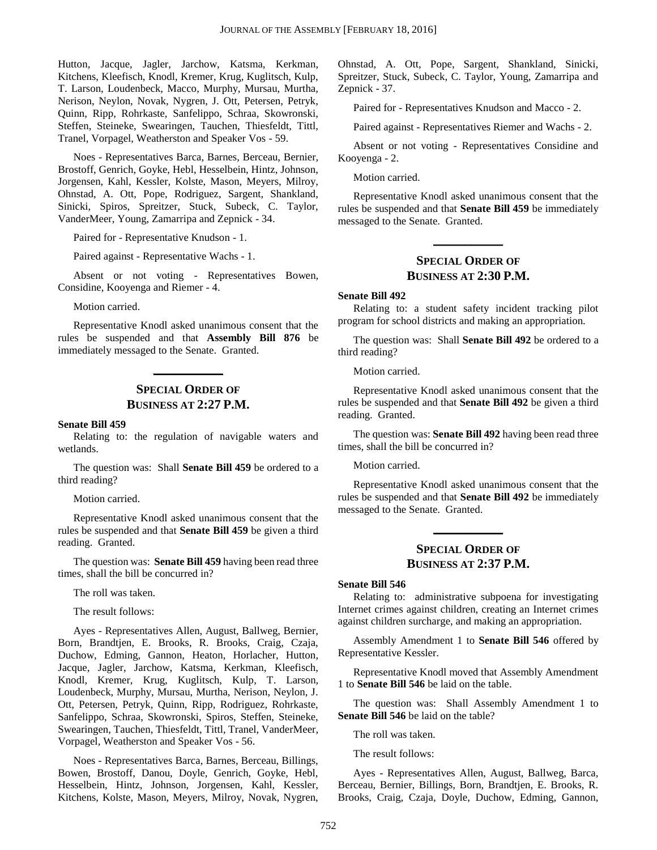Hutton, Jacque, Jagler, Jarchow, Katsma, Kerkman, Kitchens, Kleefisch, Knodl, Kremer, Krug, Kuglitsch, Kulp, T. Larson, Loudenbeck, Macco, Murphy, Mursau, Murtha, Nerison, Neylon, Novak, Nygren, J. Ott, Petersen, Petryk, Quinn, Ripp, Rohrkaste, Sanfelippo, Schraa, Skowronski, Steffen, Steineke, Swearingen, Tauchen, Thiesfeldt, Tittl, Tranel, Vorpagel, Weatherston and Speaker Vos - 59.

Noes - Representatives Barca, Barnes, Berceau, Bernier, Brostoff, Genrich, Goyke, Hebl, Hesselbein, Hintz, Johnson, Jorgensen, Kahl, Kessler, Kolste, Mason, Meyers, Milroy, Ohnstad, A. Ott, Pope, Rodriguez, Sargent, Shankland, Sinicki, Spiros, Spreitzer, Stuck, Subeck, C. Taylor, VanderMeer, Young, Zamarripa and Zepnick - 34.

Paired for - Representative Knudson - 1.

Paired against - Representative Wachs - 1.

Absent or not voting - Representatives Bowen, Considine, Kooyenga and Riemer - 4.

Motion carried.

Representative Knodl asked unanimous consent that the rules be suspended and that **Assembly Bill 876** be immediately messaged to the Senate. Granted.

### **SPECIAL ORDER OF BUSINESS AT 2:27 P.M.**

**\_\_\_\_\_\_\_\_\_\_\_\_\_**

#### **Senate Bill 459**

Relating to: the regulation of navigable waters and wetlands.

The question was: Shall **Senate Bill 459** be ordered to a third reading?

Motion carried.

Representative Knodl asked unanimous consent that the rules be suspended and that **Senate Bill 459** be given a third reading. Granted.

The question was: **Senate Bill 459** having been read three times, shall the bill be concurred in?

The roll was taken.

The result follows:

Ayes - Representatives Allen, August, Ballweg, Bernier, Born, Brandtjen, E. Brooks, R. Brooks, Craig, Czaja, Duchow, Edming, Gannon, Heaton, Horlacher, Hutton, Jacque, Jagler, Jarchow, Katsma, Kerkman, Kleefisch, Knodl, Kremer, Krug, Kuglitsch, Kulp, T. Larson, Loudenbeck, Murphy, Mursau, Murtha, Nerison, Neylon, J. Ott, Petersen, Petryk, Quinn, Ripp, Rodriguez, Rohrkaste, Sanfelippo, Schraa, Skowronski, Spiros, Steffen, Steineke, Swearingen, Tauchen, Thiesfeldt, Tittl, Tranel, VanderMeer, Vorpagel, Weatherston and Speaker Vos - 56.

Noes - Representatives Barca, Barnes, Berceau, Billings, Bowen, Brostoff, Danou, Doyle, Genrich, Goyke, Hebl, Hesselbein, Hintz, Johnson, Jorgensen, Kahl, Kessler, Kitchens, Kolste, Mason, Meyers, Milroy, Novak, Nygren, Ohnstad, A. Ott, Pope, Sargent, Shankland, Sinicki, Spreitzer, Stuck, Subeck, C. Taylor, Young, Zamarripa and Zepnick - 37.

Paired for - Representatives Knudson and Macco - 2.

Paired against - Representatives Riemer and Wachs - 2.

Absent or not voting - Representatives Considine and Kooyenga - 2.

Motion carried.

Representative Knodl asked unanimous consent that the rules be suspended and that **Senate Bill 459** be immediately messaged to the Senate. Granted.

### **SPECIAL ORDER OF BUSINESS AT 2:30 P.M.**

**\_\_\_\_\_\_\_\_\_\_\_\_\_**

#### **Senate Bill 492**

Relating to: a student safety incident tracking pilot program for school districts and making an appropriation.

The question was: Shall **Senate Bill 492** be ordered to a third reading?

Motion carried.

Representative Knodl asked unanimous consent that the rules be suspended and that **Senate Bill 492** be given a third reading. Granted.

The question was: **Senate Bill 492** having been read three times, shall the bill be concurred in?

Motion carried.

Representative Knodl asked unanimous consent that the rules be suspended and that **Senate Bill 492** be immediately messaged to the Senate. Granted.

### **SPECIAL ORDER OF BUSINESS AT 2:37 P.M.**

**\_\_\_\_\_\_\_\_\_\_\_\_\_**

### **Senate Bill 546**

Relating to: administrative subpoena for investigating Internet crimes against children, creating an Internet crimes against children surcharge, and making an appropriation.

Assembly Amendment 1 to **Senate Bill 546** offered by Representative Kessler.

Representative Knodl moved that Assembly Amendment 1 to **Senate Bill 546** be laid on the table.

The question was: Shall Assembly Amendment 1 to **Senate Bill 546** be laid on the table?

The roll was taken.

The result follows:

Ayes - Representatives Allen, August, Ballweg, Barca, Berceau, Bernier, Billings, Born, Brandtjen, E. Brooks, R. Brooks, Craig, Czaja, Doyle, Duchow, Edming, Gannon,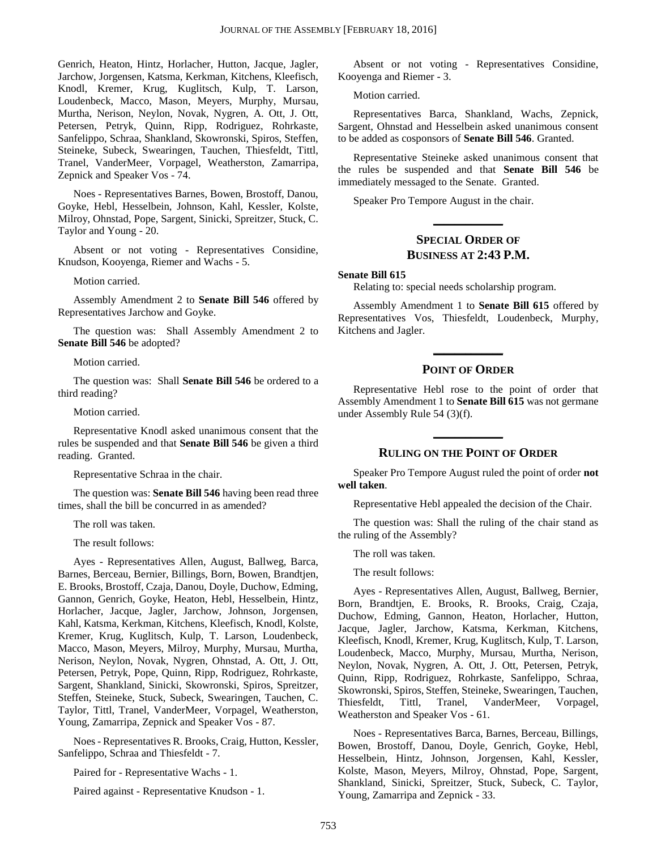Genrich, Heaton, Hintz, Horlacher, Hutton, Jacque, Jagler, Jarchow, Jorgensen, Katsma, Kerkman, Kitchens, Kleefisch, Knodl, Kremer, Krug, Kuglitsch, Kulp, T. Larson, Loudenbeck, Macco, Mason, Meyers, Murphy, Mursau, Murtha, Nerison, Neylon, Novak, Nygren, A. Ott, J. Ott, Petersen, Petryk, Quinn, Ripp, Rodriguez, Rohrkaste, Sanfelippo, Schraa, Shankland, Skowronski, Spiros, Steffen, Steineke, Subeck, Swearingen, Tauchen, Thiesfeldt, Tittl, Tranel, VanderMeer, Vorpagel, Weatherston, Zamarripa, Zepnick and Speaker Vos - 74.

Noes - Representatives Barnes, Bowen, Brostoff, Danou, Goyke, Hebl, Hesselbein, Johnson, Kahl, Kessler, Kolste, Milroy, Ohnstad, Pope, Sargent, Sinicki, Spreitzer, Stuck, C. Taylor and Young - 20.

Absent or not voting - Representatives Considine, Knudson, Kooyenga, Riemer and Wachs - 5.

Motion carried.

Assembly Amendment 2 to **Senate Bill 546** offered by Representatives Jarchow and Goyke.

The question was: Shall Assembly Amendment 2 to **Senate Bill 546** be adopted?

Motion carried.

The question was: Shall **Senate Bill 546** be ordered to a third reading?

Motion carried.

Representative Knodl asked unanimous consent that the rules be suspended and that **Senate Bill 546** be given a third reading. Granted.

Representative Schraa in the chair.

The question was: **Senate Bill 546** having been read three times, shall the bill be concurred in as amended?

The roll was taken.

The result follows:

Ayes - Representatives Allen, August, Ballweg, Barca, Barnes, Berceau, Bernier, Billings, Born, Bowen, Brandtjen, E. Brooks, Brostoff, Czaja, Danou, Doyle, Duchow, Edming, Gannon, Genrich, Goyke, Heaton, Hebl, Hesselbein, Hintz, Horlacher, Jacque, Jagler, Jarchow, Johnson, Jorgensen, Kahl, Katsma, Kerkman, Kitchens, Kleefisch, Knodl, Kolste, Kremer, Krug, Kuglitsch, Kulp, T. Larson, Loudenbeck, Macco, Mason, Meyers, Milroy, Murphy, Mursau, Murtha, Nerison, Neylon, Novak, Nygren, Ohnstad, A. Ott, J. Ott, Petersen, Petryk, Pope, Quinn, Ripp, Rodriguez, Rohrkaste, Sargent, Shankland, Sinicki, Skowronski, Spiros, Spreitzer, Steffen, Steineke, Stuck, Subeck, Swearingen, Tauchen, C. Taylor, Tittl, Tranel, VanderMeer, Vorpagel, Weatherston, Young, Zamarripa, Zepnick and Speaker Vos - 87.

Noes - Representatives R. Brooks, Craig, Hutton, Kessler, Sanfelippo, Schraa and Thiesfeldt - 7.

Paired for - Representative Wachs - 1.

Paired against - Representative Knudson - 1.

Absent or not voting - Representatives Considine, Kooyenga and Riemer - 3.

Motion carried.

Representatives Barca, Shankland, Wachs, Zepnick, Sargent, Ohnstad and Hesselbein asked unanimous consent to be added as cosponsors of **Senate Bill 546**. Granted.

Representative Steineke asked unanimous consent that the rules be suspended and that **Senate Bill 546** be immediately messaged to the Senate. Granted.

Speaker Pro Tempore August in the chair.

### **SPECIAL ORDER OF BUSINESS AT 2:43 P.M.**

**\_\_\_\_\_\_\_\_\_\_\_\_\_**

#### **Senate Bill 615**

Relating to: special needs scholarship program.

Assembly Amendment 1 to **Senate Bill 615** offered by Representatives Vos, Thiesfeldt, Loudenbeck, Murphy, Kitchens and Jagler.

# **\_\_\_\_\_\_\_\_\_\_\_\_\_ POINT OF ORDER**

Representative Hebl rose to the point of order that Assembly Amendment 1 to **Senate Bill 615** was not germane under Assembly Rule 54 (3)(f).

# **\_\_\_\_\_\_\_\_\_\_\_\_\_ RULING ON THE POINT OF ORDER**

Speaker Pro Tempore August ruled the point of order **not well taken**.

Representative Hebl appealed the decision of the Chair.

The question was: Shall the ruling of the chair stand as the ruling of the Assembly?

The roll was taken.

The result follows:

Ayes - Representatives Allen, August, Ballweg, Bernier, Born, Brandtjen, E. Brooks, R. Brooks, Craig, Czaja, Duchow, Edming, Gannon, Heaton, Horlacher, Hutton, Jacque, Jagler, Jarchow, Katsma, Kerkman, Kitchens, Kleefisch, Knodl, Kremer, Krug, Kuglitsch, Kulp, T. Larson, Loudenbeck, Macco, Murphy, Mursau, Murtha, Nerison, Neylon, Novak, Nygren, A. Ott, J. Ott, Petersen, Petryk, Quinn, Ripp, Rodriguez, Rohrkaste, Sanfelippo, Schraa, Skowronski, Spiros, Steffen, Steineke, Swearingen, Tauchen, Thiesfeldt, Tittl, Tranel, VanderMeer, Vorpagel, Weatherston and Speaker Vos - 61.

Noes - Representatives Barca, Barnes, Berceau, Billings, Bowen, Brostoff, Danou, Doyle, Genrich, Goyke, Hebl, Hesselbein, Hintz, Johnson, Jorgensen, Kahl, Kessler, Kolste, Mason, Meyers, Milroy, Ohnstad, Pope, Sargent, Shankland, Sinicki, Spreitzer, Stuck, Subeck, C. Taylor, Young, Zamarripa and Zepnick - 33.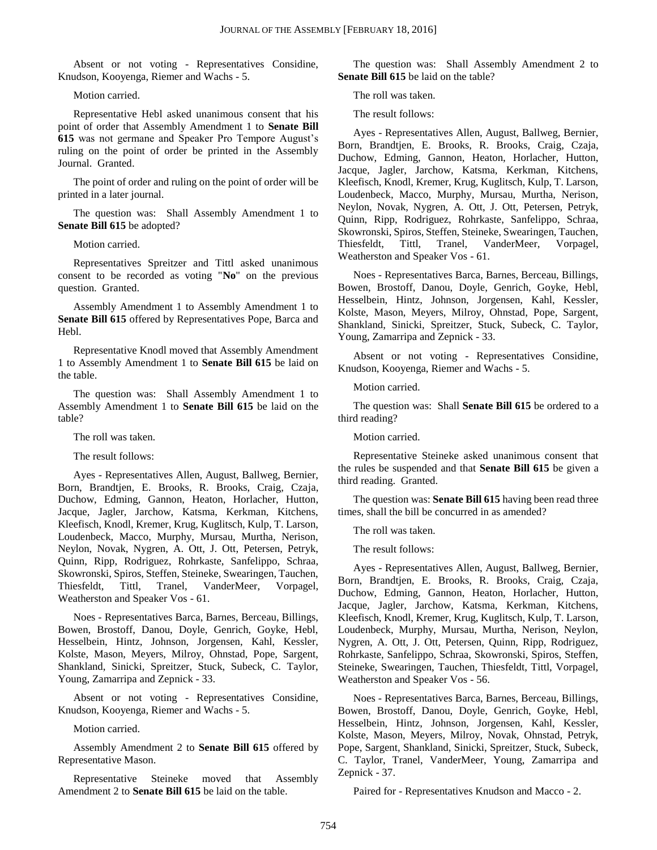Absent or not voting - Representatives Considine, Knudson, Kooyenga, Riemer and Wachs - 5.

Motion carried.

Representative Hebl asked unanimous consent that his point of order that Assembly Amendment 1 to **Senate Bill 615** was not germane and Speaker Pro Tempore August's ruling on the point of order be printed in the Assembly Journal. Granted.

The point of order and ruling on the point of order will be printed in a later journal.

The question was: Shall Assembly Amendment 1 to **Senate Bill 615** be adopted?

Motion carried.

Representatives Spreitzer and Tittl asked unanimous consent to be recorded as voting "**No**" on the previous question. Granted.

Assembly Amendment 1 to Assembly Amendment 1 to **Senate Bill 615** offered by Representatives Pope, Barca and Hebl.

Representative Knodl moved that Assembly Amendment 1 to Assembly Amendment 1 to **Senate Bill 615** be laid on the table.

The question was: Shall Assembly Amendment 1 to Assembly Amendment 1 to **Senate Bill 615** be laid on the table?

The roll was taken.

The result follows:

Ayes - Representatives Allen, August, Ballweg, Bernier, Born, Brandtjen, E. Brooks, R. Brooks, Craig, Czaja, Duchow, Edming, Gannon, Heaton, Horlacher, Hutton, Jacque, Jagler, Jarchow, Katsma, Kerkman, Kitchens, Kleefisch, Knodl, Kremer, Krug, Kuglitsch, Kulp, T. Larson, Loudenbeck, Macco, Murphy, Mursau, Murtha, Nerison, Neylon, Novak, Nygren, A. Ott, J. Ott, Petersen, Petryk, Quinn, Ripp, Rodriguez, Rohrkaste, Sanfelippo, Schraa, Skowronski, Spiros, Steffen, Steineke, Swearingen, Tauchen, Thiesfeldt, Tittl, Tranel, VanderMeer, Vorpagel, Weatherston and Speaker Vos - 61.

Noes - Representatives Barca, Barnes, Berceau, Billings, Bowen, Brostoff, Danou, Doyle, Genrich, Goyke, Hebl, Hesselbein, Hintz, Johnson, Jorgensen, Kahl, Kessler, Kolste, Mason, Meyers, Milroy, Ohnstad, Pope, Sargent, Shankland, Sinicki, Spreitzer, Stuck, Subeck, C. Taylor, Young, Zamarripa and Zepnick - 33.

Absent or not voting - Representatives Considine, Knudson, Kooyenga, Riemer and Wachs - 5.

Motion carried.

Assembly Amendment 2 to **Senate Bill 615** offered by Representative Mason.

Representative Steineke moved that Assembly Amendment 2 to **Senate Bill 615** be laid on the table.

The question was: Shall Assembly Amendment 2 to **Senate Bill 615** be laid on the table?

The roll was taken.

The result follows:

Ayes - Representatives Allen, August, Ballweg, Bernier, Born, Brandtjen, E. Brooks, R. Brooks, Craig, Czaja, Duchow, Edming, Gannon, Heaton, Horlacher, Hutton, Jacque, Jagler, Jarchow, Katsma, Kerkman, Kitchens, Kleefisch, Knodl, Kremer, Krug, Kuglitsch, Kulp, T. Larson, Loudenbeck, Macco, Murphy, Mursau, Murtha, Nerison, Neylon, Novak, Nygren, A. Ott, J. Ott, Petersen, Petryk, Quinn, Ripp, Rodriguez, Rohrkaste, Sanfelippo, Schraa, Skowronski, Spiros, Steffen, Steineke, Swearingen, Tauchen, Thiesfeldt, Tittl, Tranel, VanderMeer, Vorpagel, Weatherston and Speaker Vos - 61.

Noes - Representatives Barca, Barnes, Berceau, Billings, Bowen, Brostoff, Danou, Doyle, Genrich, Goyke, Hebl, Hesselbein, Hintz, Johnson, Jorgensen, Kahl, Kessler, Kolste, Mason, Meyers, Milroy, Ohnstad, Pope, Sargent, Shankland, Sinicki, Spreitzer, Stuck, Subeck, C. Taylor, Young, Zamarripa and Zepnick - 33.

Absent or not voting - Representatives Considine, Knudson, Kooyenga, Riemer and Wachs - 5.

Motion carried.

The question was: Shall **Senate Bill 615** be ordered to a third reading?

Motion carried.

Representative Steineke asked unanimous consent that the rules be suspended and that **Senate Bill 615** be given a third reading. Granted.

The question was: **Senate Bill 615** having been read three times, shall the bill be concurred in as amended?

The roll was taken.

The result follows:

Ayes - Representatives Allen, August, Ballweg, Bernier, Born, Brandtjen, E. Brooks, R. Brooks, Craig, Czaja, Duchow, Edming, Gannon, Heaton, Horlacher, Hutton, Jacque, Jagler, Jarchow, Katsma, Kerkman, Kitchens, Kleefisch, Knodl, Kremer, Krug, Kuglitsch, Kulp, T. Larson, Loudenbeck, Murphy, Mursau, Murtha, Nerison, Neylon, Nygren, A. Ott, J. Ott, Petersen, Quinn, Ripp, Rodriguez, Rohrkaste, Sanfelippo, Schraa, Skowronski, Spiros, Steffen, Steineke, Swearingen, Tauchen, Thiesfeldt, Tittl, Vorpagel, Weatherston and Speaker Vos - 56.

Noes - Representatives Barca, Barnes, Berceau, Billings, Bowen, Brostoff, Danou, Doyle, Genrich, Goyke, Hebl, Hesselbein, Hintz, Johnson, Jorgensen, Kahl, Kessler, Kolste, Mason, Meyers, Milroy, Novak, Ohnstad, Petryk, Pope, Sargent, Shankland, Sinicki, Spreitzer, Stuck, Subeck, C. Taylor, Tranel, VanderMeer, Young, Zamarripa and Zepnick - 37.

Paired for - Representatives Knudson and Macco - 2.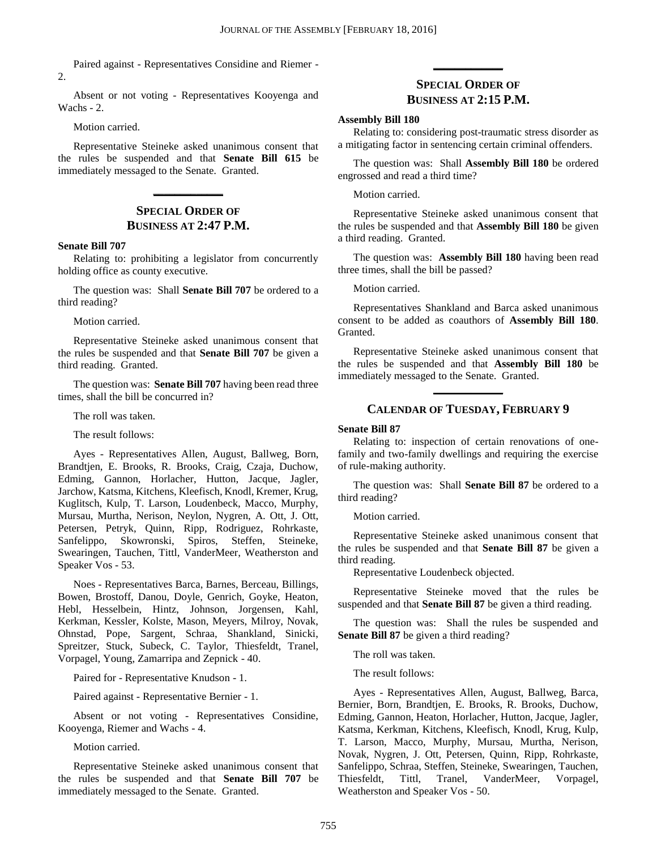Paired against - Representatives Considine and Riemer - 2.

Absent or not voting - Representatives Kooyenga and Wachs - 2.

Motion carried.

Representative Steineke asked unanimous consent that the rules be suspended and that **Senate Bill 615** be immediately messaged to the Senate. Granted.

### **SPECIAL ORDER OF BUSINESS AT 2:47 P.M.**

**\_\_\_\_\_\_\_\_\_\_\_\_\_**

#### **Senate Bill 707**

Relating to: prohibiting a legislator from concurrently holding office as county executive.

The question was: Shall **Senate Bill 707** be ordered to a third reading?

Motion carried.

Representative Steineke asked unanimous consent that the rules be suspended and that **Senate Bill 707** be given a third reading. Granted.

The question was: **Senate Bill 707** having been read three times, shall the bill be concurred in?

The roll was taken.

The result follows:

Ayes - Representatives Allen, August, Ballweg, Born, Brandtjen, E. Brooks, R. Brooks, Craig, Czaja, Duchow, Edming, Gannon, Horlacher, Hutton, Jacque, Jagler, Jarchow, Katsma, Kitchens, Kleefisch, Knodl, Kremer, Krug, Kuglitsch, Kulp, T. Larson, Loudenbeck, Macco, Murphy, Mursau, Murtha, Nerison, Neylon, Nygren, A. Ott, J. Ott, Petersen, Petryk, Quinn, Ripp, Rodriguez, Rohrkaste, Sanfelippo, Skowronski, Spiros, Steffen, Steineke, Swearingen, Tauchen, Tittl, VanderMeer, Weatherston and Speaker Vos - 53.

Noes - Representatives Barca, Barnes, Berceau, Billings, Bowen, Brostoff, Danou, Doyle, Genrich, Goyke, Heaton, Hebl, Hesselbein, Hintz, Johnson, Jorgensen, Kahl, Kerkman, Kessler, Kolste, Mason, Meyers, Milroy, Novak, Ohnstad, Pope, Sargent, Schraa, Shankland, Sinicki, Spreitzer, Stuck, Subeck, C. Taylor, Thiesfeldt, Tranel, Vorpagel, Young, Zamarripa and Zepnick - 40.

Paired for - Representative Knudson - 1.

Paired against - Representative Bernier - 1.

Absent or not voting - Representatives Considine, Kooyenga, Riemer and Wachs - 4.

Motion carried.

Representative Steineke asked unanimous consent that the rules be suspended and that **Senate Bill 707** be immediately messaged to the Senate. Granted.

### **SPECIAL ORDER OF BUSINESS AT 2:15 P.M.**

**\_\_\_\_\_\_\_\_\_\_\_\_\_**

#### **Assembly Bill 180**

Relating to: considering post-traumatic stress disorder as a mitigating factor in sentencing certain criminal offenders.

The question was: Shall **Assembly Bill 180** be ordered engrossed and read a third time?

Motion carried.

Representative Steineke asked unanimous consent that the rules be suspended and that **Assembly Bill 180** be given a third reading. Granted.

The question was: **Assembly Bill 180** having been read three times, shall the bill be passed?

Motion carried.

Representatives Shankland and Barca asked unanimous consent to be added as coauthors of **Assembly Bill 180**. Granted.

Representative Steineke asked unanimous consent that the rules be suspended and that **Assembly Bill 180** be immediately messaged to the Senate. Granted.

# **\_\_\_\_\_\_\_\_\_\_\_\_\_ CALENDAR OF TUESDAY, FEBRUARY 9**

#### **Senate Bill 87**

Relating to: inspection of certain renovations of onefamily and two-family dwellings and requiring the exercise of rule-making authority.

The question was: Shall **Senate Bill 87** be ordered to a third reading?

Motion carried.

Representative Steineke asked unanimous consent that the rules be suspended and that **Senate Bill 87** be given a third reading.

Representative Loudenbeck objected.

Representative Steineke moved that the rules be suspended and that **Senate Bill 87** be given a third reading.

The question was: Shall the rules be suspended and **Senate Bill 87** be given a third reading?

The roll was taken.

The result follows:

Ayes - Representatives Allen, August, Ballweg, Barca, Bernier, Born, Brandtjen, E. Brooks, R. Brooks, Duchow, Edming, Gannon, Heaton, Horlacher, Hutton, Jacque, Jagler, Katsma, Kerkman, Kitchens, Kleefisch, Knodl, Krug, Kulp, T. Larson, Macco, Murphy, Mursau, Murtha, Nerison, Novak, Nygren, J. Ott, Petersen, Quinn, Ripp, Rohrkaste, Sanfelippo, Schraa, Steffen, Steineke, Swearingen, Tauchen, Thiesfeldt, Tittl, Tranel, VanderMeer, Vorpagel, Weatherston and Speaker Vos - 50.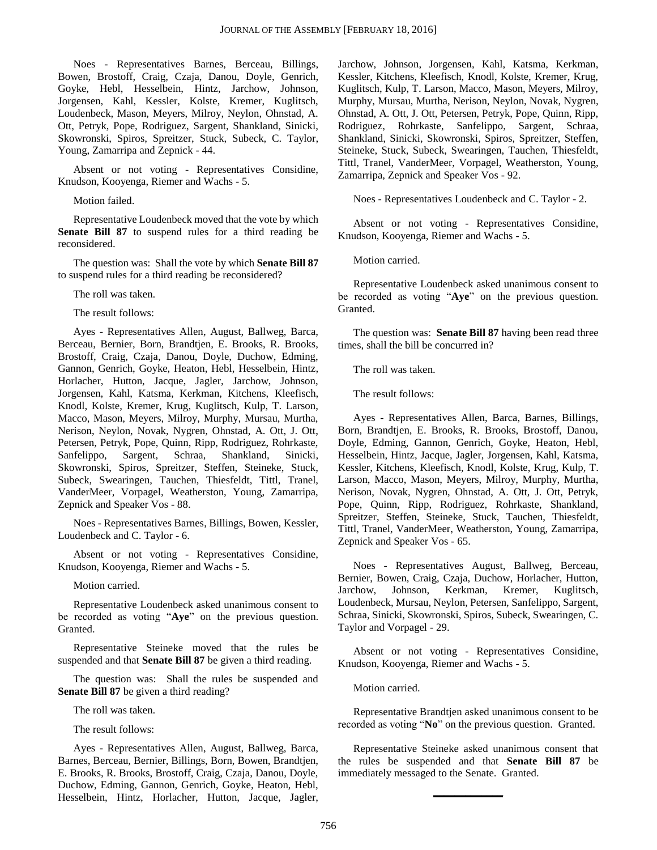Noes - Representatives Barnes, Berceau, Billings, Bowen, Brostoff, Craig, Czaja, Danou, Doyle, Genrich, Goyke, Hebl, Hesselbein, Hintz, Jarchow, Johnson, Jorgensen, Kahl, Kessler, Kolste, Kremer, Kuglitsch, Loudenbeck, Mason, Meyers, Milroy, Neylon, Ohnstad, A. Ott, Petryk, Pope, Rodriguez, Sargent, Shankland, Sinicki, Skowronski, Spiros, Spreitzer, Stuck, Subeck, C. Taylor, Young, Zamarripa and Zepnick - 44.

Absent or not voting - Representatives Considine, Knudson, Kooyenga, Riemer and Wachs - 5.

Motion failed.

Representative Loudenbeck moved that the vote by which **Senate Bill 87** to suspend rules for a third reading be reconsidered.

The question was: Shall the vote by which **Senate Bill 87** to suspend rules for a third reading be reconsidered?

The roll was taken.

The result follows:

Ayes - Representatives Allen, August, Ballweg, Barca, Berceau, Bernier, Born, Brandtjen, E. Brooks, R. Brooks, Brostoff, Craig, Czaja, Danou, Doyle, Duchow, Edming, Gannon, Genrich, Goyke, Heaton, Hebl, Hesselbein, Hintz, Horlacher, Hutton, Jacque, Jagler, Jarchow, Johnson, Jorgensen, Kahl, Katsma, Kerkman, Kitchens, Kleefisch, Knodl, Kolste, Kremer, Krug, Kuglitsch, Kulp, T. Larson, Macco, Mason, Meyers, Milroy, Murphy, Mursau, Murtha, Nerison, Neylon, Novak, Nygren, Ohnstad, A. Ott, J. Ott, Petersen, Petryk, Pope, Quinn, Ripp, Rodriguez, Rohrkaste, Sanfelippo, Sargent, Schraa, Shankland, Sinicki, Skowronski, Spiros, Spreitzer, Steffen, Steineke, Stuck, Subeck, Swearingen, Tauchen, Thiesfeldt, Tittl, Tranel, VanderMeer, Vorpagel, Weatherston, Young, Zamarripa, Zepnick and Speaker Vos - 88.

Noes - Representatives Barnes, Billings, Bowen, Kessler, Loudenbeck and C. Taylor - 6.

Absent or not voting - Representatives Considine, Knudson, Kooyenga, Riemer and Wachs - 5.

Motion carried.

Representative Loudenbeck asked unanimous consent to be recorded as voting "**Aye**" on the previous question. Granted.

Representative Steineke moved that the rules be suspended and that **Senate Bill 87** be given a third reading.

The question was: Shall the rules be suspended and **Senate Bill 87** be given a third reading?

The roll was taken.

The result follows:

Ayes - Representatives Allen, August, Ballweg, Barca, Barnes, Berceau, Bernier, Billings, Born, Bowen, Brandtjen, E. Brooks, R. Brooks, Brostoff, Craig, Czaja, Danou, Doyle, Duchow, Edming, Gannon, Genrich, Goyke, Heaton, Hebl, Hesselbein, Hintz, Horlacher, Hutton, Jacque, Jagler, Jarchow, Johnson, Jorgensen, Kahl, Katsma, Kerkman, Kessler, Kitchens, Kleefisch, Knodl, Kolste, Kremer, Krug, Kuglitsch, Kulp, T. Larson, Macco, Mason, Meyers, Milroy, Murphy, Mursau, Murtha, Nerison, Neylon, Novak, Nygren, Ohnstad, A. Ott, J. Ott, Petersen, Petryk, Pope, Quinn, Ripp, Rodriguez, Rohrkaste, Sanfelippo, Sargent, Schraa, Shankland, Sinicki, Skowronski, Spiros, Spreitzer, Steffen, Steineke, Stuck, Subeck, Swearingen, Tauchen, Thiesfeldt, Tittl, Tranel, VanderMeer, Vorpagel, Weatherston, Young, Zamarripa, Zepnick and Speaker Vos - 92.

Noes - Representatives Loudenbeck and C. Taylor - 2.

Absent or not voting - Representatives Considine, Knudson, Kooyenga, Riemer and Wachs - 5.

Motion carried.

Representative Loudenbeck asked unanimous consent to be recorded as voting "**Aye**" on the previous question. Granted.

The question was: **Senate Bill 87** having been read three times, shall the bill be concurred in?

The roll was taken.

The result follows:

Ayes - Representatives Allen, Barca, Barnes, Billings, Born, Brandtjen, E. Brooks, R. Brooks, Brostoff, Danou, Doyle, Edming, Gannon, Genrich, Goyke, Heaton, Hebl, Hesselbein, Hintz, Jacque, Jagler, Jorgensen, Kahl, Katsma, Kessler, Kitchens, Kleefisch, Knodl, Kolste, Krug, Kulp, T. Larson, Macco, Mason, Meyers, Milroy, Murphy, Murtha, Nerison, Novak, Nygren, Ohnstad, A. Ott, J. Ott, Petryk, Pope, Quinn, Ripp, Rodriguez, Rohrkaste, Shankland, Spreitzer, Steffen, Steineke, Stuck, Tauchen, Thiesfeldt, Tittl, Tranel, VanderMeer, Weatherston, Young, Zamarripa, Zepnick and Speaker Vos - 65.

Noes - Representatives August, Ballweg, Berceau, Bernier, Bowen, Craig, Czaja, Duchow, Horlacher, Hutton, Jarchow, Johnson, Kerkman, Kremer, Kuglitsch, Loudenbeck, Mursau, Neylon, Petersen, Sanfelippo, Sargent, Schraa, Sinicki, Skowronski, Spiros, Subeck, Swearingen, C. Taylor and Vorpagel - 29.

Absent or not voting - Representatives Considine, Knudson, Kooyenga, Riemer and Wachs - 5.

Motion carried.

Representative Brandtjen asked unanimous consent to be recorded as voting "**No**" on the previous question. Granted.

Representative Steineke asked unanimous consent that the rules be suspended and that **Senate Bill 87** be immediately messaged to the Senate. Granted.

**\_\_\_\_\_\_\_\_\_\_\_\_\_**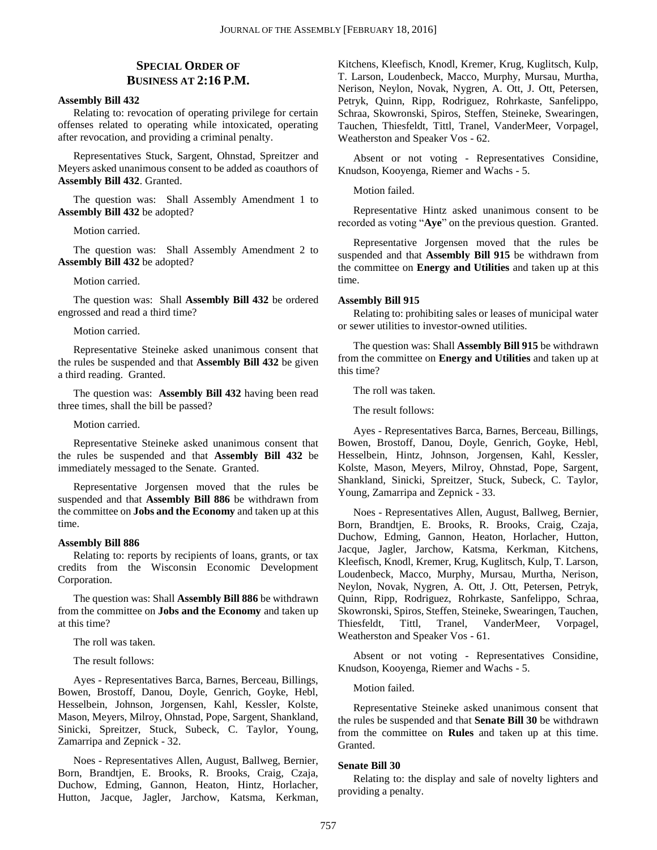### **SPECIAL ORDER OF BUSINESS AT 2:16 P.M.**

### **Assembly Bill 432**

Relating to: revocation of operating privilege for certain offenses related to operating while intoxicated, operating after revocation, and providing a criminal penalty.

Representatives Stuck, Sargent, Ohnstad, Spreitzer and Meyers asked unanimous consent to be added as coauthors of **Assembly Bill 432**. Granted.

The question was: Shall Assembly Amendment 1 to **Assembly Bill 432** be adopted?

Motion carried.

The question was: Shall Assembly Amendment 2 to **Assembly Bill 432** be adopted?

#### Motion carried.

The question was: Shall **Assembly Bill 432** be ordered engrossed and read a third time?

### Motion carried.

Representative Steineke asked unanimous consent that the rules be suspended and that **Assembly Bill 432** be given a third reading. Granted.

The question was: **Assembly Bill 432** having been read three times, shall the bill be passed?

### Motion carried.

Representative Steineke asked unanimous consent that the rules be suspended and that **Assembly Bill 432** be immediately messaged to the Senate. Granted.

Representative Jorgensen moved that the rules be suspended and that **Assembly Bill 886** be withdrawn from the committee on **Jobs and the Economy** and taken up at this time.

#### **Assembly Bill 886**

Relating to: reports by recipients of loans, grants, or tax credits from the Wisconsin Economic Development Corporation.

The question was: Shall **Assembly Bill 886** be withdrawn from the committee on **Jobs and the Economy** and taken up at this time?

The roll was taken.

The result follows:

Ayes - Representatives Barca, Barnes, Berceau, Billings, Bowen, Brostoff, Danou, Doyle, Genrich, Goyke, Hebl, Hesselbein, Johnson, Jorgensen, Kahl, Kessler, Kolste, Mason, Meyers, Milroy, Ohnstad, Pope, Sargent, Shankland, Sinicki, Spreitzer, Stuck, Subeck, C. Taylor, Young, Zamarripa and Zepnick - 32.

Noes - Representatives Allen, August, Ballweg, Bernier, Born, Brandtjen, E. Brooks, R. Brooks, Craig, Czaja, Duchow, Edming, Gannon, Heaton, Hintz, Horlacher, Hutton, Jacque, Jagler, Jarchow, Katsma, Kerkman, Kitchens, Kleefisch, Knodl, Kremer, Krug, Kuglitsch, Kulp, T. Larson, Loudenbeck, Macco, Murphy, Mursau, Murtha, Nerison, Neylon, Novak, Nygren, A. Ott, J. Ott, Petersen, Petryk, Quinn, Ripp, Rodriguez, Rohrkaste, Sanfelippo, Schraa, Skowronski, Spiros, Steffen, Steineke, Swearingen, Tauchen, Thiesfeldt, Tittl, Tranel, VanderMeer, Vorpagel, Weatherston and Speaker Vos - 62.

Absent or not voting - Representatives Considine, Knudson, Kooyenga, Riemer and Wachs - 5.

Motion failed.

Representative Hintz asked unanimous consent to be recorded as voting "**Aye**" on the previous question. Granted.

Representative Jorgensen moved that the rules be suspended and that **Assembly Bill 915** be withdrawn from the committee on **Energy and Utilities** and taken up at this time.

### **Assembly Bill 915**

Relating to: prohibiting sales or leases of municipal water or sewer utilities to investor-owned utilities.

The question was: Shall **Assembly Bill 915** be withdrawn from the committee on **Energy and Utilities** and taken up at this time?

The roll was taken.

The result follows:

Ayes - Representatives Barca, Barnes, Berceau, Billings, Bowen, Brostoff, Danou, Doyle, Genrich, Goyke, Hebl, Hesselbein, Hintz, Johnson, Jorgensen, Kahl, Kessler, Kolste, Mason, Meyers, Milroy, Ohnstad, Pope, Sargent, Shankland, Sinicki, Spreitzer, Stuck, Subeck, C. Taylor, Young, Zamarripa and Zepnick - 33.

Noes - Representatives Allen, August, Ballweg, Bernier, Born, Brandtjen, E. Brooks, R. Brooks, Craig, Czaja, Duchow, Edming, Gannon, Heaton, Horlacher, Hutton, Jacque, Jagler, Jarchow, Katsma, Kerkman, Kitchens, Kleefisch, Knodl, Kremer, Krug, Kuglitsch, Kulp, T. Larson, Loudenbeck, Macco, Murphy, Mursau, Murtha, Nerison, Neylon, Novak, Nygren, A. Ott, J. Ott, Petersen, Petryk, Quinn, Ripp, Rodriguez, Rohrkaste, Sanfelippo, Schraa, Skowronski, Spiros, Steffen, Steineke, Swearingen, Tauchen, Thiesfeldt, Tittl, Tranel, VanderMeer, Vorpagel, Weatherston and Speaker Vos - 61.

Absent or not voting - Representatives Considine, Knudson, Kooyenga, Riemer and Wachs - 5.

### Motion failed.

Representative Steineke asked unanimous consent that the rules be suspended and that **Senate Bill 30** be withdrawn from the committee on **Rules** and taken up at this time. Granted.

#### **Senate Bill 30**

Relating to: the display and sale of novelty lighters and providing a penalty.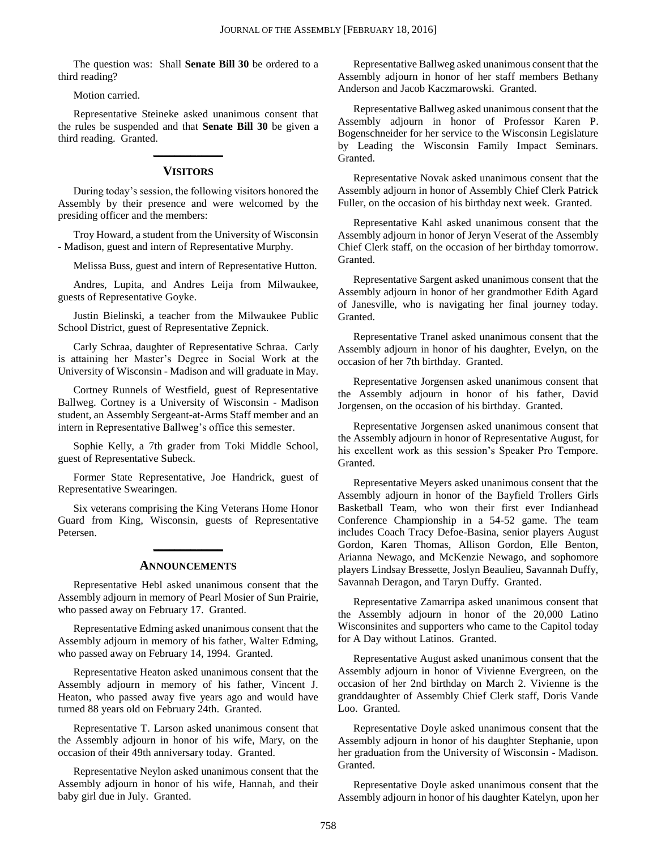The question was: Shall **Senate Bill 30** be ordered to a third reading?

Motion carried.

Representative Steineke asked unanimous consent that the rules be suspended and that **Senate Bill 30** be given a third reading. Granted.

# **\_\_\_\_\_\_\_\_\_\_\_\_\_ VISITORS**

During today's session, the following visitors honored the Assembly by their presence and were welcomed by the presiding officer and the members:

Troy Howard, a student from the University of Wisconsin - Madison, guest and intern of Representative Murphy.

Melissa Buss, guest and intern of Representative Hutton.

Andres, Lupita, and Andres Leija from Milwaukee, guests of Representative Goyke.

Justin Bielinski, a teacher from the Milwaukee Public School District, guest of Representative Zepnick.

Carly Schraa, daughter of Representative Schraa. Carly is attaining her Master's Degree in Social Work at the University of Wisconsin - Madison and will graduate in May.

Cortney Runnels of Westfield, guest of Representative Ballweg. Cortney is a University of Wisconsin - Madison student, an Assembly Sergeant-at-Arms Staff member and an intern in Representative Ballweg's office this semester.

Sophie Kelly, a 7th grader from Toki Middle School, guest of Representative Subeck.

Former State Representative, Joe Handrick, guest of Representative Swearingen.

Six veterans comprising the King Veterans Home Honor Guard from King, Wisconsin, guests of Representative Petersen.

# **\_\_\_\_\_\_\_\_\_\_\_\_\_ ANNOUNCEMENTS**

Representative Hebl asked unanimous consent that the Assembly adjourn in memory of Pearl Mosier of Sun Prairie, who passed away on February 17. Granted.

Representative Edming asked unanimous consent that the Assembly adjourn in memory of his father, Walter Edming, who passed away on February 14, 1994. Granted.

Representative Heaton asked unanimous consent that the Assembly adjourn in memory of his father, Vincent J. Heaton, who passed away five years ago and would have turned 88 years old on February 24th. Granted.

Representative T. Larson asked unanimous consent that the Assembly adjourn in honor of his wife, Mary, on the occasion of their 49th anniversary today. Granted.

Representative Neylon asked unanimous consent that the Assembly adjourn in honor of his wife, Hannah, and their baby girl due in July. Granted.

Representative Ballweg asked unanimous consent that the Assembly adjourn in honor of her staff members Bethany Anderson and Jacob Kaczmarowski. Granted.

Representative Ballweg asked unanimous consent that the Assembly adjourn in honor of Professor Karen P. Bogenschneider for her service to the Wisconsin Legislature by Leading the Wisconsin Family Impact Seminars. Granted.

Representative Novak asked unanimous consent that the Assembly adjourn in honor of Assembly Chief Clerk Patrick Fuller, on the occasion of his birthday next week. Granted.

Representative Kahl asked unanimous consent that the Assembly adjourn in honor of Jeryn Veserat of the Assembly Chief Clerk staff, on the occasion of her birthday tomorrow. Granted.

Representative Sargent asked unanimous consent that the Assembly adjourn in honor of her grandmother Edith Agard of Janesville, who is navigating her final journey today. Granted.

Representative Tranel asked unanimous consent that the Assembly adjourn in honor of his daughter, Evelyn, on the occasion of her 7th birthday. Granted.

Representative Jorgensen asked unanimous consent that the Assembly adjourn in honor of his father, David Jorgensen, on the occasion of his birthday. Granted.

Representative Jorgensen asked unanimous consent that the Assembly adjourn in honor of Representative August, for his excellent work as this session's Speaker Pro Tempore. Granted.

Representative Meyers asked unanimous consent that the Assembly adjourn in honor of the Bayfield Trollers Girls Basketball Team, who won their first ever Indianhead Conference Championship in a 54-52 game. The team includes Coach Tracy Defoe-Basina, senior players August Gordon, Karen Thomas, Allison Gordon, Elle Benton, Arianna Newago, and McKenzie Newago, and sophomore players Lindsay Bressette, Joslyn Beaulieu, Savannah Duffy, Savannah Deragon, and Taryn Duffy. Granted.

Representative Zamarripa asked unanimous consent that the Assembly adjourn in honor of the 20,000 Latino Wisconsinites and supporters who came to the Capitol today for A Day without Latinos. Granted.

Representative August asked unanimous consent that the Assembly adjourn in honor of Vivienne Evergreen, on the occasion of her 2nd birthday on March 2. Vivienne is the granddaughter of Assembly Chief Clerk staff, Doris Vande Loo. Granted.

Representative Doyle asked unanimous consent that the Assembly adjourn in honor of his daughter Stephanie, upon her graduation from the University of Wisconsin - Madison. Granted.

Representative Doyle asked unanimous consent that the Assembly adjourn in honor of his daughter Katelyn, upon her